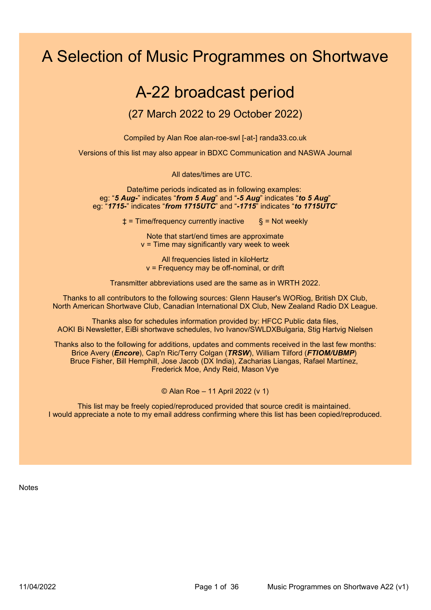# A Selection of Music Programmes on Shortwave

## A-22 broadcast period

### (27 March 2022 to 29 October 2022)

Compiled by Alan Roe alan-roe-swl [-at-] randa33.co.uk

Versions of this list may also appear in BDXC Communication and NASWA Journal

All dates/times are UTC.

Date/time periods indicated as in following examples: eg: "5 Aug-" indicates "from 5 Aug" and "-5 Aug" indicates "to 5 Aug" eg: "1715-" indicates "from 1715UTC" and "-1715" indicates "to 1715UTC"

 $\uparrow$  = Time/frequency currently inactive  $\S$  = Not weekly

Note that start/end times are approximate  $v =$  Time may significantly vary week to week

All frequencies listed in kiloHertz v = Frequency may be off-nominal, or drift

Transmitter abbreviations used are the same as in WRTH 2022.

Thanks to all contributors to the following sources: Glenn Hauser's WORiog, British DX Club, North American Shortwave Club, Canadian International DX Club, New Zealand Radio DX League.

Thanks also for schedules information provided by: HFCC Public data files, AOKI Bi Newsletter, EiBi shortwave schedules, Ivo Ivanov/SWLDXBulgaria, Stig Hartvig Nielsen

Thanks also to the following for additions, updates and comments received in the last few months: Brice Avery (*Encore*), Cap'n Ric/Terry Colgan (*TRSW*), William Tilford (*FTIOM/UBMP*) Bruce Fisher, Bill Hemphill, Jose Jacob (DX India), Zacharias Liangas, Rafael Martínez, Frederick Moe, Andy Reid, Mason Vye

© Alan Roe – 11 April 2022 (v 1)

This list may be freely copied/reproduced provided that source credit is maintained. I would appreciate a note to my email address confirming where this list has been copied/reproduced.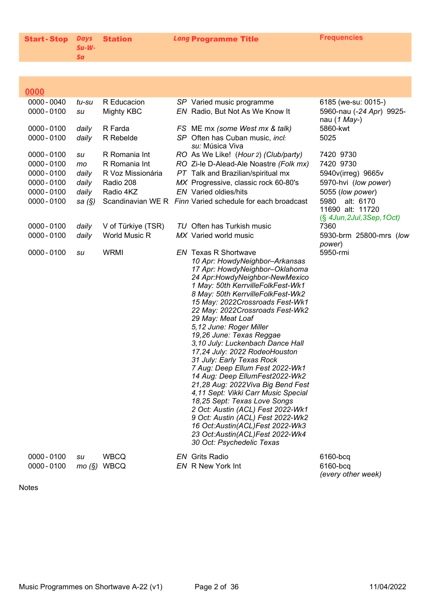| Start-Stop Days Station |       |  |
|-------------------------|-------|--|
|                         | Su-W- |  |
|                         | Sa    |  |

Lang Programme Title Frequencies

### $0000$

| $0000 - 0040$<br>$0000 - 0100$ | tu-su<br>su | R Educacion<br><b>Mighty KBC</b> | SP Varied music programme<br>EN Radio, But Not As We Know It           | 6185 (we-su: 0015-)<br>5960-nau (-24 Apr) 9925- |
|--------------------------------|-------------|----------------------------------|------------------------------------------------------------------------|-------------------------------------------------|
|                                |             |                                  |                                                                        | nau (1 May-)                                    |
| $0000 - 0100$                  | daily       | R Farda                          | FS ME mx (some West mx & talk)                                         | 5860-kwt                                        |
| $0000 - 0100$                  | daily       | R Rebelde                        | SP Often has Cuban music, incl:<br><i>su:</i> Música Viva              | 5025                                            |
| $0000 - 0100$                  | su          | R Romania Int                    | RO As We Like! (Hour 2) (Club/party)                                   | 7420 9730                                       |
| $0000 - 0100$                  | mo          | R Romania Int                    | RO Zi-le D-Alead-Ale Noastre (Folk mx)                                 | 7420 9730                                       |
| $0000 - 0100$                  | daily       | R Voz Missionária                | PT Talk and Brazilian/spiritual mx                                     | 5940v(irreg) 9665v                              |
| $0000 - 0100$                  | daily       | Radio 208                        | MX Progressive, classic rock 60-80's                                   | 5970-hvi (low power)                            |
| $0000 - 0100$                  | daily       | Radio 4KZ                        | <b>EN</b> Varied oldies/hits                                           | 5055 (low power)                                |
| $0000 - 0100$                  | sa $(S)$    |                                  | Scandinavian WE R Finn Varied schedule for each broadcast              | 5980 alt: 6170<br>11690 alt: 11720              |
| $0000 - 0100$                  | daily       | V of Türkiye (TSR)               | TU Often has Turkish music                                             | $(\S$ 4Jun, 2Jul, 3Sep, 1Oct)<br>7360           |
| $0000 - 0100$                  | daily       | <b>World Music R</b>             | MX Varied world music                                                  | 5930-brm 25800-mrs (low                         |
|                                |             |                                  |                                                                        | power)                                          |
| $0000 - 0100$                  | su          | <b>WRMI</b>                      | <b>EN Texas R Shortwave</b><br>10 Apr: HowdyNeighbor-Arkansas          | 5950-rmi                                        |
|                                |             |                                  | 17 Apr: HowdyNeighbor-Oklahoma                                         |                                                 |
|                                |             |                                  | 24 Apr:HowdyNeighbor-NewMexico                                         |                                                 |
|                                |             |                                  | 1 May: 50th KerrvilleFolkFest-Wk1                                      |                                                 |
|                                |             |                                  | 8 May: 50th KerrvilleFolkFest-Wk2<br>15 May: 2022Crossroads Fest-Wk1   |                                                 |
|                                |             |                                  | 22 May: 2022Crossroads Fest-Wk2                                        |                                                 |
|                                |             |                                  | 29 May: Meat Loaf                                                      |                                                 |
|                                |             |                                  | 5,12 June: Roger Miller                                                |                                                 |
|                                |             |                                  | 19,26 June: Texas Reggae                                               |                                                 |
|                                |             |                                  | 3,10 July: Luckenbach Dance Hall                                       |                                                 |
|                                |             |                                  | 17,24 July: 2022 RodeoHouston<br>31 July: Early Texas Rock             |                                                 |
|                                |             |                                  | 7 Aug: Deep Ellum Fest 2022-Wk1                                        |                                                 |
|                                |             |                                  | 14 Aug: Deep EllumFest2022-Wk2                                         |                                                 |
|                                |             |                                  | 21,28 Aug: 2022Viva Big Bend Fest                                      |                                                 |
|                                |             |                                  | 4,11 Sept: Vikki Carr Music Special                                    |                                                 |
|                                |             |                                  | 18,25 Sept: Texas Love Songs                                           |                                                 |
|                                |             |                                  | 2 Oct: Austin (ACL) Fest 2022-Wk1<br>9 Oct: Austin (ACL) Fest 2022-Wk2 |                                                 |
|                                |             |                                  | 16 Oct:Austin(ACL)Fest 2022-Wk3                                        |                                                 |
|                                |             |                                  | 23 Oct:Austin(ACL)Fest 2022-Wk4                                        |                                                 |
|                                |             |                                  | 30 Oct: Psychedelic Texas                                              |                                                 |
| $0000 - 0100$                  | su          | <b>WBCQ</b>                      | <b>EN</b> Grits Radio                                                  | 6160-bcq                                        |
| $0000 - 0100$                  |             | mo (§) WBCQ                      | EN R New York Int                                                      | 6160-bcq                                        |
|                                |             |                                  |                                                                        |                                                 |

(every other week)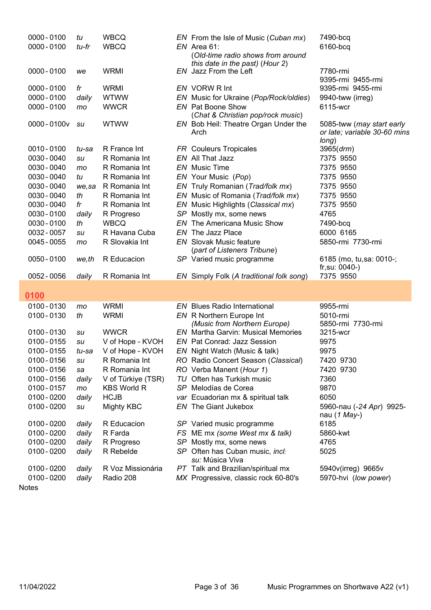| $0000 - 0100$<br>$0000 - 0100$ | tu<br>tu-fr | <b>WBCQ</b><br><b>WBCQ</b> |    | EN From the Isle of Music (Cuban mx)<br>$EN$ Area 61:                | 7490-bcq<br>6160-bcq                     |
|--------------------------------|-------------|----------------------------|----|----------------------------------------------------------------------|------------------------------------------|
|                                |             |                            |    | (Old-time radio shows from around<br>this date in the past) (Hour 2) |                                          |
| $0000 - 0100$                  | we          | <b>WRMI</b>                |    | EN Jazz From the Left                                                | 7780-rmi<br>9395-rmi 9455-rmi            |
| $0000 - 0100$                  | fr          | <b>WRMI</b>                |    | EN VORW R Int                                                        | 9395-rmi 9455-rmi                        |
| $0000 - 0100$                  | daily       | <b>WTWW</b>                |    | EN Music for Ukraine (Pop/Rock/oldies)                               | 9940-tww (irreg)                         |
| 0000 - 0100                    | mo          | <b>WWCR</b>                |    | <b>EN</b> Pat Boone Show                                             | 6115-wcr                                 |
| 0000-0100v su                  |             | <b>WTWW</b>                |    | (Chat & Christian pop/rock music)                                    | 5085-tww (may start early                |
|                                |             |                            |    | EN Bob Heil: Theatre Organ Under the<br>Arch                         | or late: variable 30-60 mins             |
|                                |             |                            |    |                                                                      | long)                                    |
| $0010 - 0100$                  | tu-sa       | R France Int               |    | <b>FR</b> Couleurs Tropicales                                        | 3965 (drm)                               |
| 0030 - 0040                    | su          | R Romania Int              |    | EN All That Jazz                                                     | 7375 9550                                |
| 0030 - 0040                    | mo          | R Romania Int              |    | <b>EN</b> Music Time                                                 | 7375 9550                                |
| 0030 - 0040                    | tu          | R Romania Int              |    | EN Your Music (Pop)                                                  | 7375 9550                                |
| 0030 - 0040                    | we, sa      | R Romania Int              |    | EN Truly Romanian (Trad/folk mx)                                     | 7375 9550                                |
| 0030 - 0040                    | th          | R Romania Int              |    | EN Music of Romania (Trad/folk mx)                                   | 7375 9550                                |
| 0030 - 0040                    | fr          | R Romania Int              |    | EN Music Highlights (Classical mx)                                   | 7375 9550                                |
| 0030 - 0100                    | daily       | R Progreso<br><b>WBCQ</b>  | EN | SP Mostly mx, some news<br>The Americana Music Show                  | 4765                                     |
| 0030 - 0100<br>0032 - 0057     | th<br>su    | R Havana Cuba              |    | EN The Jazz Place                                                    | 7490-bcq<br>6000 6165                    |
| 0045 - 0055                    | mo          | R Slovakia Int             |    | <b>EN</b> Slovak Music feature                                       | 5850-rmi 7730-rmi                        |
|                                |             |                            |    | (part of Listeners Tribune)                                          |                                          |
| $0050 - 0100$                  | we,th       | R Educacion                |    | SP Varied music programme                                            | 6185 (mo, tu, sa: 0010-;                 |
|                                |             |                            |    |                                                                      | $fr, sur. 0040-)$                        |
| 0052 - 0056                    | daily       | R Romania Int              |    | EN Simply Folk (A traditional folk song)                             | 7375 9550                                |
| 0100                           |             |                            |    |                                                                      |                                          |
| 0100-0130                      | mo          | <b>WRMI</b>                |    | <b>EN</b> Blues Radio International                                  | 9955-rmi                                 |
| 0100 - 0130                    | th          | <b>WRMI</b>                |    | EN R Northern Europe Int                                             | 5010-rmi                                 |
|                                |             |                            |    | (Music from Northern Europe)                                         | 5850-rmi 7730-rmi                        |
| 0100-0130                      | su          | <b>WWCR</b>                |    | <b>EN</b> Martha Garvin: Musical Memories                            | 3215-wcr                                 |
| 0100 - 0155                    | su          | V of Hope - KVOH           |    | EN Pat Conrad: Jazz Session                                          | 9975                                     |
| 0100 - 0155                    | tu-sa       | V of Hope - KVOH           |    | EN Night Watch (Music & talk)                                        | 9975                                     |
| 0100 - 0156                    | su          | R Romania Int              |    | RO Radio Concert Season (Classical)                                  | 7420 9730                                |
| 0100 - 0156                    | sa          | R Romania Int              |    | RO Verba Manent (Hour 1)                                             | 7420 9730                                |
| 0100 - 0156                    | daily       | V of Türkiye (TSR)         |    | TU Often has Turkish music                                           | 7360                                     |
| 0100 - 0157                    | mo          | <b>KBS World R</b>         |    | SP Melodías de Corea                                                 | 9870                                     |
| 0100 - 0200                    | daily       | <b>HCJB</b>                |    | var Ecuadorian mx & spiritual talk                                   | 6050                                     |
| 0100 - 0200                    | su          | Mighty KBC                 |    | EN The Giant Jukebox                                                 | 5960-nau (-24 Apr) 9925-<br>nau (1 May-) |
| 0100 - 0200                    | daily       | R Educacion                |    | SP Varied music programme                                            | 6185                                     |
| 0100 - 0200                    | daily       | R Farda                    |    | FS ME mx (some West mx & talk)                                       | 5860-kwt                                 |
| $0100 - 0200$                  | daily       | R Progreso                 |    | SP Mostly mx, some news                                              | 4765                                     |
| 0100 - 0200                    | daily       | R Rebelde                  |    | SP Often has Cuban music, incl:<br>su: Música Viva                   | 5025                                     |
| 0100 - 0200                    | daily       | R Voz Missionária          |    | PT Talk and Brazilian/spiritual mx                                   | 5940v(irreg) 9665v                       |
| 0100 - 0200                    | daily       | Radio 208                  |    | MX Progressive, classic rock 60-80's                                 | 5970-hvi (low power)                     |
|                                |             |                            |    |                                                                      |                                          |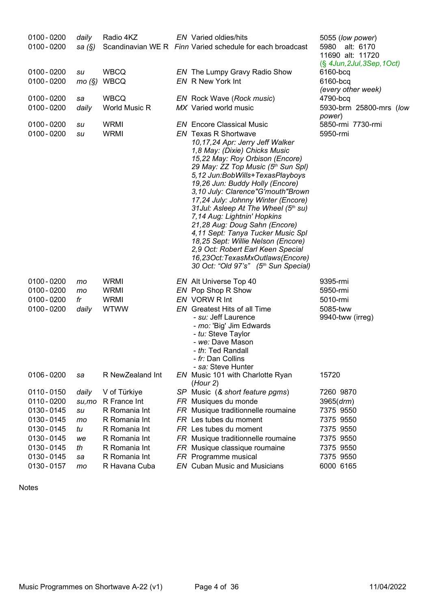| $0100 - 0200$<br>$0100 - 0200$ | daily<br>sa $(\S)$ | Radio 4KZ                  | EN Varied oldies/hits<br>Scandinavian WE R Finn Varied schedule for each broadcast                                                                                                                                                                                                                                                                                                                                                                                                                                                                                                                                                                               | 5055 (low power)<br>5980 alt: 6170<br>11690 alt: 11720<br>$(\S$ 4Jun, 2Jul, 3Sep, 1Oct) |
|--------------------------------|--------------------|----------------------------|------------------------------------------------------------------------------------------------------------------------------------------------------------------------------------------------------------------------------------------------------------------------------------------------------------------------------------------------------------------------------------------------------------------------------------------------------------------------------------------------------------------------------------------------------------------------------------------------------------------------------------------------------------------|-----------------------------------------------------------------------------------------|
| $0100 - 0200$<br>$0100 - 0200$ | su<br>mo(S)        | <b>WBCQ</b><br><b>WBCQ</b> | EN The Lumpy Gravy Radio Show<br>EN R New York Int                                                                                                                                                                                                                                                                                                                                                                                                                                                                                                                                                                                                               | 6160-bcq<br>6160-bcq<br>(every other week)                                              |
| $0100 - 0200$                  | sa                 | <b>WBCQ</b>                | EN Rock Wave (Rock music)                                                                                                                                                                                                                                                                                                                                                                                                                                                                                                                                                                                                                                        | 4790-bcq                                                                                |
| $0100 - 0200$                  | daily              | World Music R              | MX Varied world music                                                                                                                                                                                                                                                                                                                                                                                                                                                                                                                                                                                                                                            | 5930-brm 25800-mrs (low<br>power)                                                       |
| $0100 - 0200$<br>$0100 - 0200$ | su<br>su           | <b>WRMI</b><br><b>WRMI</b> | <b>EN</b> Encore Classical Music<br><b>EN</b> Texas R Shortwave<br>10,17,24 Apr: Jerry Jeff Walker<br>1,8 May: (Dixie) Chicks Music<br>15,22 May: Roy Orbison (Encore)<br>29 May: ZZ Top Music (5th Sun Spl)<br>5,12 Jun:BobWills+TexasPlayboys<br>19,26 Jun: Buddy Holly (Encore)<br>3,10 July: Clarence"G'mouth"Brown<br>17,24 July: Johnny Winter (Encore)<br>31 Jul: Asleep At The Wheel (5th su)<br>7,14 Aug: Lightnin' Hopkins<br>21,28 Aug: Doug Sahn (Encore)<br>4,11 Sept: Tanya Tucker Music Spl<br>18,25 Sept: Willie Nelson (Encore)<br>2,9 Oct: Robert Earl Keen Special<br>16,23Oct:TexasMxOutlaws(Encore)<br>30 Oct: "Old 97's" (5th Sun Special) | 5850-rmi 7730-rmi<br>5950-rmi                                                           |
| $0100 - 0200$                  | mo                 | <b>WRMI</b>                | EN Alt Universe Top 40                                                                                                                                                                                                                                                                                                                                                                                                                                                                                                                                                                                                                                           | 9395-rmi                                                                                |
| $0100 - 0200$                  | mo                 | <b>WRMI</b>                | EN Pop Shop R Show                                                                                                                                                                                                                                                                                                                                                                                                                                                                                                                                                                                                                                               | 5950-rmi                                                                                |
| $0100 - 0200$                  | fr                 | <b>WRMI</b>                | EN VORW R Int                                                                                                                                                                                                                                                                                                                                                                                                                                                                                                                                                                                                                                                    | 5010-rmi                                                                                |
| $0100 - 0200$                  | daily              | <b>WTWW</b>                | EN Greatest Hits of all Time<br>- su: Jeff Laurence<br>- mo: 'Big' Jim Edwards<br>- tu: Steve Taylor<br>- we: Dave Mason<br>- th: Ted Randall<br><i>- fr:</i> Dan Collins<br>- sa: Steve Hunter                                                                                                                                                                                                                                                                                                                                                                                                                                                                  | 5085-tww<br>9940-tww (irreg)                                                            |
| $0106 - 0200$                  | sa                 | R NewZealand Int           | EN Music 101 with Charlotte Ryan<br>(Hour 2)                                                                                                                                                                                                                                                                                                                                                                                                                                                                                                                                                                                                                     | 15720                                                                                   |
| 0110 - 0150                    | daily              | V of Türkiye               | SP Music (& short feature pgms)                                                                                                                                                                                                                                                                                                                                                                                                                                                                                                                                                                                                                                  | 7260 9870                                                                               |
| 0110 - 0200                    | $su$ , mo          | R France Int               | FR Musiques du monde                                                                                                                                                                                                                                                                                                                                                                                                                                                                                                                                                                                                                                             | 3965 (drm)                                                                              |
| 0130 - 0145                    | su                 | R Romania Int              | FR Musique traditionnelle roumaine                                                                                                                                                                                                                                                                                                                                                                                                                                                                                                                                                                                                                               | 7375 9550                                                                               |
| 0130 - 0145                    | mo                 | R Romania Int              | FR Les tubes du moment                                                                                                                                                                                                                                                                                                                                                                                                                                                                                                                                                                                                                                           | 7375 9550                                                                               |
| 0130 - 0145                    | tu                 | R Romania Int              | FR Les tubes du moment                                                                                                                                                                                                                                                                                                                                                                                                                                                                                                                                                                                                                                           | 7375 9550                                                                               |
| 0130 - 0145                    | we                 | R Romania Int              | FR Musique traditionnelle roumaine                                                                                                                                                                                                                                                                                                                                                                                                                                                                                                                                                                                                                               | 7375 9550                                                                               |
| 0130 - 0145                    | th                 | R Romania Int              | FR Musique classique roumaine                                                                                                                                                                                                                                                                                                                                                                                                                                                                                                                                                                                                                                    | 7375 9550                                                                               |
| 0130 - 0145                    | sa                 | R Romania Int              | FR Programme musical                                                                                                                                                                                                                                                                                                                                                                                                                                                                                                                                                                                                                                             | 7375 9550                                                                               |
| 0130 - 0157                    | mo                 | R Havana Cuba              | <b>EN</b> Cuban Music and Musicians                                                                                                                                                                                                                                                                                                                                                                                                                                                                                                                                                                                                                              | 6000 6165                                                                               |

Notes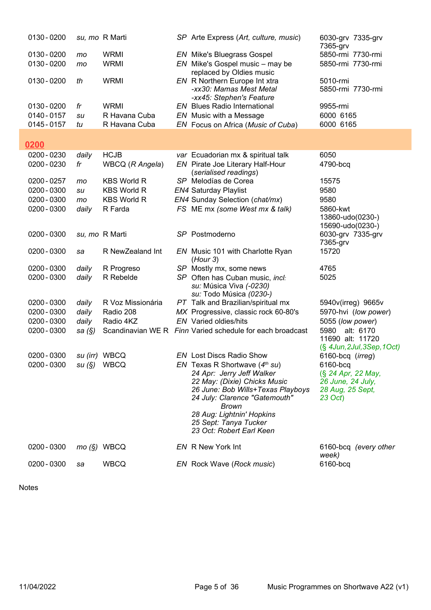| 0130 - 0200   |                | su, mo R Marti     | SP Arte Express (Art, culture, music)                           | 6030-grv 7335-grv<br>7365-grv        |
|---------------|----------------|--------------------|-----------------------------------------------------------------|--------------------------------------|
| 0130 - 0200   | mo             | <b>WRMI</b>        | <b>EN</b> Mike's Bluegrass Gospel                               | 5850-rmi 7730-rmi                    |
| 0130 - 0200   | mo             | <b>WRMI</b>        | $EN$ Mike's Gospel music – may be                               | 5850-rmi 7730-rmi                    |
|               |                |                    | replaced by Oldies music                                        |                                      |
| 0130 - 0200   | th             | <b>WRMI</b>        | EN R Northern Europe Int xtra                                   | 5010-rmi                             |
|               |                |                    | -xx30: Mamas Mest Metal                                         | 5850-rmi 7730-rmi                    |
|               |                |                    |                                                                 |                                      |
| 0130 - 0200   | fr             | <b>WRMI</b>        | -xx45: Stephen's Feature<br><b>EN</b> Blues Radio International | 9955-rmi                             |
|               |                |                    |                                                                 |                                      |
| 0140 - 0157   | su             | R Havana Cuba      | EN Music with a Message                                         | 6000 6165                            |
| 0145 - 0157   | tu             | R Havana Cuba      | EN Focus on Africa (Music of Cuba)                              | 6000 6165                            |
|               |                |                    |                                                                 |                                      |
| 0200          |                |                    |                                                                 |                                      |
| 0200 - 0230   | daily          | <b>HCJB</b>        | var Ecuadorian mx & spiritual talk                              | 6050                                 |
| 0200 - 0230   | fr             | WBCQ (R Angela)    | EN Pirate Joe Literary Half-Hour                                | 4790-bcq                             |
|               |                |                    | (serialised readings)                                           |                                      |
| $0200 - 0257$ | mo             | <b>KBS World R</b> | SP Melodías de Corea                                            | 15575                                |
| 0200 - 0300   | su             | <b>KBS World R</b> | <b>EN4 Saturday Playlist</b>                                    | 9580                                 |
| 0200 - 0300   | mo             | <b>KBS World R</b> | EN4 Sunday Selection (chat/mx)                                  | 9580                                 |
|               |                |                    |                                                                 |                                      |
| 0200 - 0300   | daily          | R Farda            | FS ME mx (some West mx & talk)                                  | 5860-kwt                             |
|               |                |                    |                                                                 | 13860-udo(0230-)<br>15690-udo(0230-) |
| 0200 - 0300   |                | su, mo R Marti     | SP Postmoderno                                                  |                                      |
|               |                |                    |                                                                 | 6030-grv 7335-grv<br>7365-grv        |
| 0200 - 0300   |                | R NewZealand Int   |                                                                 | 15720                                |
|               | sa             |                    | EN Music 101 with Charlotte Ryan                                |                                      |
| 0200 - 0300   |                |                    | (Hour 3)                                                        |                                      |
|               | daily          | R Progreso         | SP Mostly mx, some news                                         | 4765                                 |
| 0200 - 0300   | daily          | R Rebelde          | SP Often has Cuban music, incl:                                 | 5025                                 |
|               |                |                    | su: Música Viva (-0230)                                         |                                      |
| 0200 - 0300   | daily          | R Voz Missionária  | su: Todo Música (0230-)<br>PT Talk and Brazilian/spiritual mx   | 5940v(irreg) 9665v                   |
|               |                |                    |                                                                 |                                      |
| 0200 - 0300   | daily          | Radio 208          | MX Progressive, classic rock 60-80's                            | 5970-hvi (low power)                 |
| 0200 - 0300   | daily          | Radio 4KZ          | <b>EN</b> Varied oldies/hits                                    | 5055 (low power)                     |
| 0200 - 0300   | sa (§)         |                    | Scandinavian WE R Finn Varied schedule for each broadcast       | 5980 alt: 6170                       |
|               |                |                    |                                                                 | 11690 alt: 11720                     |
|               |                |                    |                                                                 | $(\S$ 4Jun, 2Jul, 3Sep, 1Oct)        |
| 0200 - 0300   | su (irr) WBCQ  |                    | <b>EN</b> Lost Discs Radio Show                                 | 6160-bcq (irreg)                     |
| 0200 - 0300   | su (§)    WBCQ |                    | EN Texas R Shortwave $(4th su)$                                 | 6160-bcq                             |
|               |                |                    | 24 Apr: Jerry Jeff Walker                                       | (§ 24 Apr, 22 May,                   |
|               |                |                    | 22 May: (Dixie) Chicks Music                                    | 26 June, 24 July,                    |
|               |                |                    | 26 June: Bob Wills+Texas Playboys                               | 28 Aug, 25 Sept,                     |
|               |                |                    | 24 July: Clarence "Gatemouth"                                   | 23 Oct)                              |
|               |                |                    | Brown                                                           |                                      |
|               |                |                    | 28 Aug: Lightnin' Hopkins                                       |                                      |
|               |                |                    | 25 Sept: Tanya Tucker<br>23 Oct: Robert Earl Keen               |                                      |
|               |                |                    |                                                                 |                                      |
| 0200 - 0300   |                | $mo(S)$ WBCQ       | EN R New York Int                                               | 6160-bcq (every other                |
|               |                |                    |                                                                 | week)                                |
| 0200 - 0300   | sa             | <b>WBCQ</b>        | EN Rock Wave (Rock music)                                       | 6160-bcq                             |
|               |                |                    |                                                                 |                                      |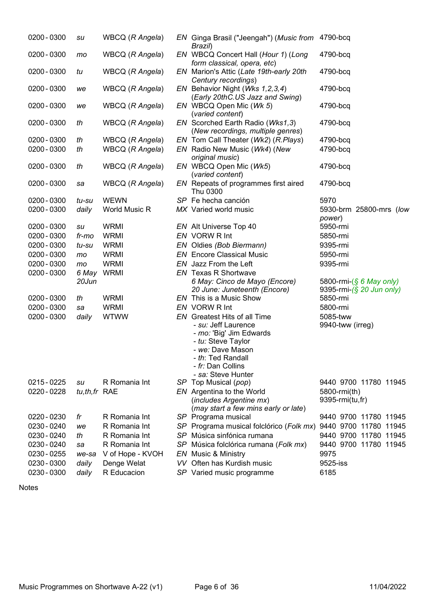| 0200 - 0300 | su           | WBCQ (R Angela)  |    | EN Ginga Brasil ("Jeengah") (Music from<br>Brazil)                                                                                                       | 4790-bcq                             |
|-------------|--------------|------------------|----|----------------------------------------------------------------------------------------------------------------------------------------------------------|--------------------------------------|
| 0200 - 0300 | mo           | WBCQ (R Angela)  |    | EN WBCQ Concert Hall (Hour 1) (Long<br>form classical, opera, etc)                                                                                       | 4790-bcq                             |
| 0200 - 0300 | tu           | WBCQ (R Angela)  |    | EN Marion's Attic (Late 19th-early 20th<br>Century recordings)                                                                                           | 4790-bcq                             |
| 0200 - 0300 | we           | WBCQ (R Angela)  |    | EN Behavior Night (Wks 1,2,3,4)<br>(Early 20thC.US Jazz and Swing)                                                                                       | 4790-bcq                             |
| 0200 - 0300 | we           | WBCQ (R Angela)  |    | EN WBCQ Open Mic (Wk 5)<br>(varied content)                                                                                                              | 4790-bcq                             |
| 0200 - 0300 | th           | WBCQ (R Angela)  |    | EN Scorched Earth Radio (Wks1,3)<br>(New recordings, multiple genres)                                                                                    | 4790-bcq                             |
| 0200 - 0300 | th           | WBCQ (R Angela)  |    | EN Tom Call Theater (Wk2) (R.Plays)                                                                                                                      | 4790-bcq                             |
| 0200 - 0300 | th           | WBCQ (R Angela)  |    | EN Radio New Music (Wk4) (New<br>original music)                                                                                                         | 4790-bcq                             |
| 0200 - 0300 | th           | WBCQ (R Angela)  |    | EN WBCQ Open Mic (Wk5)<br>(varied content)                                                                                                               | 4790-bcq                             |
| 0200 - 0300 | sa           | WBCQ (R Angela)  |    | EN Repeats of programmes first aired<br>Thu 0300                                                                                                         | 4790-bcq                             |
| 0200 - 0300 | tu-su        | <b>WEWN</b>      |    | SP Fe hecha canción                                                                                                                                      | 5970                                 |
| 0200 - 0300 | daily        | World Music R    |    | MX Varied world music                                                                                                                                    | 5930-brm 25800-mrs (low              |
|             |              |                  |    |                                                                                                                                                          | power)                               |
| 0200 - 0300 | su           | <b>WRMI</b>      |    | EN Alt Universe Top 40                                                                                                                                   | 5950-rmi                             |
| 0200 - 0300 | fr-mo        | <b>WRMI</b>      |    | EN VORW R Int                                                                                                                                            | 5850-rmi                             |
| 0200 - 0300 | tu-su        | <b>WRMI</b>      |    | EN Oldies (Bob Biermann)                                                                                                                                 | 9395-rmi                             |
| 0200 - 0300 | mo           | <b>WRMI</b>      |    | <b>EN</b> Encore Classical Music                                                                                                                         | 5950-rmi                             |
| 0200 - 0300 | mo           | <b>WRMI</b>      |    | EN Jazz From the Left                                                                                                                                    | 9395-rmi                             |
| 0200 - 0300 | 6 May        | <b>WRMI</b>      |    | <b>EN</b> Texas R Shortwave                                                                                                                              |                                      |
|             | 20Jun        |                  |    | 6 May: Cinco de Mayo (Encore)                                                                                                                            | 5800-rmi-(§ 6 May only)              |
| 0200 - 0300 | th           | <b>WRMI</b>      |    | 20 June: Juneteenth (Encore)<br>EN This is a Music Show                                                                                                  | 9395-rmi-(§ 20 Jun only)<br>5850-rmi |
| 0200 - 0300 |              | <b>WRMI</b>      |    | EN VORW R Int                                                                                                                                            | 5800-rmi                             |
| 0200 - 0300 | sa           | <b>WTWW</b>      |    | <b>EN</b> Greatest Hits of all Time                                                                                                                      | 5085-tww                             |
|             | daily        |                  |    | - su: Jeff Laurence<br>- mo: 'Big' Jim Edwards<br>- tu: Steve Taylor<br>- we: Dave Mason<br>- th: Ted Randall<br>- fr: Dan Collins<br>- sa: Steve Hunter | 9940-tww (irreg)                     |
| 0215 - 0225 | su           | R Romania Int    |    | SP Top Musical (pop)                                                                                                                                     | 9440 9700 11780 11945                |
| 0220 - 0228 | tu,th,fr RAE |                  |    | EN Argentina to the World<br>(includes Argentine mx)<br>(may start a few mins early or late)                                                             | 5800-rmi(th)<br>9395-rmi(tu,fr)      |
| 0220 - 0230 | fr           | R Romania Int    |    | SP Programa musical                                                                                                                                      | 9440 9700 11780 11945                |
| 0230 - 0240 | we           | R Romania Int    |    | SP Programa musical folclórico (Folk mx)                                                                                                                 | 9440 9700 11780 11945                |
| 0230 - 0240 | th           | R Romania Int    | SP | Música sinfónica rumana                                                                                                                                  | 9440 9700 11780 11945                |
| 0230 - 0240 | sa           | R Romania Int    | SP | Música folclórica rumana (Folk mx)                                                                                                                       | 9440 9700 11780 11945                |
| 0230 - 0255 | we-sa        | V of Hope - KVOH | EN | Music & Ministry                                                                                                                                         | 9975                                 |
| 0230 - 0300 | daily        | Denge Welat      |    | VV Often has Kurdish music                                                                                                                               | 9525-iss                             |
| 0230 - 0300 | daily        | R Educacion      |    | SP Varied music programme                                                                                                                                | 6185                                 |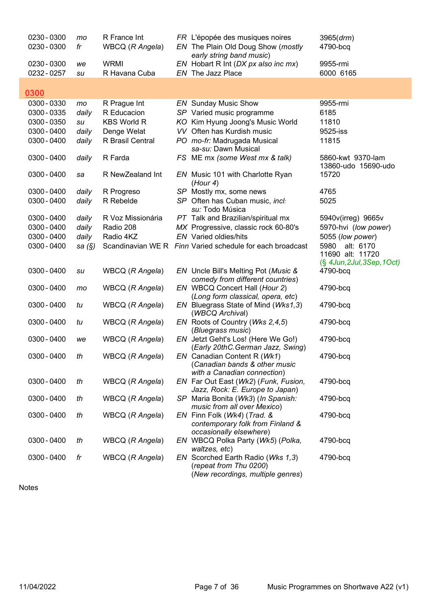| 0230 - 0300<br>0230 - 0300 | mo     | R France Int       | FR L'épopée des musiques noires                                                                  | 3965 (drm)<br>4790-bcq                   |
|----------------------------|--------|--------------------|--------------------------------------------------------------------------------------------------|------------------------------------------|
|                            | fr     | WBCQ (R Angela)    | EN The Plain Old Doug Show (mostly<br>early string band music)                                   |                                          |
| 0230 - 0300                | we     | <b>WRMI</b>        | EN Hobart R Int (DX px also inc mx)                                                              | 9955-rmi                                 |
| 0232 - 0257                | su     | R Havana Cuba      | EN The Jazz Place                                                                                | 6000 6165                                |
|                            |        |                    |                                                                                                  |                                          |
| 0300                       |        |                    |                                                                                                  |                                          |
| 0300 - 0330                | mo     | R Prague Int       | <b>EN</b> Sunday Music Show                                                                      | 9955-rmi                                 |
| 0300 - 0335                | daily  | R Educacion        | SP Varied music programme                                                                        | 6185                                     |
| 0300 - 0350                | su     | <b>KBS World R</b> | KO Kim Hyung Joong's Music World                                                                 | 11810                                    |
| 0300 - 0400                | daily  | Denge Welat        | VV Often has Kurdish music                                                                       | 9525-iss                                 |
| 0300 - 0400                | daily  | R Brasil Central   | PO mo-fr: Madrugada Musical<br>sa-su: Dawn Musical                                               | 11815                                    |
| 0300 - 0400                | daily  | R Farda            | FS ME mx (some West mx & talk)                                                                   | 5860-kwt 9370-lam<br>13860-udo 15690-udo |
| 0300 - 0400                | sa     | R NewZealand Int   | EN Music 101 with Charlotte Ryan<br>(Hour 4)                                                     | 15720                                    |
| 0300 - 0400                | daily  | R Progreso         | SP Mostly mx, some news                                                                          | 4765                                     |
| 0300 - 0400                | daily  | R Rebelde          | SP Often has Cuban music, incl:<br>su: Todo Música                                               | 5025                                     |
| 0300 - 0400                | daily  | R Voz Missionária  | PT Talk and Brazilian/spiritual mx                                                               | 5940v(irreg) 9665v                       |
| 0300 - 0400                | daily  | Radio 208          | MX Progressive, classic rock 60-80's                                                             | 5970-hvi (low power)                     |
| 0300 - 0400                | daily  | Radio 4KZ          | <b>EN</b> Varied oldies/hits                                                                     | 5055 (low power)                         |
| 0300 - 0400                | sa (§) |                    | Scandinavian WE R Finn Varied schedule for each broadcast                                        | alt: 6170<br>5980<br>11690 alt: 11720    |
|                            |        |                    |                                                                                                  | $(\S$ 4Jun, 2Jul, 3Sep, 1Oct)            |
| 0300 - 0400                | su     | WBCQ (R Angela)    | EN Uncle Bill's Melting Pot (Music &<br>comedy from different countries)                         | 4790-bcq                                 |
| 0300 - 0400                | mo     | WBCQ (R Angela)    | EN WBCQ Concert Hall (Hour 2)                                                                    | 4790-bcq                                 |
|                            |        |                    | (Long form classical, opera, etc)                                                                |                                          |
| 0300 - 0400                | tu     | WBCQ (R Angela)    | EN Bluegrass State of Mind (Wks1,3)<br>(WBCQ Archival)                                           | 4790-bcq                                 |
| 0300 - 0400                | tu     | WBCQ (R Angela)    | EN Roots of Country (Wks 2,4,5)<br>(Bluegrass music)                                             | 4790-bcq                                 |
| 0300 - 0400                | we     | WBCQ (R Angela)    | EN Jetzt Geht's Los! (Here We Go!)<br>(Early 20thC.German Jazz, Swing)                           | 4790-bcq                                 |
| 0300 - 0400                | th     | WBCQ (R Angela)    | EN Canadian Content R (Wk1)<br>(Canadian bands & other music<br>with a Canadian connection)      | 4790-bcq                                 |
| 0300 - 0400                | th     | WBCQ (R Angela)    | EN Far Out East (Wk2) (Funk, Fusion,<br>Jazz, Rock: E. Europe to Japan)                          | 4790-bcq                                 |
| 0300 - 0400                | th     | WBCQ (R Angela)    | SP Maria Bonita (Wk3) (In Spanish:<br>music from all over Mexico)                                | 4790-bcq                                 |
| 0300 - 0400                | th     | WBCQ (R Angela)    | EN Finn Folk (Wk4) (Trad. &<br>contemporary folk from Finland &<br>occasionally elsewhere)       | 4790-bcq                                 |
| 0300 - 0400                | th     | WBCQ (R Angela)    | EN WBCQ Polka Party (Wk5) (Polka,<br>waltzes, etc)                                               | 4790-bcq                                 |
| 0300 - 0400                | fr     | WBCQ (R Angela)    | EN Scorched Earth Radio (Wks 1,3)<br>(repeat from Thu 0200)<br>(New recordings, multiple genres) | 4790-bcq                                 |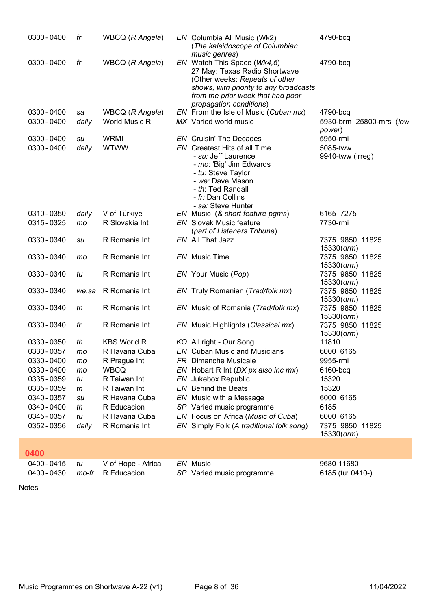| 0300 - 0400   | fr    | WBCQ (R Angela)    | EN Columbia All Music (Wk2)<br>(The kaleidoscope of Columbian<br>music genres)                                                                                                                           | 4790-bcq                       |
|---------------|-------|--------------------|----------------------------------------------------------------------------------------------------------------------------------------------------------------------------------------------------------|--------------------------------|
| 0300 - 0400   | fr    | WBCQ (R Angela)    | EN Watch This Space (Wk4,5)<br>27 May: Texas Radio Shortwave<br>(Other weeks: Repeats of other<br>shows, with priority to any broadcasts<br>from the prior week that had poor<br>propagation conditions) | 4790-bcq                       |
| $0300 - 0400$ | sa    | WBCQ (R Angela)    | EN From the Isle of Music (Cuban mx)                                                                                                                                                                     | 4790-bcq                       |
| 0300 - 0400   | daily | World Music R      | MX Varied world music                                                                                                                                                                                    | 5930-brm 25800-mrs (low        |
| 0300 - 0400   | su    | <b>WRMI</b>        | <b>EN</b> Cruisin' The Decades                                                                                                                                                                           | power)<br>5950-rmi             |
| 0300 - 0400   | daily | <b>WTWW</b>        | <b>EN</b> Greatest Hits of all Time                                                                                                                                                                      | 5085-tww                       |
|               |       |                    | - su: Jeff Laurence<br>- mo: 'Big' Jim Edwards<br>- tu: Steve Taylor<br>- we: Dave Mason<br>- th: Ted Randall<br>- fr: Dan Collins<br>- sa: Steve Hunter                                                 | 9940-tww (irreg)               |
| 0310 - 0350   | daily | V of Türkiye       | EN Music (& short feature pgms)                                                                                                                                                                          | 6165 7275                      |
| 0315 - 0325   | mo    | R Slovakia Int     | <b>EN</b> Slovak Music feature                                                                                                                                                                           | 7730-rmi                       |
|               |       |                    | (part of Listeners Tribune)                                                                                                                                                                              |                                |
| 0330 - 0340   | su    | R Romania Int      | EN All That Jazz                                                                                                                                                                                         | 7375 9850 11825                |
|               |       |                    |                                                                                                                                                                                                          | 15330 (drm)                    |
| 0330 - 0340   | mo    | R Romania Int      | <b>EN</b> Music Time                                                                                                                                                                                     | 7375 9850 11825                |
| 0330 - 0340   | tu    | R Romania Int      | EN Your Music (Pop)                                                                                                                                                                                      | 15330 (drm)<br>7375 9850 11825 |
|               |       |                    |                                                                                                                                                                                                          | 15330 (drm)                    |
| 0330 - 0340   | we,sa | R Romania Int      | EN Truly Romanian (Trad/folk mx)                                                                                                                                                                         | 7375 9850 11825                |
|               |       |                    |                                                                                                                                                                                                          | 15330 (drm)                    |
| 0330 - 0340   | th    | R Romania Int      | EN Music of Romania (Trad/folk mx)                                                                                                                                                                       | 7375 9850 11825                |
|               |       |                    |                                                                                                                                                                                                          | 15330 (drm)                    |
| 0330 - 0340   | fr    | R Romania Int      | EN Music Highlights (Classical mx)                                                                                                                                                                       | 7375 9850 11825                |
| 0330 - 0350   | th    | <b>KBS World R</b> | KO All right - Our Song                                                                                                                                                                                  | 15330 (drm)<br>11810           |
| 0330 - 0357   | mo    | R Havana Cuba      | <b>EN</b> Cuban Music and Musicians                                                                                                                                                                      | 6000 6165                      |
| 0330 - 0400   | mo    | R Prague Int       | <b>FR</b> Dimanche Musicale                                                                                                                                                                              | 9955-rmi                       |
| 0330 - 0400   | mo    | <b>WBCQ</b>        | EN Hobart R Int (DX px also inc mx)                                                                                                                                                                      | 6160-bcq                       |
| 0335 - 0359   | tu    | R Taiwan Int       | EN Jukebox Republic                                                                                                                                                                                      | 15320                          |
| 0335 - 0359   | th    | R Taiwan Int       | <b>EN</b> Behind the Beats                                                                                                                                                                               | 15320                          |
| 0340 - 0357   | su    | R Havana Cuba      | EN Music with a Message                                                                                                                                                                                  | 6000 6165                      |
| 0340 - 0400   | th    | R Educacion        | SP Varied music programme                                                                                                                                                                                | 6185                           |
| 0345 - 0357   | tu    | R Havana Cuba      | EN Focus on Africa (Music of Cuba)                                                                                                                                                                       | 6000 6165                      |
| 0352 - 0356   | daily | R Romania Int      | EN Simply Folk (A traditional folk song)                                                                                                                                                                 | 7375 9850 11825<br>15330 (drm) |
|               |       |                    |                                                                                                                                                                                                          |                                |

#### 0400

 $\frac{0400 - 0415}{0400 - 0415}$  tu V of Hope - Africa EN Music<br>0400 - 0430 mo-fr R Educacion SP Varied music programme 6185 (tu: 0410-) SP Varied music programme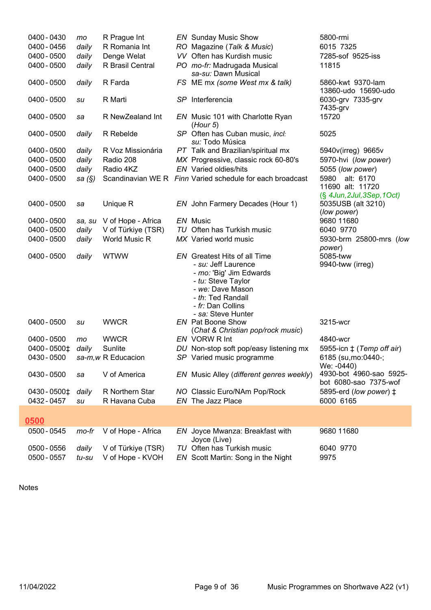| 0400 - 0430                 | mo             | R Prague Int                           | <b>EN</b> Sunday Music Show                                                                                                                                                                     | 5800-rmi                                                         |
|-----------------------------|----------------|----------------------------------------|-------------------------------------------------------------------------------------------------------------------------------------------------------------------------------------------------|------------------------------------------------------------------|
| 0400 - 0456                 | daily          | R Romania Int                          | RO Magazine (Talk & Music)                                                                                                                                                                      | 6015 7325                                                        |
| 0400 - 0500                 | daily          | Denge Welat                            | VV Often has Kurdish music                                                                                                                                                                      | 7285-sof 9525-iss                                                |
| 0400 - 0500                 | daily          | R Brasil Central                       | PO mo-fr: Madrugada Musical<br>sa-su: Dawn Musical                                                                                                                                              | 11815                                                            |
| 0400 - 0500                 | daily          | R Farda                                | FS ME mx (some West mx & talk)                                                                                                                                                                  | 5860-kwt 9370-lam<br>13860-udo 15690-udo                         |
| 0400 - 0500                 | su             | R Marti                                | SP Interferencia                                                                                                                                                                                | 6030-grv 7335-grv<br>7435-grv                                    |
| 0400 - 0500                 | sa             | R NewZealand Int                       | EN Music 101 with Charlotte Ryan<br>(Hour 5)                                                                                                                                                    | 15720                                                            |
| 0400 - 0500                 | daily          | R Rebelde                              | SP Often has Cuban music, incl:<br>su: Todo Música                                                                                                                                              | 5025                                                             |
| 0400 - 0500                 | daily          | R Voz Missionária                      | PT Talk and Brazilian/spiritual mx                                                                                                                                                              | 5940v(irreg) 9665v                                               |
| 0400 - 0500                 | daily          | Radio 208                              | MX Progressive, classic rock 60-80's                                                                                                                                                            | 5970-hvi (low power)                                             |
| 0400 - 0500                 | daily          | Radio 4KZ                              | <b>EN</b> Varied oldies/hits                                                                                                                                                                    | 5055 (low power)                                                 |
| 0400 - 0500                 | sa (§)         |                                        | Scandinavian WE R Finn Varied schedule for each broadcast                                                                                                                                       | 5980 alt: 6170<br>11690 alt: 11720<br>(§ 4Jun, 2Jul, 3Sep, 1Oct) |
| 0400 - 0500                 | sa             | Unique R                               | EN John Farmery Decades (Hour 1)                                                                                                                                                                | 5035USB (alt 3210)<br>(low power)                                |
| 0400 - 0500                 | sa, su         | V of Hope - Africa                     | EN Music                                                                                                                                                                                        | 9680 11680                                                       |
| 0400 - 0500                 | daily          | V of Türkiye (TSR)                     | TU Often has Turkish music                                                                                                                                                                      | 6040 9770                                                        |
| 0400 - 0500                 | daily          | World Music R                          | MX Varied world music                                                                                                                                                                           | 5930-brm 25800-mrs (low<br>power)                                |
| 0400 - 0500                 | daily          | <b>WTWW</b>                            | <b>EN</b> Greatest Hits of all Time<br>- su: Jeff Laurence<br>- mo: 'Big' Jim Edwards<br>- tu: Steve Taylor<br>- we: Dave Mason<br>- th: Ted Randall<br>- fr: Dan Collins<br>- sa: Steve Hunter | 5085-tww<br>9940-tww (irreg)                                     |
| 0400 - 0500                 | su             | <b>WWCR</b>                            | <b>EN</b> Pat Boone Show                                                                                                                                                                        | 3215-wcr                                                         |
|                             |                |                                        | (Chat & Christian pop/rock music)                                                                                                                                                               |                                                                  |
| 0400 - 0500                 | mo             | <b>WWCR</b>                            | EN VORW R Int                                                                                                                                                                                   | 4840-wcr                                                         |
| 0400 - 0500‡                | daily          | Sunlite                                | DU Non-stop soft pop/easy listening mx                                                                                                                                                          | 5955-icn $\pm$ (Temp off air)                                    |
| 0430 - 0500                 |                | sa-m, w R Educacion                    | SP Varied music programme                                                                                                                                                                       | 6185 (su, mo: 0440 -;<br>We: -0440)                              |
| 0430 - 0500                 | sa             | V of America                           | EN Music Alley (different genres weekly)                                                                                                                                                        | 4930-bot 4960-sao 5925-<br>bot 6080-sao 7375-wof                 |
| 0430 - 0500‡<br>0432 - 0457 | daily<br>su    | R Northern Star<br>R Havana Cuba       | NO Classic Euro/NAm Pop/Rock<br>EN The Jazz Place                                                                                                                                               | 5895-erd (low power) $\ddagger$<br>6000 6165                     |
| 0500                        |                |                                        |                                                                                                                                                                                                 |                                                                  |
| 0500 - 0545                 | mo-fr          | V of Hope - Africa                     | EN Joyce Mwanza: Breakfast with                                                                                                                                                                 | 9680 11680                                                       |
| 0500 - 0556<br>0500 - 0557  | daily<br>tu-su | V of Türkiye (TSR)<br>V of Hope - KVOH | Joyce (Live)<br>TU Often has Turkish music<br>EN Scott Martin: Song in the Night                                                                                                                | 6040 9770<br>9975                                                |
|                             |                |                                        |                                                                                                                                                                                                 |                                                                  |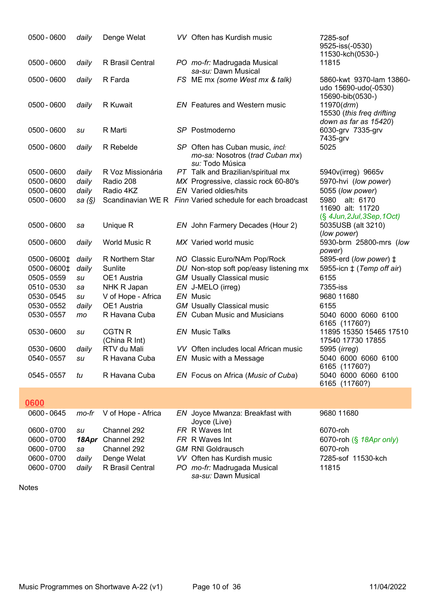| 0500 - 0600  | daily    | Denge Welat                    | VV Often has Kurdish music                                                            | 7285-sof<br>9525-iss(-0530)<br>11530-kch(0530-)                      |
|--------------|----------|--------------------------------|---------------------------------------------------------------------------------------|----------------------------------------------------------------------|
| 0500 - 0600  | daily    | R Brasil Central               | PO mo-fr: Madrugada Musical<br>sa-su: Dawn Musical                                    | 11815                                                                |
| 0500 - 0600  | daily    | R Farda                        | FS ME mx (some West mx & talk)                                                        | 5860-kwt 9370-lam 13860-<br>udo 15690-udo(-0530)<br>15690-bib(0530-) |
| 0500 - 0600  | daily    | R Kuwait                       | EN Features and Western music                                                         | 11970 (drm)<br>15530 (this freq drifting<br>down as far as 15420)    |
| 0500 - 0600  | su       | R Marti                        | SP Postmoderno                                                                        | 6030-grv 7335-grv<br>7435-grv                                        |
| 0500 - 0600  | daily    | R Rebelde                      | SP Often has Cuban music, incl:<br>mo-sa: Nosotros (trad Cuban mx)<br>su: Todo Música | 5025                                                                 |
| 0500 - 0600  | daily    | R Voz Missionária              | PT Talk and Brazilian/spiritual mx                                                    | 5940v(irreg) 9665v                                                   |
| 0500 - 0600  | daily    | Radio 208                      | MX Progressive, classic rock 60-80's                                                  | 5970-hvi (low power)                                                 |
| 0500 - 0600  | daily    | Radio 4KZ                      | <b>EN</b> Varied oldies/hits                                                          | 5055 (low power)                                                     |
| 0500 - 0600  | sa $(S)$ |                                | Scandinavian WE R Finn Varied schedule for each broadcast                             | 5980 alt: 6170<br>11690 alt: 11720<br>(§ 4Jun, 2Jul, 3Sep, 1Oct)     |
| 0500 - 0600  | sa       | Unique R                       | EN John Farmery Decades (Hour 2)                                                      | 5035USB (alt 3210)<br>(low power)                                    |
| 0500 - 0600  | daily    | World Music R                  | MX Varied world music                                                                 | 5930-brm 25800-mrs (low<br>power)                                    |
| 0500 - 0600‡ | daily    | R Northern Star                | NO Classic Euro/NAm Pop/Rock                                                          | 5895-erd (low power) ‡                                               |
| 0500 - 0600‡ | daily    | Sunlite                        | DU Non-stop soft pop/easy listening mx                                                | 5955-icn $\pm$ (Temp off air)                                        |
| 0505 - 0559  | su       | OE1 Austria                    | <b>GM</b> Usually Classical music                                                     | 6155                                                                 |
| 0510 - 0530  | sa       | NHK R Japan                    | EN J-MELO (irreg)                                                                     | 7355-iss                                                             |
| 0530 - 0545  | su       | V of Hope - Africa             | EN Music                                                                              | 9680 11680                                                           |
| 0530 - 0552  | daily    | OE1 Austria                    | <b>GM</b> Usually Classical music                                                     | 6155                                                                 |
| 0530 - 0557  | mo       | R Havana Cuba                  | <b>EN</b> Cuban Music and Musicians                                                   | 5040 6000 6060 6100<br>6165 (11760?)                                 |
| 0530 - 0600  | su       | <b>CGTN R</b><br>(China R Int) | <b>EN</b> Music Talks                                                                 | 11895 15350 15465 17510<br>17540 17730 17855                         |
| 0530 - 0600  | daily    | RTV du Mali                    | VV Often includes local African music                                                 | 5995 (irreg)                                                         |
| 0540 - 0557  | su       | R Havana Cuba                  | EN Music with a Message                                                               | 5040 6000 6060 6100<br>6165 (11760?)                                 |
| 0545 - 0557  | tu       | R Havana Cuba                  | EN Focus on Africa (Music of Cuba)                                                    | 5040 6000 6060 6100<br>6165 (11760?)                                 |
| 0600         |          |                                |                                                                                       |                                                                      |

| 0600 - 0645 |       | mo-fr V of Hope - Africa | EN Joyce Mwanza: Breakfast with<br>Joyce (Live)    | 9680 11680                 |
|-------------|-------|--------------------------|----------------------------------------------------|----------------------------|
| 0600 - 0700 | SU    | Channel 292              | FR R Waves Int                                     | 6070-roh                   |
| 0600 - 0700 |       | 18Apr Channel 292        | FR R Waves Int                                     | 6070-roh $(\S$ 18Apr only) |
| 0600 - 0700 | sa    | Channel 292              | <b>GM RNI Goldrausch</b>                           | 6070-roh                   |
| 0600 - 0700 | daily | Denge Welat              | VV Often has Kurdish music                         | 7285-sof 11530-kch         |
| 0600 - 0700 | daily | R Brasil Central         | PO mo-fr: Madrugada Musical<br>sa-su: Dawn Musical | 11815                      |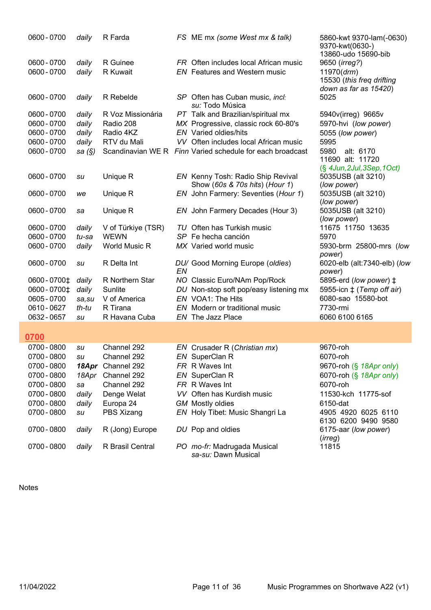| 0600 - 0700   | daily  | R Farda            |    | FS ME mx (some West mx & talk)                                      | 5860-kwt 9370-lam(-0630)<br>9370-kwt(0630-)<br>13860-udo 15690-bib     |
|---------------|--------|--------------------|----|---------------------------------------------------------------------|------------------------------------------------------------------------|
| 0600 - 0700   | daily  | R Guinee           |    | FR Often includes local African music                               | 9650 (irreg?)                                                          |
| 0600 - 0700   | daily  | R Kuwait           |    | <b>EN</b> Features and Western music                                | 11970 (drm)<br>15530 (this freq drifting<br>down as far as 15420)      |
| 0600 - 0700   | daily  | R Rebelde          |    | SP Often has Cuban music, incl:<br>su: Todo Música                  | 5025                                                                   |
| 0600 - 0700   | daily  | R Voz Missionária  |    | PT Talk and Brazilian/spiritual mx                                  | 5940v(irreg) 9665v                                                     |
| 0600 - 0700   | daily  | Radio 208          |    | MX Progressive, classic rock 60-80's                                | 5970-hvi (low power)                                                   |
| 0600 - 0700   | daily  | Radio 4KZ          |    | <b>EN</b> Varied oldies/hits                                        | 5055 (low power)                                                       |
| 0600 - 0700   | daily  | RTV du Mali        |    | VV Often includes local African music                               | 5995                                                                   |
| 0600 - 0700   | sa (§) |                    |    | Scandinavian WE R Finn Varied schedule for each broadcast           | 5980<br>alt: 6170<br>11690 alt: 11720<br>$(\S$ 4Jun, 2Jul, 3Sep, 1Oct) |
| 0600 - 0700   | su     | Unique R           |    | EN Kenny Tosh: Radio Ship Revival<br>Show (60s & 70s hits) (Hour 1) | 5035USB (alt 3210)<br>(low power)                                      |
| 0600 - 0700   | we     | Unique R           |    | EN John Farmery: Seventies (Hour 1)                                 | 5035USB (alt 3210)<br>(low power)                                      |
| 0600 - 0700   | sa     | Unique R           |    | EN John Farmery Decades (Hour 3)                                    | 5035USB (alt 3210)<br>(low power)                                      |
| 0600 - 0700   | daily  | V of Türkiye (TSR) |    | TU Often has Turkish music                                          | 11675 11750 13635                                                      |
| 0600 - 0700   | tu-sa  | <b>WEWN</b>        |    | SP Fe hecha canción                                                 | 5970                                                                   |
| 0600 - 0700   | daily  | World Music R      |    | MX Varied world music                                               | 5930-brm 25800-mrs (low<br>power)                                      |
| 0600 - 0700   | su     | R Delta Int        | EN | DU/ Good Morning Europe (oldies)                                    | 6020-elb (alt:7340-elb) (low<br>power)                                 |
| 0600 - 0700‡  | daily  | R Northern Star    |    | NO Classic Euro/NAm Pop/Rock                                        | 5895-erd (low power) ‡                                                 |
| 0600 - 0700 ± | daily  | Sunlite            |    | DU Non-stop soft pop/easy listening mx                              | 5955-icn $\pm$ (Temp off air)                                          |
| 0605 - 0700   | sa, su | V of America       |    | EN VOA1: The Hits                                                   | 6080-sao 15580-bot                                                     |
| 0610 - 0627   | th-tu  | R Tirana           |    | EN Modern or traditional music                                      | 7730-rmi                                                               |
| 0632 - 0657   | su     | R Havana Cuba      |    | EN The Jazz Place                                                   | 6060 6100 6165                                                         |
|               |        |                    |    |                                                                     |                                                                        |
| 0700          |        |                    |    |                                                                     |                                                                        |
| 0700 - 0800   | su     | Channel 292        |    | EN Crusader R (Christian mx)                                        | 9670-roh                                                               |
| 0700 - 0800   | su     | Channel 292        |    | EN SuperClan R                                                      | 6070-roh                                                               |
| 0700 - 0800   |        | 18Apr Channel 292  |    | FR R Waves Int                                                      | 9670-roh (§ 18Apr only)                                                |
| 0700 - 0800   | 18Apr  | Channel 292        |    | EN SuperClan R                                                      | 6070-roh (§ 18Apr only)                                                |
| 0700 - 0800   | sa     | Channel 292        |    | FR R Waves Int                                                      | 6070-roh                                                               |
| 0700 - 0800   | daily  | Denge Welat        |    | VV Often has Kurdish music                                          | 11530-kch 11775-sof                                                    |
| 0700 - 0800   | daily  | Europa 24          |    | <b>GM</b> Mostly oldies                                             | 6150-dat                                                               |
| 0700 - 0800   | su     | PBS Xizang         |    | EN Holy Tibet: Music Shangri La                                     | 4905 4920 6025 6110<br>6130 6200 9490 9580                             |
| 0700 - 0800   | daily  | R (Jong) Europe    |    | DU Pop and oldies                                                   | 6175-aar (low power)                                                   |
| 0700 - 0800   | daily  | R Brasil Central   |    | PO mo-fr: Madrugada Musical<br>sa-su: Dawn Musical                  | (irreg)<br>11815                                                       |

I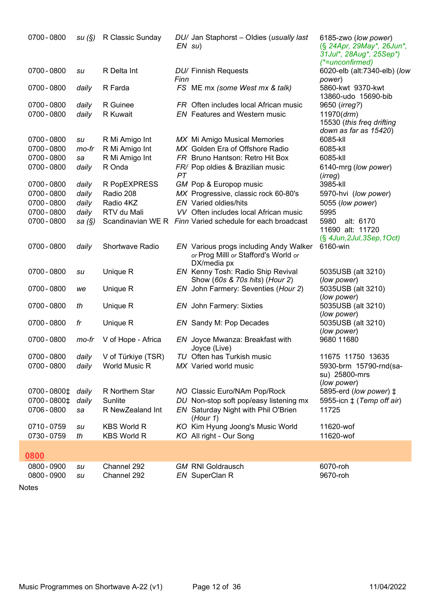| 0700 - 0800              |          | su (§) R Classic Sunday                  |      | DU/ Jan Staphorst - Oldies (usually last<br>$EN \, su)$                                       | 6185-zwo (low power)<br>(§ 24Apr, 29May*, 26Jun*,<br>31Jul*, 28Aug*, 25Sep*)<br>(*=unconfirmed) |
|--------------------------|----------|------------------------------------------|------|-----------------------------------------------------------------------------------------------|-------------------------------------------------------------------------------------------------|
| 0700 - 0800              | su       | R Delta Int                              | Finn | DU/ Finnish Requests                                                                          | 6020-elb (alt:7340-elb) (low<br>power)                                                          |
| 0700 - 0800              | daily    | R Farda                                  |      | FS ME mx (some West mx & talk)                                                                | 5860-kwt 9370-kwt<br>13860-udo 15690-bib                                                        |
| 0700 - 0800              | daily    | R Guinee                                 |      | FR Often includes local African music                                                         | 9650 ( <i>irreg?</i> )                                                                          |
| 0700 - 0800              | daily    | R Kuwait                                 |      | <b>EN</b> Features and Western music                                                          | 11970(drm)<br>15530 (this freq drifting<br>down as far as 15420)                                |
| 0700 - 0800              | su       | R Mi Amigo Int                           |      | MX Mi Amigo Musical Memories                                                                  | 6085-kll                                                                                        |
| 0700 - 0800              | $mo$ -fr | R Mi Amigo Int                           |      | MX Golden Era of Offshore Radio                                                               | 6085-kll                                                                                        |
| 0700 - 0800              | sa       | R Mi Amigo Int                           |      | FR Bruno Hantson: Retro Hit Box                                                               | 6085-kll                                                                                        |
| 0700 - 0800              | daily    | R Onda                                   | PT   | FR/ Pop oldies & Brazilian music                                                              | 6140-mrg (low power)<br>( <i>irreg</i> )                                                        |
| 0700 - 0800              | daily    | R PopEXPRESS                             |      | GM Pop & Europop music                                                                        | 3985-kll                                                                                        |
| 0700 - 0800              | daily    | Radio 208                                |      | MX Progressive, classic rock 60-80's                                                          | 5970-hvi (low power)                                                                            |
| 0700 - 0800              | daily    | Radio 4KZ                                |      | <b>EN</b> Varied oldies/hits                                                                  | 5055 (low power)                                                                                |
| 0700 - 0800              | daily    | RTV du Mali                              |      | VV Often includes local African music                                                         | 5995                                                                                            |
| 0700 - 0800              | sa (§)   |                                          |      | Scandinavian WE R Finn Varied schedule for each broadcast                                     | 5980<br>alt: 6170<br>11690 alt: 11720<br>$(\S$ 4Jun, 2Jul, 3Sep, 1Oct)                          |
| 0700 - 0800              | daily    | Shortwave Radio                          |      | EN Various progs including Andy Walker<br>or Prog Milll or Stafford's World or<br>DX/media px | 6160-win                                                                                        |
| 0700 - 0800              | su       | Unique R                                 |      | EN Kenny Tosh: Radio Ship Revival<br>Show (60s & 70s hits) (Hour 2)                           | 5035USB (alt 3210)<br>(low power)                                                               |
| 0700 - 0800              | we       | Unique R                                 |      | EN John Farmery: Seventies (Hour 2)                                                           | 5035USB (alt 3210)<br>(low power)                                                               |
| 0700 - 0800              | th       | Unique R                                 |      | <b>EN</b> John Farmery: Sixties                                                               | 5035USB (alt 3210)<br>(low power)                                                               |
| 0700 - 0800              | fr       | Unique R                                 |      | EN Sandy M: Pop Decades                                                                       | 5035USB (alt 3210)<br>(low power)                                                               |
| 0700 - 0800              | mo-fr    | V of Hope - Africa                       |      | EN Joyce Mwanza: Breakfast with<br>Joyce (Live)                                               | 9680 11680                                                                                      |
| 0700 - 0800              |          | daily V of Türkiye (TSR)                 |      | TU Often has Turkish music                                                                    | 11675 11750 13635                                                                               |
| 0700 - 0800              | daily    | World Music R                            |      | MX Varied world music                                                                         | 5930-brm 15790-rnd(sa-<br>su) 25800-mrs<br>(low power)                                          |
| 0700 - 0800 ±            | daily    | R Northern Star                          |      | NO Classic Euro/NAm Pop/Rock                                                                  | 5895-erd (low power) ‡                                                                          |
| 0700 - 0800 ±            | daily    | Sunlite                                  |      | DU Non-stop soft pop/easy listening mx                                                        | 5955-icn $\pm$ (Temp off air)                                                                   |
| 0706 - 0800              | sa       | R NewZealand Int                         |      | EN Saturday Night with Phil O'Brien<br>(Hour 1)                                               | 11725                                                                                           |
| 0710-0759<br>0730 - 0759 | su<br>th | <b>KBS World R</b><br><b>KBS World R</b> |      | KO Kim Hyung Joong's Music World<br>KO All right - Our Song                                   | 11620-wof<br>11620-wof                                                                          |
| 0800                     |          |                                          |      |                                                                                               |                                                                                                 |
| 0800 - 0900              | su       | Channel 292                              |      | <b>GM RNI Goldrausch</b>                                                                      | 6070-roh                                                                                        |
| 0800 - 0900              | su       | Channel 292                              |      | EN SuperClan R                                                                                | 9670-roh                                                                                        |
|                          |          |                                          |      |                                                                                               |                                                                                                 |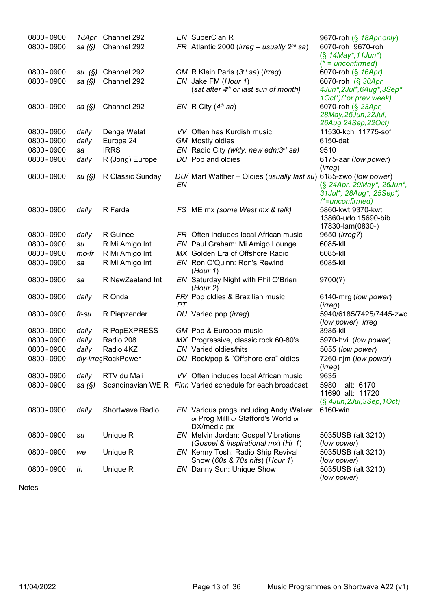| 0800 - 0900 | 18Apr     | Channel 292        |    | EN SuperClan R                                                                 | 9670-roh (§ 18Apr only)                     |
|-------------|-----------|--------------------|----|--------------------------------------------------------------------------------|---------------------------------------------|
| 0800 - 0900 | sa $(\S)$ | Channel 292        |    | FR Atlantic 2000 (irreg - usually $2^{nd}$ sa)                                 | 6070-roh 9670-roh                           |
|             |           |                    |    |                                                                                | $(S$ 14May*, 11Jun*)                        |
|             |           |                    |    |                                                                                | $(* = unconfirmed)$                         |
| 0800 - 0900 | su(S)     | Channel 292        |    | GM R Klein Paris (3rd sa) (irreg)                                              | 6070-roh (§ 16Apr)                          |
| 0800 - 0900 | sa (§)    | Channel 292        |    | EN Jake FM (Hour 1)                                                            | 6070-roh (§ 30Apr,                          |
|             |           |                    |    | (sat after 4 <sup>th</sup> or last sun of month)                               | 4Jun*, 2Jul*, 6Aug*, 3Sep*                  |
|             |           |                    |    |                                                                                | 1Oct*)(*or prev week)                       |
| 0800 - 0900 | sa $(S)$  | Channel 292        |    | EN R City $(4th$ sa)                                                           | 6070-roh (§ 23Apr,                          |
|             |           |                    |    |                                                                                | 28May, 25Jun, 22Jul,                        |
| 0800 - 0900 |           |                    |    | VV Often has Kurdish music                                                     | 26Aug, 24Sep, 22Oct)<br>11530-kch 11775-sof |
| 0800 - 0900 | daily     | Denge Welat        |    |                                                                                | 6150-dat                                    |
|             | daily     | Europa 24          |    | <b>GM</b> Mostly oldies                                                        |                                             |
| 0800 - 0900 | sa        | <b>IRRS</b>        |    | EN Radio City (wkly, new edn: 3rd sa)                                          | 9510                                        |
| 0800 - 0900 | daily     | R (Jong) Europe    |    | DU Pop and oldies                                                              | 6175-aar (low power)<br>(irreg)             |
| 0800 - 0900 | su(S)     | R Classic Sunday   |    | DU/ Mart Walther - Oldies (usually last su)                                    | 6185-zwo (low power)                        |
|             |           |                    | EN |                                                                                | (§ 24Apr, 29May*, 26Jun*,                   |
|             |           |                    |    |                                                                                | 31 Jul*, 28 Aug*, 25 Sep*)                  |
|             |           |                    |    |                                                                                | (*=unconfirmed)                             |
| 0800 - 0900 | daily     | R Farda            |    | FS ME mx (some West mx & talk)                                                 | 5860-kwt 9370-kwt                           |
|             |           |                    |    |                                                                                | 13860-udo 15690-bib                         |
|             |           |                    |    |                                                                                | 17830-lam(0830-)                            |
| 0800 - 0900 | daily     | R Guinee           |    | FR Often includes local African music                                          | 9650 (irreg?)                               |
| 0800 - 0900 | su        | R Mi Amigo Int     |    | EN Paul Graham: Mi Amigo Lounge                                                | 6085-kll                                    |
| 0800 - 0900 | mo-fr     | R Mi Amigo Int     |    | MX Golden Era of Offshore Radio                                                | 6085-kll                                    |
| 0800 - 0900 | sa        | R Mi Amigo Int     |    | EN Ron O'Quinn: Ron's Rewind<br>(Hour 1)                                       | 6085-kll                                    |
| 0800 - 0900 | sa        | R NewZealand Int   |    | EN Saturday Night with Phil O'Brien<br>(Hour 2)                                | 9700(?)                                     |
| 0800 - 0900 | daily     | R Onda             |    | FR/ Pop oldies & Brazilian music                                               | 6140-mrg (low power)                        |
|             |           |                    | PT |                                                                                | (irreg)                                     |
| 0800 - 0900 | fr-su     | R Piepzender       |    | DU Varied pop (irreg)                                                          | 5940/6185/7425/7445-zwo                     |
|             |           |                    |    |                                                                                | (low power) irreg                           |
| 0800 - 0900 | daily     | R PopEXPRESS       |    | GM Pop & Europop music                                                         | 3985-kll                                    |
| 0800 - 0900 | daily     | Radio 208          |    | MX Progressive, classic rock 60-80's                                           | 5970-hvi (low power)                        |
| 0800 - 0900 | daily     | Radio 4KZ          |    | <b>EN</b> Varied oldies/hits                                                   | 5055 (low power)                            |
| 0800 - 0900 |           | dly-irregRockPower |    | DU Rock/pop & "Offshore-era" oldies                                            | 7260-njm (low power)                        |
|             |           |                    |    |                                                                                | (irreg)                                     |
| 0800 - 0900 | daily     | RTV du Mali        |    | VV Often includes local African music                                          | 9635                                        |
| 0800 - 0900 | sa $(S)$  |                    |    | Scandinavian WE R Finn Varied schedule for each broadcast                      | 5980<br>alt: 6170                           |
|             |           |                    |    |                                                                                | 11690 alt: 11720                            |
|             |           |                    |    |                                                                                | $(\S$ 4Jun, 2Jul, 3Sep, 1Oct)               |
| 0800 - 0900 | daily     | Shortwave Radio    |    | EN Various progs including Andy Walker<br>or Prog Milll or Stafford's World or | 6160-win                                    |
|             |           |                    |    | DX/media px                                                                    |                                             |
| 0800 - 0900 | su        | Unique R           |    | EN Melvin Jordan: Gospel Vibrations                                            | 5035USB (alt 3210)                          |
|             |           |                    |    | (Gospel & inspirational mx) (Hr 1)                                             | (low power)                                 |
| 0800 - 0900 | we        | Unique R           |    | EN Kenny Tosh: Radio Ship Revival                                              | 5035USB (alt 3210)                          |
|             |           |                    |    | Show (60s & 70s hits) (Hour 1)                                                 | (low power)                                 |
| 0800 - 0900 | th        | Unique R           |    | EN Danny Sun: Unique Show                                                      | 5035USB (alt 3210)                          |
|             |           |                    |    |                                                                                | (low power)                                 |

Notes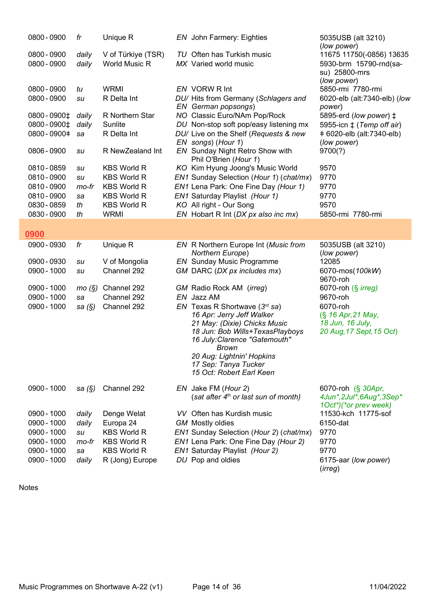| 0800 - 0900   | fr        | Unique R                   | EN John Farmery: Eighties                                       | 5035USB (alt 3210)<br>(low power)       |
|---------------|-----------|----------------------------|-----------------------------------------------------------------|-----------------------------------------|
| 0800 - 0900   | daily     | V of Türkiye (TSR)         | TU Often has Turkish music                                      | 11675 11750(-0856) 13635                |
| 0800 - 0900   | daily     | World Music R              | MX Varied world music                                           | 5930-brm 15790-rnd(sa-                  |
|               |           |                            |                                                                 | su) 25800-mrs                           |
|               |           |                            |                                                                 | (low power)                             |
| 0800 - 0900   | tu        | <b>WRMI</b>                | EN VORW R Int                                                   | 5850-rmi 7780-rmi                       |
| 0800 - 0900   | su        | R Delta Int                | DU/ Hits from Germany (Schlagers and                            | 6020-elb (alt:7340-elb) (low            |
|               |           |                            | EN German popsongs)                                             | power)                                  |
| 0800 - 0900‡  | daily     | R Northern Star            | NO Classic Euro/NAm Pop/Rock                                    | 5895-erd (low power) ‡                  |
| 0800 - 0900‡  | daily     | Sunlite                    | DU Non-stop soft pop/easy listening mx                          | 5955-icn $\ddagger$ (Temp off air)      |
| 0800 - 0900 + | sa        | R Delta Int                | DU/ Live on the Shelf (Requests & new<br>EN songs) (Hour 1)     | +6020-elb (alt:7340-elb)<br>(low power) |
| 0806 - 0900   | su        | R NewZealand Int           | EN Sunday Night Retro Show with                                 | 9700(?)                                 |
|               |           |                            | Phil O'Brien (Hour 1)                                           |                                         |
| 0810 - 0859   | su        | <b>KBS World R</b>         | KO Kim Hyung Joong's Music World                                | 9570                                    |
| 0810 - 0900   | su        | <b>KBS World R</b>         | EN1 Sunday Selection (Hour 1) (chat/mx)                         | 9770                                    |
| 0810 - 0900   | mo-fr     | <b>KBS World R</b>         | EN1 Lena Park: One Fine Day (Hour 1)                            | 9770                                    |
| 0810 - 0900   | sa        | <b>KBS World R</b>         | EN1 Saturday Playlist (Hour 1)                                  | 9770                                    |
| 0830 - 0859   | th        | <b>KBS World R</b>         | KO All right - Our Song                                         | 9570                                    |
| 0830 - 0900   | th        | <b>WRMI</b>                | EN Hobart R Int (DX px also inc mx)                             | 5850-rmi 7780-rmi                       |
|               |           |                            |                                                                 |                                         |
| 0900          |           |                            |                                                                 |                                         |
| 0900 - 0930   | fr        | Unique R                   | EN R Northern Europe Int (Music from                            | 5035USB (alt 3210)                      |
|               |           |                            | Northern Europe)                                                | (low power)                             |
| 0900 - 0930   | su        | V of Mongolia              | <b>EN</b> Sunday Music Programme                                | 12085                                   |
| 0900 - 1000   | su        | Channel 292                | GM DARC (DX px includes mx)                                     | 6070-mos(100kW)                         |
|               |           |                            |                                                                 | 9670-roh                                |
| 0900 - 1000   | mo(S)     | Channel 292<br>Channel 292 | GM Radio Rock AM (irreg)<br>EN Jazz AM                          | 6070-roh (§ <i>irreg)</i>               |
| 0900 - 1000   | sa        |                            |                                                                 | 9670-roh<br>6070-roh                    |
| 0900 - 1000   | sa $(\S)$ | Channel 292                | EN Texas R Shortwave $(3^{rd}$ sa)<br>16 Apr: Jerry Jeff Walker | (§ 16 Apr, 21 May,                      |
|               |           |                            | 21 May: (Dixie) Chicks Music                                    | 18 Jun, 16 July,                        |
|               |           |                            | 18 Jun: Bob Wills+TexasPlayboys                                 | 20 Aug, 17 Sept, 15 Oct)                |
|               |           |                            | 16 July: Clarence "Gatemouth"                                   |                                         |
|               |           |                            | <b>Brown</b>                                                    |                                         |
|               |           |                            | 20 Aug: Lightnin' Hopkins                                       |                                         |
|               |           |                            | 17 Sep: Tanya Tucker                                            |                                         |
|               |           |                            | 15 Oct: Robert Earl Keen                                        |                                         |
| 0900 - 1000   | sa $(\S)$ | Channel 292                | EN Jake FM (Hour 2)                                             | 6070-roh (§ 30Apr,                      |
|               |           |                            | (sat after 4 <sup>th</sup> or last sun of month)                | 4Jun*, 2Jul*, 6Aug*, 3Sep*              |
|               |           |                            |                                                                 | 1Oct*)(*or prev week)                   |
| 0900 - 1000   | daily     | Denge Welat                | VV Often has Kurdish music                                      | 11530-kch 11775-sof                     |
| 0900 - 1000   | daily     | Europa 24                  | <b>GM</b> Mostly oldies                                         | 6150-dat                                |
| 0900 - 1000   | su        | <b>KBS World R</b>         | EN1 Sunday Selection (Hour 2) (chat/mx)                         | 9770                                    |
| 0900 - 1000   | mo-fr     | <b>KBS World R</b>         | EN1 Lena Park: One Fine Day (Hour 2)                            | 9770                                    |
| 0900 - 1000   | sa        | <b>KBS World R</b>         | EN1 Saturday Playlist (Hour 2)                                  | 9770                                    |
| 0900 - 1000   | daily     | R (Jong) Europe            | DU Pop and oldies                                               | 6175-aar (low power)                    |
|               |           |                            |                                                                 | (irreg)                                 |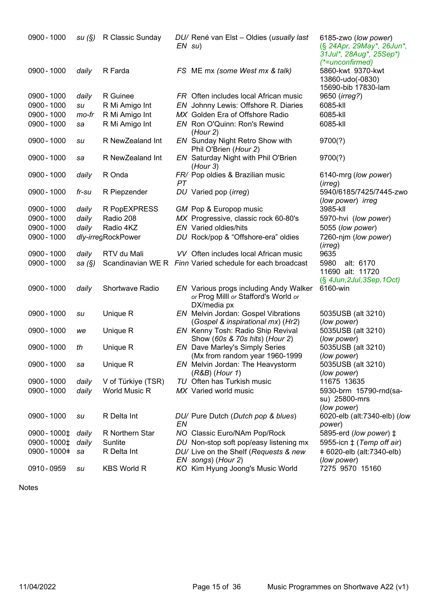| 0900 - 1000   | su(S)     | R Classic Sunday   |    | DU/ René van Elst - Oldies (usually last<br>$EN \, su)$                                       | 6185-zwo (low power)<br>(§ 24Apr, 29May*, 26Jun*,<br>31Jul*, 28Aug*, 25Sep*)<br>$(*=unconframe)$ |
|---------------|-----------|--------------------|----|-----------------------------------------------------------------------------------------------|--------------------------------------------------------------------------------------------------|
| 0900 - 1000   | daily     | R Farda            |    | FS ME mx (some West mx & talk)                                                                | 5860-kwt 9370-kwt<br>13860-udo(-0830)<br>15690-bib 17830-lam                                     |
| 0900 - 1000   | daily     | R Guinee           |    | FR Often includes local African music                                                         | 9650 ( <i>irreg?</i> )                                                                           |
| 0900 - 1000   | su        | R Mi Amigo Int     |    | EN Johnny Lewis: Offshore R. Diaries                                                          | 6085-kll                                                                                         |
| 0900 - 1000   | mo-fr     | R Mi Amigo Int     |    | MX Golden Era of Offshore Radio                                                               | 6085-kll                                                                                         |
| 0900 - 1000   | sa        | R Mi Amigo Int     |    | EN Ron O'Quinn: Ron's Rewind<br>(Hour 2)                                                      | 6085-kll                                                                                         |
| 0900 - 1000   | su        | R NewZealand Int   |    | EN Sunday Night Retro Show with<br>Phil O'Brien (Hour 2)                                      | 9700(?)                                                                                          |
| 0900 - 1000   | sa        | R NewZealand Int   |    | EN Saturday Night with Phil O'Brien<br>(Hour 3)                                               | 9700(?)                                                                                          |
| 0900 - 1000   | daily     | R Onda             | PТ | FR/ Pop oldies & Brazilian music                                                              | 6140-mrg (low power)<br>(irreg)                                                                  |
| 0900 - 1000   | fr-su     | R Piepzender       |    | DU Varied pop (irreg)                                                                         | 5940/6185/7425/7445-zwo<br>(low power) irreg                                                     |
| 0900 - 1000   | daily     | R PopEXPRESS       |    | GM Pop & Europop music                                                                        | 3985-kll                                                                                         |
| 0900 - 1000   | daily     | Radio 208          |    | MX Progressive, classic rock 60-80's                                                          | 5970-hvi (low power)                                                                             |
| 0900 - 1000   | daily     | Radio 4KZ          |    | <b>EN</b> Varied oldies/hits                                                                  | 5055 (low power)                                                                                 |
| 0900 - 1000   |           | dly-irregRockPower |    | DU Rock/pop & "Offshore-era" oldies                                                           | 7260-njm (low power)<br>(irreg)                                                                  |
| 0900 - 1000   | daily     | RTV du Mali        |    | VV Often includes local African music                                                         | 9635                                                                                             |
| 0900 - 1000   | sa $(\S)$ |                    |    | Scandinavian WE R Finn Varied schedule for each broadcast                                     | 5980<br>alt: 6170<br>11690 alt: 11720<br>$(\S$ 4Jun, 2Jul, 3Sep, 1Oct)                           |
| 0900 - 1000   | daily     | Shortwave Radio    |    | EN Various progs including Andy Walker<br>or Prog Milll or Stafford's World or<br>DX/media px | 6160-win                                                                                         |
| 0900 - 1000   | su        | Unique R           |    | EN Melvin Jordan: Gospel Vibrations<br>(Gospel & inspirational mx) (Hr2)                      | 5035USB (alt 3210)<br>(low power)                                                                |
| 0900 - 1000   | we        | Unique R           |    | EN Kenny Tosh: Radio Ship Revival<br>Show (60s & 70s hits) (Hour 2)                           | 5035USB (alt 3210)<br>(low power)                                                                |
| 0900 - 1000   | th        | Unique R           |    | <b>EN</b> Dave Marley's Simply Series<br>(Mx from random year 1960-1999                       | 5035USB (alt 3210)<br>(low power)                                                                |
| 0900 - 1000   | sa        | Unique R           |    | EN Melvin Jordan: The Heavystorm<br>$(R&B)$ (Hour 1)                                          | 5035USB (alt 3210)<br>(low power)                                                                |
| 0900 - 1000   | daily     | V of Türkiye (TSR) |    | TU Often has Turkish music                                                                    | 11675 13635                                                                                      |
| 0900 - 1000   | daily     | World Music R      |    | MX Varied world music                                                                         | 5930-brm 15790-rnd(sa-<br>su) 25800-mrs<br>(low power)                                           |
| 0900 - 1000   | su        | R Delta Int        | EN | DU/ Pure Dutch (Dutch pop & blues)                                                            | 6020-elb (alt:7340-elb) (low<br>power)                                                           |
| 0900 - 1000‡  | daily     | R Northern Star    |    | NO Classic Euro/NAm Pop/Rock                                                                  | 5895-erd (low power) ‡                                                                           |
| 0900 - 1000‡  | daily     | Sunlite            |    | DU Non-stop soft pop/easy listening mx                                                        | 5955-icn $\pm$ (Temp off air)                                                                    |
| 0900 - 1000 + | sa        | R Delta Int        |    | DU/ Live on the Shelf (Requests & new<br>EN songs) (Hour 2)                                   | +6020-elb (alt:7340-elb)<br>(low power)                                                          |
| 0910 - 0959   | su        | <b>KBS World R</b> |    | KO Kim Hyung Joong's Music World                                                              | 7275 9570 15160                                                                                  |

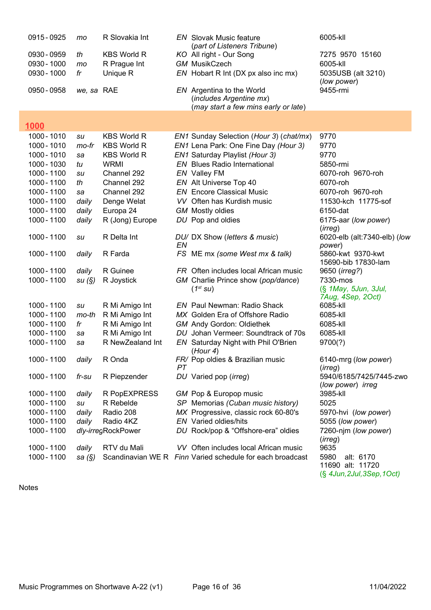| 0915 - 0925 | mo         | R Slovakia Int     |    | <b>EN</b> Slovak Music feature<br>(part of Listeners Tribune) | 6005-kll                                     |
|-------------|------------|--------------------|----|---------------------------------------------------------------|----------------------------------------------|
| 0930 - 0959 | th         | <b>KBS World R</b> |    | KO All right - Our Song                                       | 7275 9570 15160                              |
| 0930 - 1000 | mo         | R Prague Int       |    | <b>GM MusikCzech</b>                                          | 6005-kll                                     |
| 0930 - 1000 | fr         | Unique R           |    | EN Hobart R Int (DX px also inc mx)                           | 5035USB (alt 3210)<br>(low power)            |
| 0950 - 0958 | we, sa RAE |                    |    | EN Argentina to the World<br>(includes Argentine mx)          | 9455-rmi                                     |
|             |            |                    |    | (may start a few mins early or late)                          |                                              |
| 1000        |            |                    |    |                                                               |                                              |
|             |            | <b>KBS World R</b> |    |                                                               |                                              |
| 1000 - 1010 | su         |                    |    | EN1 Sunday Selection (Hour 3) (chat/mx)                       | 9770                                         |
| 1000 - 1010 | mo-fr      | <b>KBS World R</b> |    | EN1 Lena Park: One Fine Day (Hour 3)                          | 9770                                         |
| 1000 - 1010 | sa         | <b>KBS World R</b> |    | EN1 Saturday Playlist (Hour 3)                                | 9770                                         |
| 1000 - 1030 | tu         | <b>WRMI</b>        |    | EN Blues Radio International                                  | 5850-rmi                                     |
| 1000 - 1100 | su         | Channel 292        |    | EN Valley FM                                                  | 6070-roh 9670-roh                            |
| 1000 - 1100 | th         | Channel 292        |    | EN Alt Universe Top 40                                        | 6070-roh                                     |
| 1000 - 1100 | sa         | Channel 292        |    | <b>EN</b> Encore Classical Music                              | 6070-roh 9670-roh                            |
| 1000 - 1100 | daily      | Denge Welat        |    | VV Often has Kurdish music                                    | 11530-kch 11775-sof                          |
| 1000 - 1100 | daily      | Europa 24          |    | <b>GM</b> Mostly oldies                                       | 6150-dat                                     |
| 1000 - 1100 | daily      | R (Jong) Europe    |    | DU Pop and oldies                                             | 6175-aar (low power)<br>(irreg)              |
| 1000 - 1100 | su         | R Delta Int        | EN | DU/ DX Show (letters & music)                                 | 6020-elb (alt:7340-elb) (low<br>power)       |
| 1000 - 1100 | daily      | R Farda            |    | FS ME mx (some West mx & talk)                                | 5860-kwt 9370-kwt<br>15690-bib 17830-lam     |
| 1000 - 1100 | daily      | R Guinee           |    | FR Often includes local African music                         | 9650 ( <i>irreg?</i> )                       |
| 1000 - 1100 | su(S)      | R Joystick         |    | GM Charlie Prince show (pop/dance)                            | 7330-mos                                     |
|             |            |                    |    | $(1^{st}$ SU)                                                 | (§ 1May, 5Jun, 3Jul,<br>7Aug, 4Sep, 2Oct)    |
| 1000 - 1100 | su         | R Mi Amigo Int     |    | <b>EN</b> Paul Newman: Radio Shack                            | 6085-kll                                     |
| 1000 - 1100 | mo-th      | R Mi Amigo Int     |    | MX Golden Era of Offshore Radio                               | 6085-kll                                     |
| 1000 - 1100 | fr         | R Mi Amigo Int     |    | <b>GM</b> Andy Gordon: Oldiethek                              | 6085-kll                                     |
| 1000 - 1100 | sa         | R Mi Amigo Int     |    | DU Johan Vermeer: Soundtrack of 70s                           | 6085-kll                                     |
| 1000 - 1100 | sa         | R NewZealand Int   |    | EN Saturday Night with Phil O'Brien<br>(Hour 4)               | 9700(?)                                      |
| 1000 - 1100 | daily      | R Onda             | PТ | FR/ Pop oldies & Brazilian music                              | 6140-mrg (low power)<br>(irreg)              |
| 1000 - 1100 | $fr$ -su   | R Piepzender       |    | DU Varied pop ( <i>irreg</i> )                                | 5940/6185/7425/7445-zwo<br>(low power) irreg |
| 1000 - 1100 | daily      | R PopEXPRESS       |    | GM Pop & Europop music                                        | 3985-kll                                     |
| 1000 - 1100 | su         | R Rebelde          |    | SP Memorias (Cuban music history)                             | 5025                                         |
| 1000 - 1100 | daily      | Radio 208          |    | MX Progressive, classic rock 60-80's                          | 5970-hvi (low power)                         |
| 1000 - 1100 | daily      | Radio 4KZ          |    | <b>EN</b> Varied oldies/hits                                  | 5055 (low power)                             |
| 1000 - 1100 |            | dly-irregRockPower |    | DU Rock/pop & "Offshore-era" oldies                           | 7260-njm (low power)                         |
|             |            |                    |    |                                                               | (irreg)                                      |
| 1000 - 1100 | daily      | RTV du Mali        |    | VV Often includes local African music                         | 9635                                         |
| 1000 - 1100 | sa $(\S)$  |                    |    | Scandinavian WE R Finn Varied schedule for each broadcast     | 5980<br>alt: 6170<br>11690 alt: 11720        |

(§ 4Jun,2Jul,3Sep,1Oct)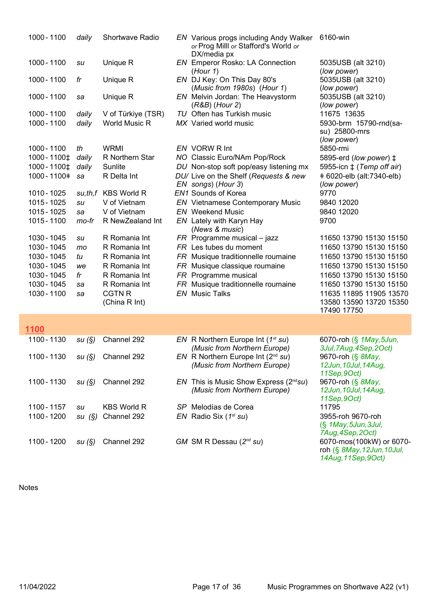| 1000 - 1100            | daily | <b>Shortwave Radio</b> | <b>EN</b> Various progs including Andy Walker<br>or Prog Milll or Stafford's World or<br>DX/media px | 6160-win                                               |
|------------------------|-------|------------------------|------------------------------------------------------------------------------------------------------|--------------------------------------------------------|
| 1000 - 1100            | su    | Unique R               | EN Emperor Rosko: LA Connection<br>(Hour 1)                                                          | 5035USB (alt 3210)<br>(low power)                      |
| 1000 - 1100            | fr    | Unique R               | EN DJ Key: On This Day 80's<br>(Music from 1980s) (Hour 1)                                           | 5035USB (alt 3210)<br>(low power)                      |
| 1000 - 1100            | sa    | Unique R               | EN Melvin Jordan: The Heavystorm<br>$(R&B)$ (Hour 2)                                                 | 5035USB (alt 3210)<br>(low power)                      |
| 1000 - 1100            | daily | V of Türkiye (TSR)     | TU Often has Turkish music                                                                           | 11675 13635                                            |
| 1000 - 1100            | daily | World Music R          | MX Varied world music                                                                                | 5930-brm 15790-rnd(sa-<br>su) 25800-mrs<br>(low power) |
| 1000 - 1100            | th    | <b>WRMI</b>            | EN VORW R Int                                                                                        | 5850-rmi                                               |
| 1000 - 1100 ±          | daily | R Northern Star        | NO Classic Euro/NAm Pop/Rock                                                                         | 5895-erd (low power) ‡                                 |
| 1000 - 1100 $\ddagger$ | daily | Sunlite                | DU Non-stop soft pop/easy listening mx                                                               | 5955-icn $\ddagger$ (Temp off air)                     |
| 1000 - 1100 +          | sa    | R Delta Int            | DU/ Live on the Shelf (Requests & new<br>EN songs) (Hour 3)                                          | +6020-elb (alt:7340-elb)<br>(low power)                |
| 1010 - 1025            |       | su,th,f KBS World R    | EN1 Sounds of Korea                                                                                  | 9770                                                   |
| 1015 - 1025            | su    | V of Vietnam           | <b>EN</b> Vietnamese Contemporary Music                                                              | 9840 12020                                             |
| 1015 - 1025            | sa    | V of Vietnam           | <b>EN</b> Weekend Music                                                                              | 9840 12020                                             |
| 1015 - 1100            | mo-fr | R NewZealand Int       | EN Lately with Karyn Hay<br>(News & music)                                                           | 9700                                                   |
| 1030 - 1045            | su    | R Romania Int          | $FR$ Programme musical - jazz                                                                        | 11650 13790 15130 15150                                |
| 1030 - 1045            | mo    | R Romania Int          | FR Les tubes du moment                                                                               | 11650 13790 15130 15150                                |
| 1030 - 1045            | tu    | R Romania Int          | FR Musique traditionnelle roumaine                                                                   | 11650 13790 15130 15150                                |
| 1030 - 1045            | we    | R Romania Int          | FR Musique classique roumaine                                                                        | 11650 13790 15130 15150                                |
| 1030 - 1045            | fr    | R Romania Int          | FR Programme musical                                                                                 | 11650 13790 15130 15150                                |
| 1030 - 1045            | sa    | R Romania Int          | FR Musique traditionnelle roumaine                                                                   | 11650 13790 15130 15150                                |
| 1030 - 1100            | sa    | <b>CGTN R</b>          | <b>EN</b> Music Talks                                                                                | 11635 11895 11905 13570                                |
|                        |       | (China R Int)          |                                                                                                      | 13580 13590 13720 15350                                |
|                        |       |                        |                                                                                                      | 17490 17750                                            |
| 1100                   |       |                        |                                                                                                      |                                                        |
| 1100 - 1130            | su(S) | Channel 292            | EN R Northern Europe Int $(1^{st} su)$                                                               | 6070-roh (§ 1May, 5Jun,                                |
| 1100 - 1130            |       | Channel 292            | (Music from Northern Europe)<br>EN R Northern Europe Int $(2^{nd} su)$                               | 3Jul, 7Aug, 4Sep, 2Oct)<br>9670-roh (§ 8May,           |
|                        | su(S) |                        | (Music from Northern Europe)                                                                         | 12Jun, 10Jul, 14Aug,                                   |
|                        |       |                        |                                                                                                      | 11Sep, 9Oct)                                           |
| 1100 - 1130            | su(S) | Channel 292            | EN This is Music Show Express ( $2^{nd}su$ )                                                         | 9670-roh (§ 8May,                                      |
|                        |       |                        | (Music from Northern Europe)                                                                         | 12Jun, 10Jul, 14Aug,                                   |
|                        |       |                        |                                                                                                      | 11Sep, 9Oct)                                           |
| 1100 - 1157            | su    | <b>KBS World R</b>     | SP Melodías de Corea                                                                                 | 11795                                                  |
| 1100 - 1200            | su(S) | Channel 292            | $EN$ Radio Six ( $1^{st}$ su)                                                                        | 3955-roh 9670-roh                                      |
|                        |       |                        |                                                                                                      | $(\S$ 1 May, 5 Jun, 3 Jul,<br>7Aug, 4Sep, 2Oct)        |
| 1100 - 1200            | su(S) | Channel 292            | GM SM R Dessau $(2^{nd}$ su)                                                                         | 6070-mos(100kW) or 6070-                               |
|                        |       |                        |                                                                                                      | roh (§ 8May, 12Jun, 10Jul,                             |

14Aug,11Sep,9Oct)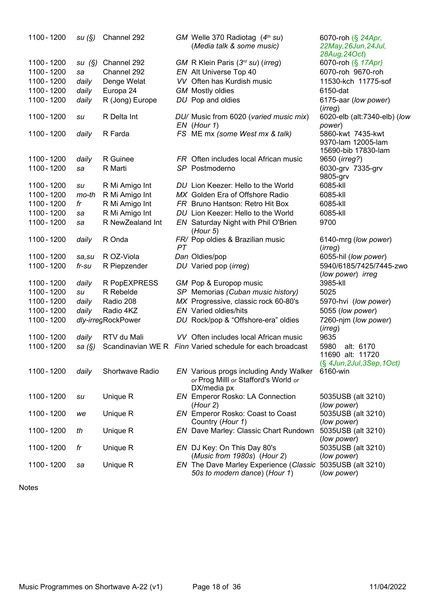| 1100 - 1200 | su(S)  | Channel 292        |    | GM Welle 370 Radiotag $(4th su)$<br>(Media talk & some music)                                        | 6070-roh (§ 24Apr,<br>22May, 26Jun, 24Jul,<br>28Aug, 24Oct)    |
|-------------|--------|--------------------|----|------------------------------------------------------------------------------------------------------|----------------------------------------------------------------|
| 1100 - 1200 | su(S)  | Channel 292        |    | GM R Klein Paris $(3rd su)$ (irreg)                                                                  | 6070-roh (§ 17Apr)                                             |
| 1100 - 1200 | sa     | Channel 292        |    | EN Alt Universe Top 40                                                                               | 6070-roh 9670-roh                                              |
| 1100 - 1200 | daily  | Denge Welat        |    | VV Often has Kurdish music                                                                           | 11530-kch 11775-sof                                            |
| 1100 - 1200 | daily  | Europa 24          |    | <b>GM</b> Mostly oldies                                                                              | 6150-dat                                                       |
| 1100 - 1200 | daily  | R (Jong) Europe    |    | DU Pop and oldies                                                                                    | 6175-aar (low power)                                           |
| 1100 - 1200 | su     | R Delta Int        |    | DU/ Music from 6020 (varied music mix)                                                               | (irreg)<br>6020-elb (alt:7340-elb) (low                        |
|             |        |                    |    | EN (Hour 1)                                                                                          | power)                                                         |
| 1100 - 1200 | daily  | R Farda            |    | FS ME mx (some West mx & talk)                                                                       | 5860-kwt 7435-kwt<br>9370-lam 12005-lam<br>15690-bib 17830-lam |
| 1100 - 1200 | daily  | R Guinee           |    | FR Often includes local African music                                                                | 9650 ( <i>irreg?</i> )                                         |
| 1100 - 1200 | sa     | R Marti            |    | SP Postmoderno                                                                                       | 6030-grv 7335-grv<br>9805-grv                                  |
| 1100 - 1200 | su     | R Mi Amigo Int     |    | DU Lion Keezer: Hello to the World                                                                   | 6085-kll                                                       |
| 1100 - 1200 | mo-th  | R Mi Amigo Int     |    | MX Golden Era of Offshore Radio                                                                      | 6085-kll                                                       |
| 1100 - 1200 | fr     | R Mi Amigo Int     |    | FR Bruno Hantson: Retro Hit Box                                                                      | 6085-kll                                                       |
| 1100 - 1200 | sa     | R Mi Amigo Int     |    | DU Lion Keezer: Hello to the World                                                                   | 6085-kll                                                       |
| 1100 - 1200 | sa     | R NewZealand Int   |    | EN Saturday Night with Phil O'Brien<br>(Hour 5)                                                      | 9700                                                           |
| 1100 - 1200 | daily  | R Onda             | PT | FR/ Pop oldies & Brazilian music                                                                     | 6140-mrg (low power)<br>(irreg)                                |
| 1100 - 1200 | sa, su | R OZ-Viola         |    | Dan Oldies/pop                                                                                       | 6055-hil (low power)                                           |
| 1100 - 1200 | fr-su  | R Piepzender       |    | DU Varied pop (irreg)                                                                                | 5940/6185/7425/7445-zwo<br>(low power) irreg                   |
| 1100 - 1200 | daily  | R PopEXPRESS       |    | GM Pop & Europop music                                                                               | 3985-kll                                                       |
| 1100 - 1200 | su     | R Rebelde          |    | SP Memorias (Cuban music history)                                                                    | 5025                                                           |
| 1100 - 1200 | daily  | Radio 208          |    | MX Progressive, classic rock 60-80's                                                                 | 5970-hvi (low power)                                           |
| 1100 - 1200 | daily  | Radio 4KZ          |    | EN Varied oldies/hits                                                                                | 5055 (low power)                                               |
| 1100 - 1200 |        | dly-irregRockPower |    | DU Rock/pop & "Offshore-era" oldies                                                                  | 7260-njm (low power)<br>(irreg)                                |
| 1100 - 1200 | daily  | RTV du Mali        |    | VV Often includes local African music                                                                | 9635                                                           |
| 1100 - 1200 | sa (§) |                    |    | Scandinavian WE R Finn Varied schedule for each broadcast                                            | 5980<br>alt: 6170                                              |
|             |        |                    |    |                                                                                                      | 11690 alt: 11720<br>(§ 4Jun, 2Jul, 3Sep, 1Oct)                 |
| 1100 - 1200 | daily  | Shortwave Radio    |    | <b>EN</b> Various progs including Andy Walker<br>or Prog Milll or Stafford's World or<br>DX/media px | 6160-win                                                       |
| 1100 - 1200 | su     | Unique R           |    | EN Emperor Rosko: LA Connection<br>(Hour 2)                                                          | 5035USB (alt 3210)<br>(low power)                              |
| 1100 - 1200 | we     | Unique R           |    | EN Emperor Rosko: Coast to Coast<br>Country (Hour 1)                                                 | 5035USB (alt 3210)<br>(low power)                              |
| 1100 - 1200 | th     | Unique R           |    | EN Dave Marley: Classic Chart Rundown                                                                | 5035USB (alt 3210)                                             |
| 1100 - 1200 | fr     | Unique R           |    | EN DJ Key: On This Day 80's                                                                          | (low power)<br>5035USB (alt 3210)                              |
| 1100 - 1200 | sa     | Unique R           |    | (Music from 1980s) (Hour 2)<br>EN The Dave Marley Experience (Classic                                | (low power)<br>5035USB (alt 3210)                              |
|             |        |                    |    | 50s to modern dance) (Hour 1)                                                                        | (low power)                                                    |

```
Notes
```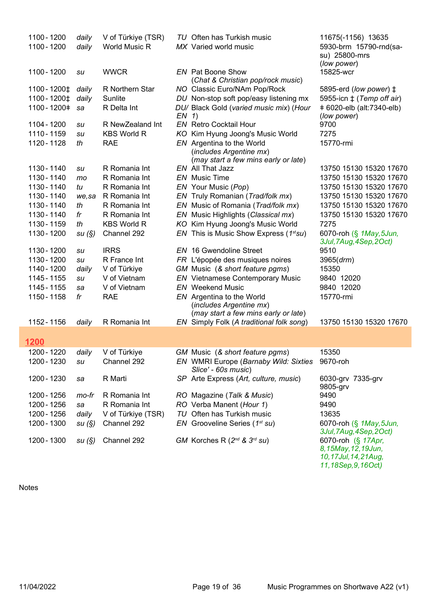| 1100 - 1200   | daily  | V of Türkiye (TSR) |         | TU Often has Turkish music                                                                   | 11675(-1156) 13635                                 |
|---------------|--------|--------------------|---------|----------------------------------------------------------------------------------------------|----------------------------------------------------|
| 1100 - 1200   | daily  | World Music R      |         | MX Varied world music                                                                        | 5930-brm 15790-rnd(sa-                             |
|               |        |                    |         |                                                                                              | su) 25800-mrs<br>(low power)                       |
| 1100 - 1200   | su     | <b>WWCR</b>        |         | <b>EN</b> Pat Boone Show                                                                     | 15825-wcr                                          |
|               |        |                    |         | (Chat & Christian pop/rock music)                                                            |                                                    |
| 1100 - 1200‡  | daily  | R Northern Star    |         | NO Classic Euro/NAm Pop/Rock                                                                 | 5895-erd (low power) ‡                             |
| 1100 - 1200‡  | daily  | Sunlite            |         | DU Non-stop soft pop/easy listening mx                                                       | 5955-icn $\pm$ (Temp off air)                      |
| 1100 - 1200 + | sa     | R Delta Int        | $EN$ 1) | DU/ Black Gold (varied music mix) (Hour                                                      | + 6020-elb (alt:7340-elb)<br>(low power)           |
| 1104 - 1200   | su     | R NewZealand Int   |         | <b>EN</b> Retro Cocktail Hour                                                                | 9700                                               |
| 1110 - 1159   | su     | <b>KBS World R</b> |         | KO Kim Hyung Joong's Music World                                                             | 7275                                               |
| 1120 - 1128   | th     | <b>RAE</b>         |         | EN Argentina to the World<br>(includes Argentine mx)<br>(may start a few mins early or late) | 15770-rmi                                          |
| 1130 - 1140   | su     | R Romania Int      |         | EN All That Jazz                                                                             | 13750 15130 15320 17670                            |
| 1130 - 1140   | mo     | R Romania Int      |         | <b>EN</b> Music Time                                                                         | 13750 15130 15320 17670                            |
| 1130 - 1140   | tu     | R Romania Int      |         | EN Your Music (Pop)                                                                          | 13750 15130 15320 17670                            |
| 1130 - 1140   | we, sa | R Romania Int      |         | EN Truly Romanian (Trad/folk mx)                                                             | 13750 15130 15320 17670                            |
| 1130 - 1140   | th     | R Romania Int      |         | EN Music of Romania (Trad/folk mx)                                                           | 13750 15130 15320 17670                            |
| 1130 - 1140   | fr     | R Romania Int      |         | EN Music Highlights (Classical mx)                                                           | 13750 15130 15320 17670                            |
| 1130 - 1159   | th     | <b>KBS World R</b> | KO      | Kim Hyung Joong's Music World                                                                | 7275                                               |
| 1130 - 1200   | su (§) | Channel 292        |         | EN This is Music Show Express ( $1^{st}su$ )                                                 | 6070-roh (§ 1May, 5Jun,<br>3Jul, 7Aug, 4Sep, 2Oct) |
| 1130 - 1200   | su     | <b>IRRS</b>        |         | <b>EN</b> 16 Gwendoline Street                                                               | 9510                                               |
| 1130 - 1200   | su     | R France Int       |         | FR L'épopée des musiques noires                                                              | 3965(drm)                                          |
| 1140 - 1200   | daily  | V of Türkiye       |         | GM Music (& short feature pgms)                                                              | 15350                                              |
| 1145 - 1155   | su     | V of Vietnam       |         | <b>EN</b> Vietnamese Contemporary Music                                                      | 9840 12020                                         |
| 1145 - 1155   | sa     | V of Vietnam       |         | <b>EN</b> Weekend Music                                                                      | 9840 12020                                         |
| 1150 - 1158   | fr     | <b>RAE</b>         |         | EN Argentina to the World<br>(includes Argentine mx)<br>(may start a few mins early or late) | 15770-rmi                                          |
| 1152 - 1156   | daily  | R Romania Int      |         | EN Simply Folk (A traditional folk song)                                                     | 13750 15130 15320 17670                            |
|               |        |                    |         |                                                                                              |                                                    |
| 1200          |        |                    |         |                                                                                              |                                                    |
| 1200 - 1220   | daily  | V of Türkiye       |         | GM Music (& short feature pgms)                                                              | 15350                                              |
| 1200 - 1230   | su     | Channel 292        |         | EN WMRI Europe (Barnaby Wild: Sixties 9670-roh<br>Slice' - 60s music)                        |                                                    |
| 1200 - 1230   | sa     | R Marti            |         | SP Arte Express (Art, culture, music)                                                        | 6030-grv 7335-grv<br>9805-grv                      |
| 1200 - 1256   | mo-fr  | R Romania Int      |         | RO Magazine (Talk & Music)                                                                   | 9490                                               |
| 1200 - 1256   | sa     | R Romania Int      |         | RO Verba Manent (Hour 1)                                                                     | 9490                                               |
| 1200 - 1256   | daily  | V of Türkiye (TSR) | TU      | Often has Turkish music                                                                      | 13635                                              |
| 1200 - 1300   | su (§) | Channel 292        |         | EN Grooveline Series ( $1^{st}$ su)                                                          | 6070-roh (§ 1May, 5Jun,                            |
|               |        |                    |         |                                                                                              | 3Jul, 7Aug, 4Sep, 2Oct)                            |
| 1200 - 1300   | su(S)  | Channel 292        |         | GM Korches R $(2^{nd}$ & $3^{rd}$ su)                                                        | 6070-roh (§ 17Apr,<br>8, 15May, 12, 19Jun,         |
|               |        |                    |         |                                                                                              | 10,17Jul,14,21Aug,                                 |

```
11,18Sep,9,16Oct)
```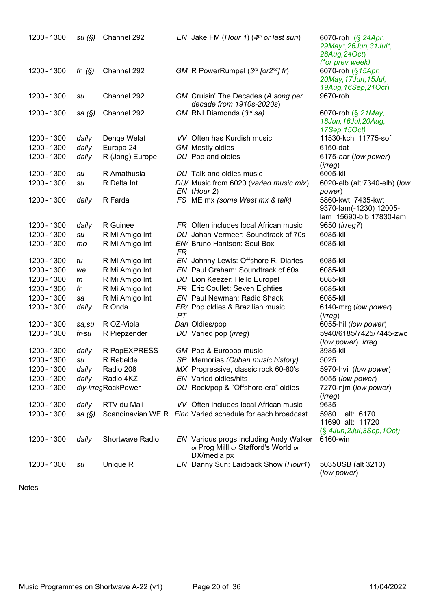| 1200 - 1300 | su(S)     | Channel 292        |    | EN Jake FM (Hour 1) $(4th$ or last sun)                                                       | 6070-roh (§ 24Apr,<br>29May*, 26Jun, 31Jul*,<br>28Aug, 24Oct)<br>(*or prev week) |
|-------------|-----------|--------------------|----|-----------------------------------------------------------------------------------------------|----------------------------------------------------------------------------------|
| 1200 - 1300 | fr $(S)$  | Channel 292        |    | GM R PowerRumpel $(3^{rd}$ [or $2^{nd}$ ] fr)                                                 | 6070-roh (§15Apr,<br>20May, 17Jun, 15Jul,<br>19Aug, 16Sep, 21Oct)                |
| 1200 - 1300 | su        | Channel 292        |    | GM Cruisin' The Decades (A song per<br>decade from 1910s-2020s)                               | 9670-roh                                                                         |
| 1200 - 1300 | sa $(\S)$ | Channel 292        |    | GM RNI Diamonds (3rd sa)                                                                      | 6070-roh (§ 21May,<br>18Jun, 16Jul, 20Aug,<br>17Sep, 15Oct)                      |
| 1200 - 1300 | daily     | Denge Welat        |    | VV Often has Kurdish music                                                                    | 11530-kch 11775-sof                                                              |
| 1200 - 1300 | daily     | Europa 24          |    | <b>GM</b> Mostly oldies                                                                       | 6150-dat                                                                         |
| 1200 - 1300 | daily     | R (Jong) Europe    |    | DU Pop and oldies                                                                             | 6175-aar (low power)<br>(irreg)                                                  |
| 1200 - 1300 | su        | R Amathusia        |    | DU Talk and oldies music                                                                      | 6005-kll                                                                         |
| 1200 - 1300 | su        | R Delta Int        |    | DU/ Music from 6020 (varied music mix)<br>$EN$ (Hour 2)                                       | 6020-elb (alt:7340-elb) (low<br>power)                                           |
| 1200 - 1300 | daily     | R Farda            |    | FS ME mx (some West mx & talk)                                                                | 5860-kwt 7435-kwt<br>9370-lam(-1230) 12005-<br>lam 15690-bib 17830-lam           |
| 1200 - 1300 | daily     | R Guinee           |    | FR Often includes local African music                                                         | 9650 ( <i>irreg?</i> )                                                           |
| 1200 - 1300 | su        | R Mi Amigo Int     |    | DU Johan Vermeer: Soundtrack of 70s                                                           | 6085-kll                                                                         |
| 1200 - 1300 | mo        | R Mi Amigo Int     | FR | EN/ Bruno Hantson: Soul Box                                                                   | 6085-kll                                                                         |
| 1200 - 1300 | tu        | R Mi Amigo Int     |    | EN Johnny Lewis: Offshore R. Diaries                                                          | 6085-kll                                                                         |
| 1200 - 1300 | we        | R Mi Amigo Int     |    | EN Paul Graham: Soundtrack of 60s                                                             | 6085-kll                                                                         |
| 1200 - 1300 | th        | R Mi Amigo Int     |    | DU Lion Keezer: Hello Europe!                                                                 | 6085-kll                                                                         |
| 1200 - 1300 | fr        | R Mi Amigo Int     |    | FR Eric Coullet: Seven Eighties                                                               | 6085-kll                                                                         |
| 1200 - 1300 | sa        | R Mi Amigo Int     |    | <b>EN</b> Paul Newman: Radio Shack                                                            | 6085-kll                                                                         |
| 1200 - 1300 | daily     | R Onda             | PT | FR/ Pop oldies & Brazilian music                                                              | 6140-mrg (low power)<br>(irreg)                                                  |
| 1200 - 1300 | sa, su    | R OZ-Viola         |    | Dan Oldies/pop                                                                                | 6055-hil (low power)                                                             |
| 1200 - 1300 | fr-su     | R Piepzender       |    | DU Varied pop (irreg)                                                                         | 5940/6185/7425/7445-zwo<br>(low power) irreg                                     |
| 1200 - 1300 | daily     | R PopEXPRESS       |    | GM Pop & Europop music                                                                        | 3985-kll                                                                         |
| 1200 - 1300 | su        | R Rebelde          |    | SP Memorias (Cuban music history)                                                             | 5025                                                                             |
| 1200 - 1300 | daily     | Radio 208          |    | MX Progressive, classic rock 60-80's                                                          | 5970-hvi (low power)                                                             |
| 1200 - 1300 | daily     | Radio 4KZ          |    | EN Varied oldies/hits                                                                         | 5055 (low power)                                                                 |
| 1200 - 1300 |           | dly-irregRockPower |    | DU Rock/pop & "Offshore-era" oldies                                                           | 7270-njm (low power)<br>(irreg)                                                  |
| 1200 - 1300 | daily     | RTV du Mali        |    | VV Often includes local African music                                                         | 9635                                                                             |
| 1200 - 1300 | sa (§)    |                    |    | Scandinavian WE R Finn Varied schedule for each broadcast                                     | 5980<br>alt: 6170<br>11690 alt: 11720                                            |
| 1200 - 1300 | daily     | Shortwave Radio    |    | EN Various progs including Andy Walker<br>or Prog Milll or Stafford's World or<br>DX/media px | $(\S$ 4Jun, 2Jul, 3Sep, 1Oct)<br>6160-win                                        |
| 1200 - 1300 | su        | Unique R           |    | EN Danny Sun: Laidback Show (Hour1)                                                           | 5035USB (alt 3210)<br>(low power)                                                |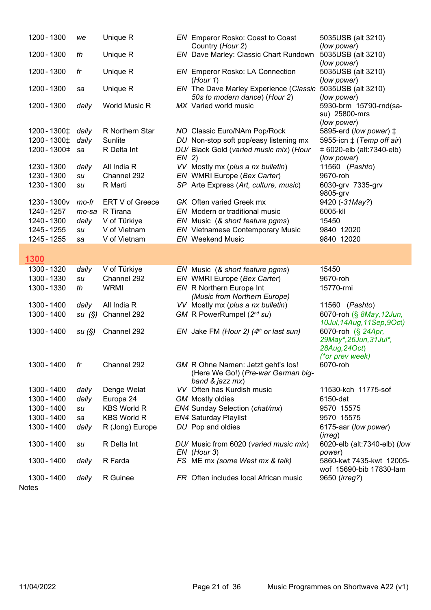| 1200 - 1300   | we    | Unique R           |         | <b>EN</b> Emperor Rosko: Coast to Coast<br>Country (Hour 2)                                 | 5035USB (alt 3210)<br>(low power)                                                |
|---------------|-------|--------------------|---------|---------------------------------------------------------------------------------------------|----------------------------------------------------------------------------------|
| 1200 - 1300   | th    | Unique R           |         | EN Dave Marley: Classic Chart Rundown                                                       | 5035USB (alt 3210)<br>(low power)                                                |
| 1200 - 1300   | fr    | Unique R           |         | <b>EN</b> Emperor Rosko: LA Connection<br>(Hour 1)                                          | 5035USB (alt 3210)<br>(low power)                                                |
| 1200 - 1300   | sa    | Unique R           |         | EN The Dave Marley Experience (Classic<br>50s to modern dance) (Hour 2)                     | 5035USB (alt 3210)<br>(low power)                                                |
| 1200 - 1300   | daily | World Music R      |         | MX Varied world music                                                                       | 5930-brm 15790-rnd(sa-<br>su) 25800-mrs<br>(low power)                           |
| 1200 - 1300 ± | daily | R Northern Star    |         | NO Classic Euro/NAm Pop/Rock                                                                | 5895-erd (low power) ‡                                                           |
| 1200 - 1300 ± | daily | Sunlite            |         | DU Non-stop soft pop/easy listening mx                                                      | 5955-icn $\ddagger$ (Temp off air)                                               |
| 1200 - 1300 + | sa    | R Delta Int        | $EN$ 2) | DU/ Black Gold (varied music mix) (Hour                                                     | +6020-elb (alt:7340-elb)<br>(low power)                                          |
| 1230 - 1300   | daily | All India R        |         | VV Mostly mx (plus a nx bulletin)                                                           | 11560 (Pashto)                                                                   |
| 1230 - 1300   | su    | Channel 292        |         | EN WMRI Europe (Bex Carter)                                                                 | 9670-roh                                                                         |
| 1230 - 1300   | su    | R Marti            |         | SP Arte Express (Art, culture, music)                                                       | 6030-grv 7335-grv<br>9805-grv                                                    |
| 1230 - 1300v  | mo-fr | ERT V of Greece    |         | <b>GK</b> Often varied Greek mx                                                             | 9420 (-31May?)                                                                   |
| 1240 - 1257   | mo-sa | R Tirana           |         | EN Modern or traditional music                                                              | 6005-kll                                                                         |
| 1240 - 1300   | daily | V of Türkiye       |         | EN Music (& short feature pgms)                                                             | 15450                                                                            |
| 1245 - 1255   | su    | V of Vietnam       |         | <b>EN</b> Vietnamese Contemporary Music                                                     | 9840 12020                                                                       |
| 1245 - 1255   | sa    | V of Vietnam       |         | <b>EN</b> Weekend Music                                                                     | 9840 12020                                                                       |
| 1300          |       |                    |         |                                                                                             |                                                                                  |
| 1300 - 1320   | daily | V of Türkiye       |         | EN Music (& short feature pgms)                                                             | 15450                                                                            |
| 1300 - 1330   | su    | Channel 292        |         | EN WMRI Europe (Bex Carter)                                                                 | 9670-roh                                                                         |
| 1300 - 1330   | th    | <b>WRMI</b>        |         | EN R Northern Europe Int<br>(Music from Northern Europe)                                    | 15770-rmi                                                                        |
| 1300 - 1400   | daily | All India R        |         | VV Mostly mx (plus a nx bulletin)                                                           | 11560 (Pashto)                                                                   |
| 1300 - 1400   | su(S) | Channel 292        |         | GM R PowerRumpel (2nd su)                                                                   | 6070-roh (§ 8May, 12Jun,<br>10Jul, 14Aug, 11Sep, 9Oct)                           |
| 1300 - 1400   | su(S) | Channel 292        |         | EN Jake FM (Hour 2) $(4th$ or last sun)                                                     | 6070-roh (§ 24Apr,<br>29May*, 26Jun, 31Jul*,<br>28Aug, 24Oct)<br>(*or prev week) |
| 1300 - 1400   | fr    | Channel 292        |         | GM R Ohne Namen: Jetzt geht's los!<br>(Here We Go!) (Pre-war German big-<br>band & jazz mx) | 6070-roh                                                                         |
| 1300 - 1400   | daily | Denge Welat        |         | VV Often has Kurdish music                                                                  | 11530-kch 11775-sof                                                              |
| 1300 - 1400   | daily | Europa 24          |         | <b>GM</b> Mostly oldies                                                                     | 6150-dat                                                                         |
| 1300 - 1400   | su    | <b>KBS World R</b> |         | EN4 Sunday Selection (chat/mx)                                                              | 9570 15575                                                                       |
| 1300 - 1400   | sa    | <b>KBS World R</b> |         | <b>EN4 Saturday Playlist</b>                                                                | 9570 15575                                                                       |
| 1300 - 1400   | daily | R (Jong) Europe    |         | DU Pop and oldies                                                                           | 6175-aar (low power)<br>(irreg)                                                  |
| 1300 - 1400   | su    | R Delta Int        |         | DU/ Music from 6020 (varied music mix)<br>$EN$ (Hour 3)                                     | 6020-elb (alt:7340-elb) (low<br>power)                                           |
| 1300 - 1400   | daily | R Farda            |         | FS ME mx (some West mx & talk)                                                              | 5860-kwt 7435-kwt 12005-<br>wof 15690-bib 17830-lam                              |
| 1300 - 1400   | daily | R Guinee           |         | FR Often includes local African music                                                       | 9650 (irreg?)                                                                    |
| <b>Notes</b>  |       |                    |         |                                                                                             |                                                                                  |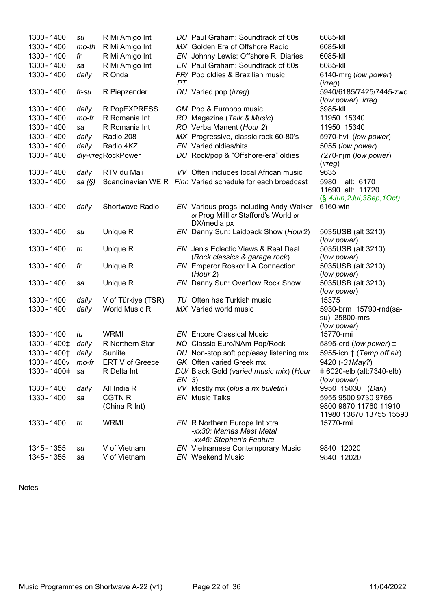| MX Golden Era of Offshore Radio<br>6085-kll<br>EN Johnny Lewis: Offshore R. Diaries<br>6085-kll<br>EN Paul Graham: Soundtrack of 60s<br>6085-kll<br>FR/ Pop oldies & Brazilian music<br>6140-mrg (low power)<br>(irreg) |                                                                                                                                                                                                                                                                                                                                                                                                                                                                                                                                                                                                                                                                                                                                                                                                                                                                                                                                                                                                                                                                                                                                                                                                                                                  |
|-------------------------------------------------------------------------------------------------------------------------------------------------------------------------------------------------------------------------|--------------------------------------------------------------------------------------------------------------------------------------------------------------------------------------------------------------------------------------------------------------------------------------------------------------------------------------------------------------------------------------------------------------------------------------------------------------------------------------------------------------------------------------------------------------------------------------------------------------------------------------------------------------------------------------------------------------------------------------------------------------------------------------------------------------------------------------------------------------------------------------------------------------------------------------------------------------------------------------------------------------------------------------------------------------------------------------------------------------------------------------------------------------------------------------------------------------------------------------------------|
|                                                                                                                                                                                                                         |                                                                                                                                                                                                                                                                                                                                                                                                                                                                                                                                                                                                                                                                                                                                                                                                                                                                                                                                                                                                                                                                                                                                                                                                                                                  |
|                                                                                                                                                                                                                         |                                                                                                                                                                                                                                                                                                                                                                                                                                                                                                                                                                                                                                                                                                                                                                                                                                                                                                                                                                                                                                                                                                                                                                                                                                                  |
|                                                                                                                                                                                                                         |                                                                                                                                                                                                                                                                                                                                                                                                                                                                                                                                                                                                                                                                                                                                                                                                                                                                                                                                                                                                                                                                                                                                                                                                                                                  |
|                                                                                                                                                                                                                         |                                                                                                                                                                                                                                                                                                                                                                                                                                                                                                                                                                                                                                                                                                                                                                                                                                                                                                                                                                                                                                                                                                                                                                                                                                                  |
|                                                                                                                                                                                                                         |                                                                                                                                                                                                                                                                                                                                                                                                                                                                                                                                                                                                                                                                                                                                                                                                                                                                                                                                                                                                                                                                                                                                                                                                                                                  |
|                                                                                                                                                                                                                         |                                                                                                                                                                                                                                                                                                                                                                                                                                                                                                                                                                                                                                                                                                                                                                                                                                                                                                                                                                                                                                                                                                                                                                                                                                                  |
|                                                                                                                                                                                                                         |                                                                                                                                                                                                                                                                                                                                                                                                                                                                                                                                                                                                                                                                                                                                                                                                                                                                                                                                                                                                                                                                                                                                                                                                                                                  |
|                                                                                                                                                                                                                         |                                                                                                                                                                                                                                                                                                                                                                                                                                                                                                                                                                                                                                                                                                                                                                                                                                                                                                                                                                                                                                                                                                                                                                                                                                                  |
|                                                                                                                                                                                                                         |                                                                                                                                                                                                                                                                                                                                                                                                                                                                                                                                                                                                                                                                                                                                                                                                                                                                                                                                                                                                                                                                                                                                                                                                                                                  |
| <b>EN</b> Varied oldies/hits                                                                                                                                                                                            |                                                                                                                                                                                                                                                                                                                                                                                                                                                                                                                                                                                                                                                                                                                                                                                                                                                                                                                                                                                                                                                                                                                                                                                                                                                  |
|                                                                                                                                                                                                                         |                                                                                                                                                                                                                                                                                                                                                                                                                                                                                                                                                                                                                                                                                                                                                                                                                                                                                                                                                                                                                                                                                                                                                                                                                                                  |
| (irreg)                                                                                                                                                                                                                 |                                                                                                                                                                                                                                                                                                                                                                                                                                                                                                                                                                                                                                                                                                                                                                                                                                                                                                                                                                                                                                                                                                                                                                                                                                                  |
| VV Often includes local African music<br>9635                                                                                                                                                                           |                                                                                                                                                                                                                                                                                                                                                                                                                                                                                                                                                                                                                                                                                                                                                                                                                                                                                                                                                                                                                                                                                                                                                                                                                                                  |
| Scandinavian WE R Finn Varied schedule for each broadcast<br>5980<br>alt: 6170<br>11690 alt: 11720                                                                                                                      |                                                                                                                                                                                                                                                                                                                                                                                                                                                                                                                                                                                                                                                                                                                                                                                                                                                                                                                                                                                                                                                                                                                                                                                                                                                  |
|                                                                                                                                                                                                                         |                                                                                                                                                                                                                                                                                                                                                                                                                                                                                                                                                                                                                                                                                                                                                                                                                                                                                                                                                                                                                                                                                                                                                                                                                                                  |
| or Prog Milll or Stafford's World or                                                                                                                                                                                    |                                                                                                                                                                                                                                                                                                                                                                                                                                                                                                                                                                                                                                                                                                                                                                                                                                                                                                                                                                                                                                                                                                                                                                                                                                                  |
|                                                                                                                                                                                                                         |                                                                                                                                                                                                                                                                                                                                                                                                                                                                                                                                                                                                                                                                                                                                                                                                                                                                                                                                                                                                                                                                                                                                                                                                                                                  |
| (low power)                                                                                                                                                                                                             |                                                                                                                                                                                                                                                                                                                                                                                                                                                                                                                                                                                                                                                                                                                                                                                                                                                                                                                                                                                                                                                                                                                                                                                                                                                  |
| EN Jen's Eclectic Views & Real Deal<br>5035USB (alt 3210)                                                                                                                                                               |                                                                                                                                                                                                                                                                                                                                                                                                                                                                                                                                                                                                                                                                                                                                                                                                                                                                                                                                                                                                                                                                                                                                                                                                                                                  |
| (low power)                                                                                                                                                                                                             |                                                                                                                                                                                                                                                                                                                                                                                                                                                                                                                                                                                                                                                                                                                                                                                                                                                                                                                                                                                                                                                                                                                                                                                                                                                  |
|                                                                                                                                                                                                                         |                                                                                                                                                                                                                                                                                                                                                                                                                                                                                                                                                                                                                                                                                                                                                                                                                                                                                                                                                                                                                                                                                                                                                                                                                                                  |
|                                                                                                                                                                                                                         |                                                                                                                                                                                                                                                                                                                                                                                                                                                                                                                                                                                                                                                                                                                                                                                                                                                                                                                                                                                                                                                                                                                                                                                                                                                  |
|                                                                                                                                                                                                                         |                                                                                                                                                                                                                                                                                                                                                                                                                                                                                                                                                                                                                                                                                                                                                                                                                                                                                                                                                                                                                                                                                                                                                                                                                                                  |
|                                                                                                                                                                                                                         |                                                                                                                                                                                                                                                                                                                                                                                                                                                                                                                                                                                                                                                                                                                                                                                                                                                                                                                                                                                                                                                                                                                                                                                                                                                  |
|                                                                                                                                                                                                                         |                                                                                                                                                                                                                                                                                                                                                                                                                                                                                                                                                                                                                                                                                                                                                                                                                                                                                                                                                                                                                                                                                                                                                                                                                                                  |
|                                                                                                                                                                                                                         |                                                                                                                                                                                                                                                                                                                                                                                                                                                                                                                                                                                                                                                                                                                                                                                                                                                                                                                                                                                                                                                                                                                                                                                                                                                  |
|                                                                                                                                                                                                                         |                                                                                                                                                                                                                                                                                                                                                                                                                                                                                                                                                                                                                                                                                                                                                                                                                                                                                                                                                                                                                                                                                                                                                                                                                                                  |
| 15770-rmi<br><b>EN</b> Encore Classical Music                                                                                                                                                                           |                                                                                                                                                                                                                                                                                                                                                                                                                                                                                                                                                                                                                                                                                                                                                                                                                                                                                                                                                                                                                                                                                                                                                                                                                                                  |
|                                                                                                                                                                                                                         |                                                                                                                                                                                                                                                                                                                                                                                                                                                                                                                                                                                                                                                                                                                                                                                                                                                                                                                                                                                                                                                                                                                                                                                                                                                  |
| DU Non-stop soft pop/easy listening mx                                                                                                                                                                                  |                                                                                                                                                                                                                                                                                                                                                                                                                                                                                                                                                                                                                                                                                                                                                                                                                                                                                                                                                                                                                                                                                                                                                                                                                                                  |
| GK Often varied Greek mx                                                                                                                                                                                                |                                                                                                                                                                                                                                                                                                                                                                                                                                                                                                                                                                                                                                                                                                                                                                                                                                                                                                                                                                                                                                                                                                                                                                                                                                                  |
|                                                                                                                                                                                                                         |                                                                                                                                                                                                                                                                                                                                                                                                                                                                                                                                                                                                                                                                                                                                                                                                                                                                                                                                                                                                                                                                                                                                                                                                                                                  |
| (low power)                                                                                                                                                                                                             |                                                                                                                                                                                                                                                                                                                                                                                                                                                                                                                                                                                                                                                                                                                                                                                                                                                                                                                                                                                                                                                                                                                                                                                                                                                  |
| VV Mostly mx (plus a nx bulletin)<br>9950 15030 (Dari)                                                                                                                                                                  |                                                                                                                                                                                                                                                                                                                                                                                                                                                                                                                                                                                                                                                                                                                                                                                                                                                                                                                                                                                                                                                                                                                                                                                                                                                  |
| <b>EN</b> Music Talks<br>5955 9500 9730 9765                                                                                                                                                                            |                                                                                                                                                                                                                                                                                                                                                                                                                                                                                                                                                                                                                                                                                                                                                                                                                                                                                                                                                                                                                                                                                                                                                                                                                                                  |
|                                                                                                                                                                                                                         |                                                                                                                                                                                                                                                                                                                                                                                                                                                                                                                                                                                                                                                                                                                                                                                                                                                                                                                                                                                                                                                                                                                                                                                                                                                  |
|                                                                                                                                                                                                                         |                                                                                                                                                                                                                                                                                                                                                                                                                                                                                                                                                                                                                                                                                                                                                                                                                                                                                                                                                                                                                                                                                                                                                                                                                                                  |
| -xx30: Mamas Mest Metal                                                                                                                                                                                                 |                                                                                                                                                                                                                                                                                                                                                                                                                                                                                                                                                                                                                                                                                                                                                                                                                                                                                                                                                                                                                                                                                                                                                                                                                                                  |
|                                                                                                                                                                                                                         |                                                                                                                                                                                                                                                                                                                                                                                                                                                                                                                                                                                                                                                                                                                                                                                                                                                                                                                                                                                                                                                                                                                                                                                                                                                  |
| <b>EN</b> Weekend Music<br>9840 12020                                                                                                                                                                                   |                                                                                                                                                                                                                                                                                                                                                                                                                                                                                                                                                                                                                                                                                                                                                                                                                                                                                                                                                                                                                                                                                                                                                                                                                                                  |
|                                                                                                                                                                                                                         | DU Varied pop (irreg)<br>5940/6185/7425/7445-zwo<br>(low power) irreg<br>3985-kll<br>GM Pop & Europop music<br>RO Magazine (Talk & Music)<br>11950 15340<br>RO Verba Manent (Hour 2)<br>11950 15340<br>MX Progressive, classic rock 60-80's<br>5970-hvi (low power)<br>5055 (low power)<br>DU Rock/pop & "Offshore-era" oldies<br>7270-njm (low power)<br>$(\S$ 4Jun, 2Jul, 3Sep, 1Oct)<br>EN Various progs including Andy Walker<br>6160-win<br>DX/media px<br>EN Danny Sun: Laidback Show (Hour2)<br>5035USB (alt 3210)<br>(Rock classics & garage rock)<br><b>EN</b> Emperor Rosko: LA Connection<br>5035USB (alt 3210)<br>(Hour 2)<br>(low power)<br><b>EN</b> Danny Sun: Overflow Rock Show<br>5035USB (alt 3210)<br>(low power)<br>TU Often has Turkish music<br>15375<br>MX Varied world music<br>5930-brm 15790-rnd(sa-<br>su) 25800-mrs<br>(low power)<br>NO Classic Euro/NAm Pop/Rock<br>5895-erd (low power) ‡<br>5955-icn $\ddagger$ (Temp off air)<br>9420 (-31May?)<br># 6020-elb (alt:7340-elb)<br>DU/ Black Gold (varied music mix) (Hour<br>9800 9870 11760 11910<br>11980 13670 13755 15590<br>EN R Northern Europe Int xtra<br>15770-rmi<br>-xx45: Stephen's Feature<br>9840 12020<br><b>EN</b> Vietnamese Contemporary Music |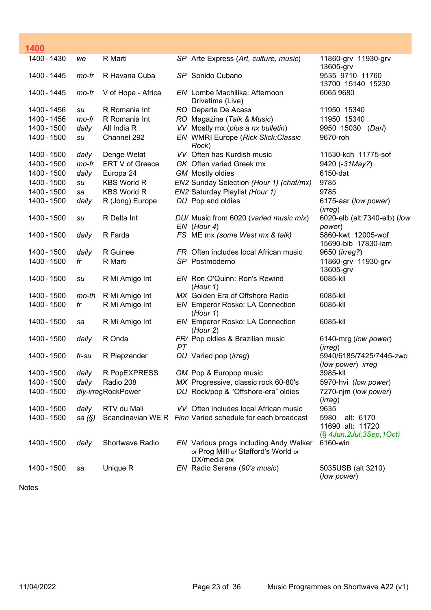| 1400        |        |                    |    |                                                                                                      |                                                                        |
|-------------|--------|--------------------|----|------------------------------------------------------------------------------------------------------|------------------------------------------------------------------------|
| 1400 - 1430 | we     | R Marti            |    | SP Arte Express (Art, culture, music)                                                                | 11860-grv 11930-grv<br>13605-grv                                       |
| 1400 - 1445 | mo-fr  | R Havana Cuba      |    | SP Sonido Cubano                                                                                     | 9535 9710 11760<br>13700 15140 15230                                   |
| 1400 - 1445 | mo-fr  | V of Hope - Africa |    | EN Lombe Machilika: Afternoon<br>Drivetime (Live)                                                    | 6065 9680                                                              |
| 1400 - 1456 | su     | R Romania Int      |    | RO Departe De Acasă                                                                                  | 11950 15340                                                            |
| 1400 - 1456 | mo-fr  | R Romania Int      |    | RO Magazine (Talk & Music)                                                                           | 11950 15340                                                            |
| 1400 - 1500 | daily  | All India R        |    | VV Mostly mx (plus a nx bulletin)                                                                    | 9950 15030 (Dari)                                                      |
| 1400 - 1500 | su     | Channel 292        |    | EN WMRI Europe (Rick Slick: Classic<br>Rock)                                                         | 9670-roh                                                               |
| 1400 - 1500 | daily  | Denge Welat        |    | VV Often has Kurdish music                                                                           | 11530-kch 11775-sof                                                    |
| 1400 - 1500 | mo-fr  | ERT V of Greece    |    | GK Often varied Greek mx                                                                             | 9420 (-31May?)                                                         |
| 1400 - 1500 | daily  | Europa 24          |    | <b>GM</b> Mostly oldies                                                                              | 6150-dat                                                               |
| 1400 - 1500 | su     | <b>KBS World R</b> |    | EN2 Sunday Selection (Hour 1) (chat/mx)                                                              | 9785                                                                   |
| 1400 - 1500 | sa     | <b>KBS World R</b> |    | EN2 Saturday Playlist (Hour 1)                                                                       | 9785                                                                   |
| 1400 - 1500 | daily  | R (Jong) Europe    |    | DU Pop and oldies                                                                                    | 6175-aar (low power)<br>(irreg)                                        |
| 1400 - 1500 | su     | R Delta Int        |    | DU/ Music from 6020 (varied music mix)<br>EN (Hour 4)                                                | 6020-elb (alt:7340-elb) (low<br>power)                                 |
| 1400 - 1500 | daily  | R Farda            |    | FS ME mx (some West mx & talk)                                                                       | 5860-kwt 12005-wof<br>15690-bib 17830-lam                              |
| 1400 - 1500 | daily  | R Guinee           |    | FR Often includes local African music                                                                | 9650 (irreg?)                                                          |
| 1400 - 1500 | fr     | R Marti            |    | SP Postmoderno                                                                                       | 11860-grv 11930-grv<br>13605-grv                                       |
| 1400 - 1500 | su     | R Mi Amigo Int     |    | EN Ron O'Quinn: Ron's Rewind<br>(Hour 1)                                                             | 6085-kll                                                               |
| 1400 - 1500 | mo-th  | R Mi Amigo Int     |    | MX Golden Era of Offshore Radio                                                                      | 6085-kll                                                               |
| 1400 - 1500 | fr     | R Mi Amigo Int     |    | <b>EN</b> Emperor Rosko: LA Connection<br>(Hour 1)                                                   | 6085-kll                                                               |
| 1400 - 1500 | sa     | R Mi Amigo Int     |    | EN Emperor Rosko: LA Connection<br>(Hour 2)                                                          | 6085-kll                                                               |
| 1400 - 1500 | daily  | R Onda             | PT | FR/ Pop oldies & Brazilian music                                                                     | 6140-mrg (low power)<br>(irreg)                                        |
| 1400 - 1500 | fr-su  | R Piepzender       |    | DU Varied pop (irreg)                                                                                | 5940/6185/7425/7445-zwo<br>(low power) irreg                           |
| 1400 - 1500 | daily  | R PopEXPRESS       |    | GM Pop & Europop music                                                                               | 3985-kll                                                               |
| 1400 - 1500 | daily  | Radio 208          |    | MX Progressive, classic rock 60-80's                                                                 | 5970-hvi (low power)                                                   |
| 1400 - 1500 |        | dly-irregRockPower |    | DU Rock/pop & "Offshore-era" oldies                                                                  | 7270-njm (low power)<br>(irreg)                                        |
| 1400 - 1500 | daily  | RTV du Mali        |    | VV Often includes local African music                                                                | 9635                                                                   |
| 1400 - 1500 | sa (§) |                    |    | Scandinavian WE R Finn Varied schedule for each broadcast                                            | 5980<br>alt: 6170<br>11690 alt: 11720<br>$(\S$ 4Jun, 2Jul, 3Sep, 1Oct) |
| 1400 - 1500 | daily  | Shortwave Radio    |    | <b>EN</b> Various progs including Andy Walker<br>or Prog Milll or Stafford's World or<br>DX/media px | 6160-win                                                               |
| 1400 - 1500 | sa     | Unique R           |    | EN Radio Serena (90's music)                                                                         | 5035USB (alt 3210)<br>(low power)                                      |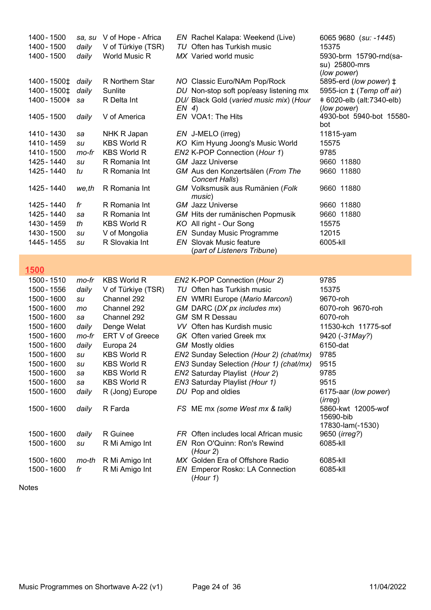| 1400 - 1500<br>1400 - 1500 | sa, su<br>daily | V of Hope - Africa<br>V of Türkiye (TSR) |         | EN Rachel Kalapa: Weekend (Live)<br>TU Often has Turkish music | 6065 9680 (su: -1445)<br>15375                      |
|----------------------------|-----------------|------------------------------------------|---------|----------------------------------------------------------------|-----------------------------------------------------|
| 1400 - 1500                | daily           | World Music R                            |         | MX Varied world music                                          | 5930-brm 15790-rnd(sa-                              |
|                            |                 |                                          |         |                                                                | su) 25800-mrs<br>(low power)                        |
| 1400 - 1500‡               | daily           | R Northern Star                          |         | NO Classic Euro/NAm Pop/Rock                                   | 5895-erd (low power) $\ddagger$                     |
| 1400 - 1500 $\pm$          | daily           | Sunlite                                  |         | DU Non-stop soft pop/easy listening mx                         | 5955-icn $\ddagger$ (Temp off air)                  |
| 1400 - 1500 +              | sa              | R Delta Int                              |         | DU/ Black Gold (varied music mix) (Hour                        | +6020-elb (alt:7340-elb)                            |
| 1405 - 1500                | daily           | V of America                             | $EN$ 4) | EN VOA1: The Hits                                              | (low power)<br>4930-bot 5940-bot 15580-             |
|                            |                 |                                          |         |                                                                | bot                                                 |
| 1410 - 1430                | sa              | NHK R Japan                              |         | EN J-MELO (irreg)                                              | 11815-yam                                           |
| 1410 - 1459                | su              | <b>KBS World R</b>                       |         | KO Kim Hyung Joong's Music World                               | 15575                                               |
| 1410 - 1500                | mo-fr           | <b>KBS World R</b>                       |         | EN2 K-POP Connection (Hour 1)                                  | 9785                                                |
| 1425 - 1440                | su              | R Romania Int                            |         | <b>GM</b> Jazz Universe                                        | 9660 11880                                          |
| 1425 - 1440                | tu              | R Romania Int                            |         | GM Aus den Konzertsälen (From The<br>Concert Halls)            | 9660 11880                                          |
| 1425 - 1440                | we,th           | R Romania Int                            |         | GM Volksmusik aus Rumänien (Folk<br>music)                     | 9660 11880                                          |
| 1425 - 1440                | fr              | R Romania Int                            |         | <b>GM</b> Jazz Universe                                        | 9660 11880                                          |
| 1425 - 1440                | sa              | R Romania Int                            |         | GM Hits der rumänischen Popmusik                               | 9660 11880                                          |
| 1430 - 1459                | th              | <b>KBS World R</b>                       |         | KO All right - Our Song                                        | 15575                                               |
| 1430 - 1500                | su              | V of Mongolia                            |         | <b>EN</b> Sunday Music Programme                               | 12015                                               |
| 1445 - 1455                | su              | R Slovakia Int                           |         | <b>EN</b> Slovak Music feature                                 | 6005-kll                                            |
|                            |                 |                                          |         | (part of Listeners Tribune)                                    |                                                     |
| 1500                       |                 |                                          |         |                                                                |                                                     |
| 1500 - 1510                | mo-fr           | <b>KBS World R</b>                       |         | EN2 K-POP Connection (Hour 2)                                  | 9785                                                |
| 1500 - 1556                | daily           | V of Türkiye (TSR)                       |         | TU Often has Turkish music                                     | 15375                                               |
| 1500 - 1600                | su              | Channel 292                              |         | EN WMRI Europe (Mario Marconi)                                 | 9670-roh                                            |
| 1500 - 1600                | mo              | Channel 292                              |         | GM DARC (DX px includes mx)                                    | 6070-roh 9670-roh                                   |
| 1500 - 1600                | sa              | Channel 292                              |         | <b>GM SM R Dessau</b>                                          | 6070-roh                                            |
| 1500 - 1600                | daily           | Denge Welat                              |         | VV Often has Kurdish music                                     | 11530-kch 11775-sof                                 |
| 1500 - 1600                | mo-fr           | ERT V of Greece                          |         | GK Often varied Greek mx                                       | 9420 (-31May?)                                      |
| 1500 - 1600                | daily           | Europa 24                                |         | <b>GM</b> Mostly oldies                                        | 6150-dat                                            |
| 1500 - 1600                | su              | <b>KBS World R</b>                       |         | EN2 Sunday Selection (Hour 2) (chat/mx)                        | 9785                                                |
| 1500 - 1600                | su              | <b>KBS World R</b>                       |         | EN3 Sunday Selection (Hour 1) (chat/mx)                        | 9515                                                |
| 1500 - 1600                | sa              | <b>KBS World R</b>                       |         | EN2 Saturday Playlist (Hour 2)                                 | 9785                                                |
| 1500 - 1600                | sa              | <b>KBS World R</b>                       |         | EN3 Saturday Playlist (Hour 1)                                 | 9515                                                |
| 1500 - 1600                | daily           | R (Jong) Europe                          |         | DU Pop and oldies                                              | 6175-aar (low power)<br>(irreg)                     |
| 1500 - 1600                | daily           | R Farda                                  |         | FS ME mx (some West mx & talk)                                 | 5860-kwt 12005-wof<br>15690-bib<br>17830-lam(-1530) |
| 1500 - 1600                | daily           | R Guinee                                 |         | FR Often includes local African music                          | 9650 ( <i>irreg?</i> )                              |
| 1500 - 1600                | su              | R Mi Amigo Int                           |         | EN Ron O'Quinn: Ron's Rewind<br>(Hour 2)                       | 6085-kll                                            |
| 1500 - 1600                | mo-th           | R Mi Amigo Int                           |         | MX Golden Era of Offshore Radio                                | 6085-kll                                            |
| 1500 - 1600                | fr              | R Mi Amigo Int                           |         | <b>EN</b> Emperor Rosko: LA Connection<br>(Hour 1)             | 6085-kll                                            |
|                            |                 |                                          |         |                                                                |                                                     |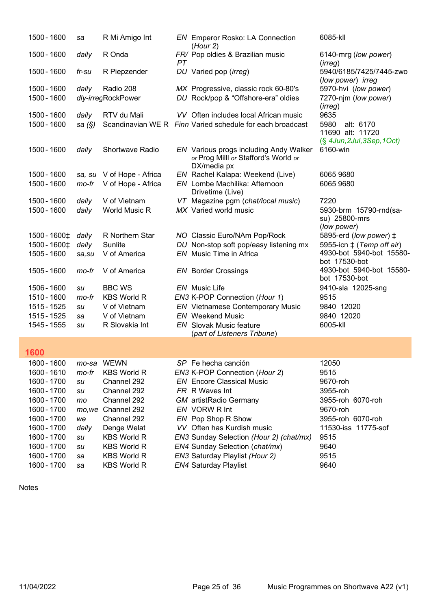| 1500 - 1600                | sa           | R Mi Amigo Int                 |    | <b>EN</b> Emperor Rosko: LA Connection                    | 6085-kll                                     |
|----------------------------|--------------|--------------------------------|----|-----------------------------------------------------------|----------------------------------------------|
|                            |              | R Onda                         |    | (Hour 2)                                                  |                                              |
| 1500 - 1600                | daily        |                                | PТ | FR/ Pop oldies & Brazilian music                          | 6140-mrg (low power)<br>(irreg)              |
| 1500 - 1600                | fr-su        | R Piepzender                   |    | DU Varied pop (irreg)                                     | 5940/6185/7425/7445-zwo<br>(low power) irreg |
| 1500 - 1600                | daily        | Radio 208                      |    | MX Progressive, classic rock 60-80's                      | 5970-hvi (low power)                         |
| 1500 - 1600                |              | dly-irregRockPower             |    | DU Rock/pop & "Offshore-era" oldies                       | 7270-njm (low power)                         |
| 1500 - 1600                | daily        | RTV du Mali                    |    | VV Often includes local African music                     | (irreg)<br>9635                              |
| 1500 - 1600                | sa $(S)$     |                                |    | Scandinavian WE R Finn Varied schedule for each broadcast | 5980<br>alt: 6170                            |
|                            |              |                                |    |                                                           | 11690 alt: 11720                             |
| 1500 - 1600                | daily        | <b>Shortwave Radio</b>         |    | EN Various progs including Andy Walker                    | $(\S$ 4Jun, 2Jul, 3Sep, 1Oct)<br>6160-win    |
|                            |              |                                |    | or Prog Milll or Stafford's World or                      |                                              |
| 1500 - 1600                | sa, su       | V of Hope - Africa             |    | DX/media px<br>EN Rachel Kalapa: Weekend (Live)           | 6065 9680                                    |
| 1500 - 1600                | mo-fr        | V of Hope - Africa             |    | EN Lombe Machilika: Afternoon                             | 6065 9680                                    |
|                            |              |                                |    | Drivetime (Live)                                          |                                              |
| 1500 - 1600                | daily        | V of Vietnam                   |    | VT Magazine pgm (chat/local music)                        | 7220                                         |
| 1500 - 1600                | daily        | <b>World Music R</b>           |    | MX Varied world music                                     | 5930-brm 15790-rnd(sa-<br>su) 25800-mrs      |
|                            |              |                                |    |                                                           | (low power)                                  |
| 1500 - 1600‡               | daily        | R Northern Star                |    | NO Classic Euro/NAm Pop/Rock                              | 5895-erd (low power) ‡                       |
| 1500 - 1600‡               | daily        | Sunlite                        |    | DU Non-stop soft pop/easy listening mx                    | 5955-icn $\ddagger$ (Temp off air)           |
| 1505 - 1600                | sa, su       | V of America                   |    | EN Music Time in Africa                                   | 4930-bot 5940-bot 15580-<br>bot 17530-bot    |
| 1505 - 1600                | mo-fr        | V of America                   |    | <b>EN</b> Border Crossings                                | 4930-bot 5940-bot 15580-<br>bot 17530-bot    |
| 1506 - 1600                | su           | <b>BBC WS</b>                  |    | <b>EN</b> Music Life                                      | 9410-sla 12025-sng                           |
| 1510 - 1600                | mo-fr        | <b>KBS World R</b>             |    | EN3 K-POP Connection (Hour 1)                             | 9515                                         |
| 1515 - 1525                | su           | V of Vietnam                   |    | <b>EN</b> Vietnamese Contemporary Music                   | 9840 12020                                   |
| 1515 - 1525<br>1545 - 1555 | sa           | V of Vietnam<br>R Slovakia Int |    | <b>EN</b> Weekend Music<br><b>EN</b> Slovak Music feature | 9840 12020<br>6005-kll                       |
|                            | su           |                                |    | (part of Listeners Tribune)                               |                                              |
|                            |              |                                |    |                                                           |                                              |
| <u>1600</u>                |              |                                |    |                                                           |                                              |
| 1600 - 1600                | mo-sa        | <b>WEWN</b>                    |    | SP Fe hecha canción                                       | 12050                                        |
| 1600 - 1610                | mo-fr        | <b>KBS World R</b>             |    | EN3 K-POP Connection (Hour 2)                             | 9515                                         |
| 1600 - 1700                | su           | Channel 292                    |    | <b>EN</b> Encore Classical Music                          | 9670-roh                                     |
| 1600 - 1700<br>1600 - 1700 | su           | Channel 292                    |    | FR R Waves Int                                            | 3955-roh                                     |
| 1600 - 1700                | mo           | Channel 292<br>Channel 292     |    | <b>GM</b> artistRadio Germany<br>EN VORW R Int            | 3955-roh 6070-roh<br>9670-roh                |
| 1600 - 1700                | mo, we<br>we | Channel 292                    |    | EN Pop Shop R Show                                        | 3955-roh 6070-roh                            |
| 1600 - 1700                | daily        | Denge Welat                    |    | VV Often has Kurdish music                                | 11530-iss 11775-sof                          |
| 1600 - 1700                | su           | <b>KBS World R</b>             |    | EN3 Sunday Selection (Hour 2) (chat/mx)                   | 9515                                         |
| 1600 - 1700                | su           | <b>KBS World R</b>             |    | EN4 Sunday Selection (chat/mx)                            | 9640                                         |
| 1600 - 1700                | sa           | <b>KBS World R</b>             |    | EN3 Saturday Playlist (Hour 2)                            | 9515                                         |
| 1600 - 1700                | sa           | <b>KBS World R</b>             |    | <b>EN4 Saturday Playlist</b>                              | 9640                                         |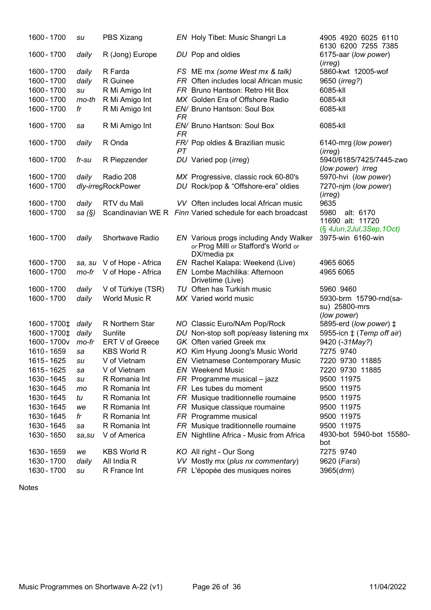| 1600 - 1700            | su        | PBS Xizang         |           | EN Holy Tibet: Music Shangri La                                                               | 4905 4920 6025 6110<br>6130 6200 7255 7385   |
|------------------------|-----------|--------------------|-----------|-----------------------------------------------------------------------------------------------|----------------------------------------------|
| 1600 - 1700            | daily     | R (Jong) Europe    |           | DU Pop and oldies                                                                             | 6175-aar (low power)<br>(irreg)              |
| 1600 - 1700            | daily     | R Farda            |           | FS ME mx (some West mx & talk)                                                                | 5860-kwt 12005-wof                           |
| 1600 - 1700            | daily     | R Guinee           |           | FR Often includes local African music                                                         | 9650 ( <i>irreg?</i> )                       |
| 1600 - 1700            | su        | R Mi Amigo Int     |           | FR Bruno Hantson: Retro Hit Box                                                               | 6085-kll                                     |
| 1600 - 1700            | mo-th     | R Mi Amigo Int     |           | MX Golden Era of Offshore Radio                                                               | 6085-kll                                     |
| 1600 - 1700            | fr        | R Mi Amigo Int     | <b>FR</b> | EN/ Bruno Hantson: Soul Box                                                                   | 6085-kll                                     |
| 1600 - 1700            | sa        | R Mi Amigo Int     | <b>FR</b> | EN/ Bruno Hantson: Soul Box                                                                   | 6085-kll                                     |
| 1600 - 1700            | daily     | R Onda             | PT        | FR/ Pop oldies & Brazilian music                                                              | 6140-mrg (low power)<br>(irreg)              |
| 1600 - 1700            | fr-su     | R Piepzender       |           | DU Varied pop (irreg)                                                                         | 5940/6185/7425/7445-zwo<br>(low power) irreg |
| 1600 - 1700            | daily     | Radio 208          |           | MX Progressive, classic rock 60-80's                                                          | 5970-hvi (low power)                         |
| 1600 - 1700            |           | dly-irregRockPower |           | DU Rock/pop & "Offshore-era" oldies                                                           | 7270-njm (low power)<br>( <i>irreg</i> )     |
| 1600 - 1700            | daily     | RTV du Mali        |           | VV Often includes local African music                                                         | 9635                                         |
| 1600 - 1700            | sa $(\S)$ |                    |           | Scandinavian WE R Finn Varied schedule for each broadcast                                     | 5980<br>alt: 6170                            |
|                        |           |                    |           |                                                                                               | 11690 alt: 11720                             |
|                        |           |                    |           |                                                                                               | $(S$ 4Jun, 2Jul, 3Sep, 1Oct)                 |
| 1600 - 1700            | daily     | Shortwave Radio    |           | EN Various progs including Andy Walker<br>or Prog Milll or Stafford's World or<br>DX/media px | 3975-win 6160-win                            |
| 1600 - 1700            | sa, su    | V of Hope - Africa |           | EN Rachel Kalapa: Weekend (Live)                                                              | 4965 6065                                    |
| 1600 - 1700            | mo-fr     | V of Hope - Africa |           | EN Lombe Machilika: Afternoon                                                                 | 4965 6065                                    |
|                        |           |                    |           | Drivetime (Live)                                                                              |                                              |
| 1600 - 1700            | daily     | V of Türkiye (TSR) |           | TU Often has Turkish music                                                                    | 5960 9460                                    |
| 1600 - 1700            | daily     | World Music R      |           | MX Varied world music                                                                         | 5930-brm 15790-rnd(sa-                       |
|                        |           |                    |           |                                                                                               | su) 25800-mrs                                |
|                        |           |                    |           |                                                                                               | (low power)                                  |
| 1600 - 1700 $\ddagger$ | daily     | R Northern Star    |           | NO Classic Euro/NAm Pop/Rock                                                                  | 5895-erd (low power) ‡                       |
| 1600 - 1700 ±          | daily     | Sunlite            |           | DU Non-stop soft pop/easy listening mx                                                        | 5955-icn $\pm$ (Temp off air)                |
| 1600 - 1700 v          | mo-fr     | ERT V of Greece    |           | GK Often varied Greek mx                                                                      | 9420 (-31May?)                               |
| 1610 - 1659            | sa        | <b>KBS World R</b> |           | KO Kim Hyung Joong's Music World                                                              | 7275 9740                                    |
| 1615 - 1625            | su        | V of Vietnam       |           | <b>EN</b> Vietnamese Contemporary Music                                                       | 7220 9730 11885                              |
| 1615 - 1625            | sa        | V of Vietnam       |           | <b>EN</b> Weekend Music                                                                       | 7220 9730 11885                              |
| 1630 - 1645            | su        | R Romania Int      |           | $FR$ Programme musical – jazz                                                                 | 9500 11975                                   |
| 1630 - 1645            | mo        | R Romania Int      |           | FR Les tubes du moment                                                                        | 9500 11975                                   |
| 1630 - 1645            | tu        | R Romania Int      |           | FR Musique traditionnelle roumaine                                                            | 9500 11975                                   |
| 1630 - 1645            | we        | R Romania Int      |           | FR Musique classique roumaine                                                                 | 9500 11975                                   |
| 1630 - 1645            | fr        | R Romania Int      |           | FR Programme musical                                                                          | 9500 11975                                   |
| 1630 - 1645            | sa        | R Romania Int      |           | FR Musique traditionnelle roumaine                                                            | 9500 11975                                   |
| 1630 - 1650            | sa, su    | V of America       |           | EN Nightline Africa - Music from Africa                                                       | 4930-bot 5940-bot 15580-<br>bot              |
| 1630 - 1659            | we        | <b>KBS World R</b> |           | KO All right - Our Song                                                                       | 7275 9740                                    |
| 1630 - 1700            | daily     | All India R        |           | VV Mostly mx (plus nx commentary)                                                             | 9620 (Farsi)                                 |
| 1630 - 1700            | su        | R France Int       |           | FR L'épopée des musiques noires                                                               | 3965 (drm)                                   |

```
Notes
```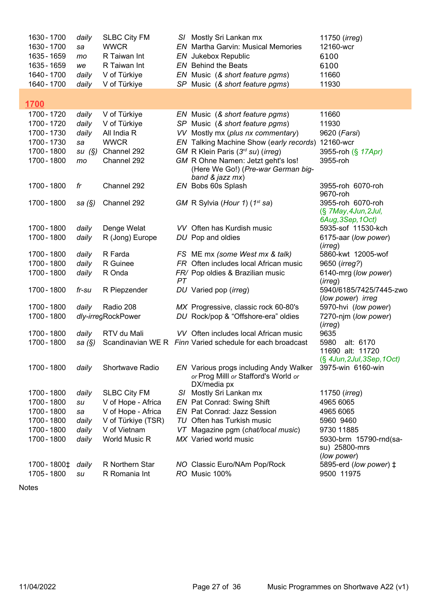| 1630 - 1700  | daily    | <b>SLBC City FM</b>  |     | S/ Mostly Sri Lankan mx                                                                              | 11750 (irreg)                                                  |
|--------------|----------|----------------------|-----|------------------------------------------------------------------------------------------------------|----------------------------------------------------------------|
| 1630 - 1700  | sa       | <b>WWCR</b>          |     | <b>EN</b> Martha Garvin: Musical Memories                                                            | 12160-wcr                                                      |
| 1635 - 1659  | mo       | R Taiwan Int         |     | EN Jukebox Republic                                                                                  | 6100                                                           |
| 1635 - 1659  | we       | R Taiwan Int         |     | <b>EN</b> Behind the Beats                                                                           | 6100                                                           |
| 1640 - 1700  | daily    | V of Türkiye         |     | EN Music (& short feature pgms)                                                                      | 11660                                                          |
| 1640 - 1700  | daily    | V of Türkiye         |     | SP Music (& short feature pgms)                                                                      | 11930                                                          |
|              |          |                      |     |                                                                                                      |                                                                |
| <u>1700</u>  |          |                      |     |                                                                                                      |                                                                |
| 1700 - 1720  | daily    | V of Türkiye         |     | EN Music (& short feature pgms)                                                                      | 11660                                                          |
| 1700 - 1720  | daily    | V of Türkiye         |     | SP Music (& short feature pgms)                                                                      | 11930                                                          |
| 1700 - 1730  | daily    | All India R          |     | VV Mostly mx (plus nx commentary)                                                                    | 9620 (Farsi)                                                   |
| 1700 - 1730  | sa       | <b>WWCR</b>          |     | EN Talking Machine Show (early records)                                                              | 12160-wcr                                                      |
| 1700 - 1800  | su(S)    | Channel 292          |     | GM R Klein Paris (3rd su) (irreg)                                                                    | 3955-roh (§ 17Apr)                                             |
| 1700 - 1800  | mo       | Channel 292          |     | GM R Ohne Namen: Jetzt geht's los!<br>(Here We Go!) (Pre-war German big-<br>band $&$ jazz $mx)$      | 3955-roh                                                       |
| 1700 - 1800  | fr       | Channel 292          |     | EN Bobs 60s Splash                                                                                   | 3955-roh 6070-roh<br>9670-roh                                  |
| 1700 - 1800  | sa $(S)$ | Channel 292          |     | GM R Sylvia (Hour 1) (1 <sup>st</sup> sa)                                                            | 3955-roh 6070-roh<br>(§ 7May, 4Jun, 2Jul,<br>6Aug, 3Sep, 1Oct) |
| 1700 - 1800  | daily    | Denge Welat          |     | VV Often has Kurdish music                                                                           | 5935-sof 11530-kch                                             |
| 1700 - 1800  | daily    | R (Jong) Europe      |     | DU Pop and oldies                                                                                    | 6175-aar (low power)                                           |
|              |          |                      |     |                                                                                                      | (irreg)                                                        |
| 1700 - 1800  | daily    | R Farda              |     | FS ME mx (some West mx & talk)                                                                       | 5860-kwt 12005-wof                                             |
| 1700 - 1800  | daily    | R Guinee             |     | FR Often includes local African music                                                                | 9650 ( <i>irreg?</i> )                                         |
| 1700 - 1800  | daily    | R Onda               |     | FR/ Pop oldies & Brazilian music                                                                     | 6140-mrg (low power)                                           |
|              |          |                      | PT  |                                                                                                      | (irreg)                                                        |
| 1700 - 1800  | fr-su    | R Piepzender         |     | DU Varied pop (irreg)                                                                                | 5940/6185/7425/7445-zwo<br>(low power) irreg                   |
| 1700 - 1800  | daily    | Radio 208            |     | MX Progressive, classic rock 60-80's                                                                 | 5970-hvi (low power)                                           |
| 1700 - 1800  |          | dly-irregRockPower   |     | DU Rock/pop & "Offshore-era" oldies                                                                  | 7270-njm (low power)                                           |
|              |          |                      |     |                                                                                                      | (irreg)                                                        |
| 1700 - 1800  | daily    | RTV du Mali          |     | VV Often includes local African music                                                                | 9635                                                           |
| 1700 - 1800  | sa (§)   |                      |     | Scandinavian WE R Finn Varied schedule for each broadcast                                            | 5980<br>alt: 6170                                              |
|              |          |                      |     |                                                                                                      | 11690 alt: 11720                                               |
| 1700 - 1800  | daily    | Shortwave Radio      |     | <b>EN</b> Various progs including Andy Walker<br>or Prog Milll or Stafford's World or<br>DX/media px | (§ 4Jun, 2Jul, 3Sep, 1Oct)<br>3975-win 6160-win                |
| 1700 - 1800  | daily    | <b>SLBC City FM</b>  |     | S/ Mostly Sri Lankan mx                                                                              | 11750 ( <i>irreg</i> )                                         |
| 1700 - 1800  | su       | V of Hope - Africa   |     | EN Pat Conrad: Swing Shift                                                                           | 4965 6065                                                      |
| 1700 - 1800  | sa       | V of Hope - Africa   |     | <b>EN</b> Pat Conrad: Jazz Session                                                                   | 4965 6065                                                      |
| 1700 - 1800  | daily    | V of Türkiye (TSR)   |     | TU Often has Turkish music                                                                           | 5960 9460                                                      |
| 1700 - 1800  | daily    | V of Vietnam         | VT. | Magazine pgm (chat/local music)                                                                      | 9730 11885                                                     |
| 1700 - 1800  | daily    | <b>World Music R</b> |     | MX Varied world music                                                                                | 5930-brm 15790-rnd(sa-                                         |
|              |          |                      |     |                                                                                                      | su) 25800-mrs                                                  |
|              |          |                      |     |                                                                                                      | (low power)                                                    |
| 1700 - 1800‡ | daily    | R Northern Star      |     | NO Classic Euro/NAm Pop/Rock                                                                         | 5895-erd (low power) ‡                                         |
| 1705 - 1800  | su       | R Romania Int        |     | RO Music 100%                                                                                        | 9500 11975                                                     |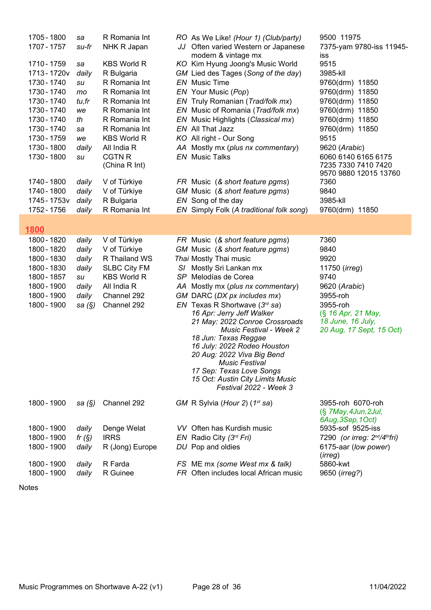| 1705 - 1800<br>1707 - 1757<br>1710 - 1759<br>1713-1720v<br>1730 - 1740<br>1730 - 1740<br>1730 - 1740<br>1730 - 1740<br>1730 - 1740<br>1730 - 1740<br>1730 - 1759<br>1730 - 1800<br>1730 - 1800<br>1740 - 1800<br>1740 - 1800<br>1745 - 1753v<br>1752 - 1756 | sa<br>su-fr<br>sa<br>daily<br>su<br>mo<br>tu,fr<br>we<br>th<br>sa<br>we<br>daily<br>su<br>daily<br>daily<br>daily<br>daily | R Romania Int<br>NHK R Japan<br><b>KBS World R</b><br>R Bulgaria<br>R Romania Int<br>R Romania Int<br>R Romania Int<br>R Romania Int<br>R Romania Int<br>R Romania Int<br><b>KBS World R</b><br>All India R<br><b>CGTN R</b><br>(China R Int)<br>V of Türkiye<br>V of Türkiye<br>R Bulgaria<br>R Romania Int |     | RO As We Like! (Hour 1) (Club/party)<br>JJ Often varied Western or Japanese<br>modern & vintage mx<br>KO Kim Hyung Joong's Music World<br>GM Lied des Tages (Song of the day)<br><b>EN</b> Music Time<br>EN Your Music (Pop)<br>EN Truly Romanian (Trad/folk mx)<br>EN Music of Romania (Trad/folk mx)<br>EN Music Highlights (Classical mx)<br>EN All That Jazz<br>KO All right - Our Song<br>AA Mostly mx (plus nx commentary)<br><b>EN</b> Music Talks<br>FR Music (& short feature pgms)<br>GM Music (& short feature pgms)<br>EN Song of the day<br>EN Simply Folk (A traditional folk song) | 9500 11975<br>7375-yam 9780-iss 11945-<br><b>iss</b><br>9515<br>3985-kll<br>9760(drm) 11850<br>9760(drm) 11850<br>9760(drm) 11850<br>9760(drm) 11850<br>9760(drm) 11850<br>9760(drm) 11850<br>9515<br>9620 (Arabic)<br>6060 6140 6165 6175<br>7235 7330 7410 7420<br>9570 9880 12015 13760<br>7360<br>9840<br>3985-kll<br>9760(drm) 11850 |
|-------------------------------------------------------------------------------------------------------------------------------------------------------------------------------------------------------------------------------------------------------------|----------------------------------------------------------------------------------------------------------------------------|--------------------------------------------------------------------------------------------------------------------------------------------------------------------------------------------------------------------------------------------------------------------------------------------------------------|-----|---------------------------------------------------------------------------------------------------------------------------------------------------------------------------------------------------------------------------------------------------------------------------------------------------------------------------------------------------------------------------------------------------------------------------------------------------------------------------------------------------------------------------------------------------------------------------------------------------|-------------------------------------------------------------------------------------------------------------------------------------------------------------------------------------------------------------------------------------------------------------------------------------------------------------------------------------------|
| 1800                                                                                                                                                                                                                                                        |                                                                                                                            |                                                                                                                                                                                                                                                                                                              |     |                                                                                                                                                                                                                                                                                                                                                                                                                                                                                                                                                                                                   |                                                                                                                                                                                                                                                                                                                                           |
| 1800 - 1820<br>1800 - 1820<br>1800 - 1830<br>1800 - 1830<br>1800 - 1857<br>1800 - 1900<br>1800 - 1900<br>1800 - 1900                                                                                                                                        | daily<br>daily<br>daily<br>daily<br>su<br>daily<br>daily<br>sa (§)                                                         | V of Türkiye<br>V of Türkiye<br>R Thailand WS<br><b>SLBC City FM</b><br><b>KBS World R</b><br>All India R<br>Channel 292<br>Channel 292                                                                                                                                                                      | SI. | FR Music (& short feature pgms)<br>GM Music (& short feature pgms)<br>Thai Mostly Thai music<br>Mostly Sri Lankan mx<br>SP Melodías de Corea<br>AA Mostly mx (plus nx commentary)<br>GM DARC (DX px includes mx)<br>EN Texas R Shortwave $(3rd$ sa)<br>16 Apr: Jerry Jeff Walker<br>21 May: 2022 Conroe Crossroads<br>Music Festival - Week 2<br>18 Jun: Texas Reggae<br>16 July: 2022 Rodeo Houston<br>20 Aug: 2022 Viva Big Bend<br><b>Music Festival</b><br>17 Sep: Texas Love Songs<br>15 Oct: Austin City Limits Music<br>Festival 2022 - Week 3                                             | 7360<br>9840<br>9920<br>11750 ( <i>irreg</i> )<br>9740<br>9620 (Arabic)<br>3955-roh<br>3955-roh<br>(§ 16 Apr, 21 May,<br>18 June, 16 July,<br>20 Aug, 17 Sept, 15 Oct)                                                                                                                                                                    |
| 1800 - 1900<br>1800 - 1900<br>1800 - 1900<br>1800 - 1900                                                                                                                                                                                                    | sa $(\S)$<br>daily<br>fr $(S)$<br>daily                                                                                    | Channel 292<br>Denge Welat<br><b>IRRS</b><br>R (Jong) Europe                                                                                                                                                                                                                                                 |     | GM R Sylvia (Hour 2) (1 <sup>st</sup> sa)<br>VV Often has Kurdish music<br>EN Radio City $(3^{rd} Fri)$<br>DU Pop and oldies                                                                                                                                                                                                                                                                                                                                                                                                                                                                      | 3955-roh 6070-roh<br>(§ 7May, 4Jun, 2Jul,<br>6Aug, 3Sep, 1Oct)<br>5935-sof 9525-iss<br>7290 (or irreg: 2nd/4thfri)<br>6175-aar (low power)                                                                                                                                                                                                |
| 1800 - 1900<br>1800 - 1900                                                                                                                                                                                                                                  | daily<br>daily                                                                                                             | R Farda<br>R Guinee                                                                                                                                                                                                                                                                                          |     | FS ME mx (some West mx & talk)<br>FR Often includes local African music                                                                                                                                                                                                                                                                                                                                                                                                                                                                                                                           | (irreg)<br>5860-kwt<br>9650 (irreg?)                                                                                                                                                                                                                                                                                                      |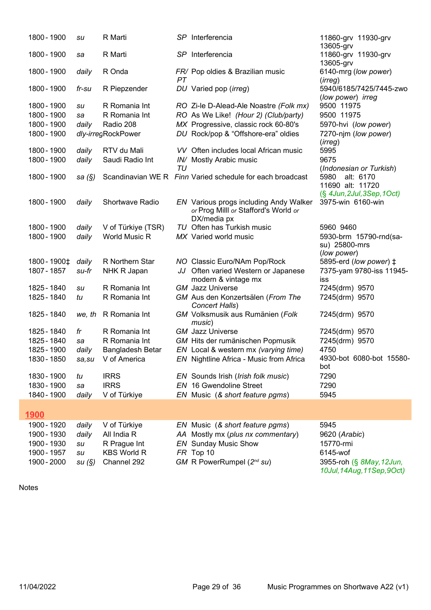| 1800 - 1900                | su        | R Marti                         |    | SP Interferencia                                                                              | 11860-grv 11930-grv<br>13605-grv                       |
|----------------------------|-----------|---------------------------------|----|-----------------------------------------------------------------------------------------------|--------------------------------------------------------|
| 1800 - 1900                | sa        | R Marti                         |    | SP Interferencia                                                                              | 11860-grv 11930-grv<br>13605-grv                       |
| 1800 - 1900                | daily     | R Onda                          | PT | FR/ Pop oldies & Brazilian music                                                              | 6140-mrg (low power)<br>(irreg)                        |
| 1800 - 1900                | fr-su     | R Piepzender                    |    | DU Varied pop (irreg)                                                                         | 5940/6185/7425/7445-zwo<br>(low power) irreg           |
| 1800 - 1900<br>1800 - 1900 | su<br>sa  | R Romania Int<br>R Romania Int  |    | RO Zi-le D-Alead-Ale Noastre (Folk mx)<br>RO As We Like! (Hour 2) (Club/party)                | 9500 11975<br>9500 11975                               |
| 1800 - 1900<br>1800 - 1900 | daily     | Radio 208<br>dly-irregRockPower |    | MX Progressive, classic rock 60-80's<br>DU Rock/pop & "Offshore-era" oldies                   | 5970-hvi (low power)<br>7270-njm (low power)           |
|                            |           |                                 |    |                                                                                               | (irreg)                                                |
| 1800 - 1900                | daily     | RTV du Mali                     |    | VV Often includes local African music                                                         | 5995                                                   |
| 1800 - 1900                | daily     | Saudi Radio Int                 |    | IN/ Mostly Arabic music                                                                       | 9675                                                   |
| 1800 - 1900                |           |                                 | TU |                                                                                               | (Indonesian or Turkish)                                |
|                            | sa $(\S)$ |                                 |    | Scandinavian WE R Finn Varied schedule for each broadcast                                     | 5980<br>alt: 6170<br>11690 alt: 11720                  |
|                            |           |                                 |    |                                                                                               | (§ 4Jun, 2Jul, 3Sep, 1Oct)                             |
| 1800 - 1900                | daily     | Shortwave Radio                 |    | EN Various progs including Andy Walker<br>or Prog Milll or Stafford's World or<br>DX/media px | 3975-win 6160-win                                      |
| 1800 - 1900                | daily     | V of Türkiye (TSR)              |    | TU Often has Turkish music                                                                    | 5960 9460                                              |
| 1800 - 1900                | daily     | <b>World Music R</b>            |    | MX Varied world music                                                                         | 5930-brm 15790-rnd(sa-<br>su) 25800-mrs<br>(low power) |
| 1800 - 1900‡               | daily     | R Northern Star                 |    | NO Classic Euro/NAm Pop/Rock                                                                  | 5895-erd (low power) ‡                                 |
| 1807 - 1857                | su-fr     | NHK R Japan                     |    | JJ Often varied Western or Japanese                                                           | 7375-yam 9780-iss 11945-                               |
|                            |           |                                 |    | modern & vintage mx                                                                           | iss                                                    |
| 1825 - 1840                | su        | R Romania Int                   |    | <b>GM</b> Jazz Universe                                                                       | 7245(drm) 9570                                         |
| 1825 - 1840                | tu        | R Romania Int                   |    | GM Aus den Konzertsälen (From The<br>Concert Halls)                                           | 7245(drm) 9570                                         |
| 1825 - 1840                | we, th    | R Romania Int                   |    | GM Volksmusik aus Rumänien (Folk<br>music)                                                    | 7245(drm) 9570                                         |
| 1825 - 1840                | fr        | R Romania Int                   |    | <b>GM</b> Jazz Universe                                                                       | 7245(drm) 9570                                         |
| 1825 - 1840                | sa        | R Romania Int                   |    | GM Hits der rumänischen Popmusik                                                              | 7245(drm) 9570                                         |
| 1825 - 1900                | daily     | Bangladesh Betar                |    | EN Local & western mx (varying time)                                                          | 4750<br>4930-bot 6080-bot 15580-                       |
| 1830 - 1850                | sa, su    | V of America                    |    | <b>EN</b> Nightline Africa - Music from Africa                                                | bot                                                    |
| 1830 - 1900                | tu        | <b>IRRS</b>                     |    | EN Sounds Irish (Irish folk music)                                                            | 7290                                                   |
| 1830 - 1900                | sa        | <b>IRRS</b>                     |    | <b>EN</b> 16 Gwendoline Street                                                                | 7290                                                   |
| 1840 - 1900                | daily     | V of Türkiye                    |    | EN Music (& short feature pgms)                                                               | 5945                                                   |
| 1900                       |           |                                 |    |                                                                                               |                                                        |
| 1900 - 1920                | daily     | V of Türkiye                    |    | EN Music (& short feature pgms)                                                               | 5945                                                   |
| 1900 - 1930                | daily     | All India R                     |    | AA Mostly mx (plus nx commentary)                                                             | 9620 (Arabic)                                          |
| 1900 - 1930                | su        | R Prague Int                    |    | <b>EN</b> Sunday Music Show                                                                   | 15770-rmi                                              |
| 1900 - 1957                | su        | <b>KBS World R</b>              |    | FR Top 10                                                                                     | 6145-wof                                               |
| 1900 - 2000                | su(S)     | Channel 292                     |    | GM R PowerRumpel (2 <sup>nd</sup> su)                                                         | 3955-roh (§ 8May, 12Jun,<br>10Jul, 14Aug, 11Sep, 9Oct) |

```
Notes
```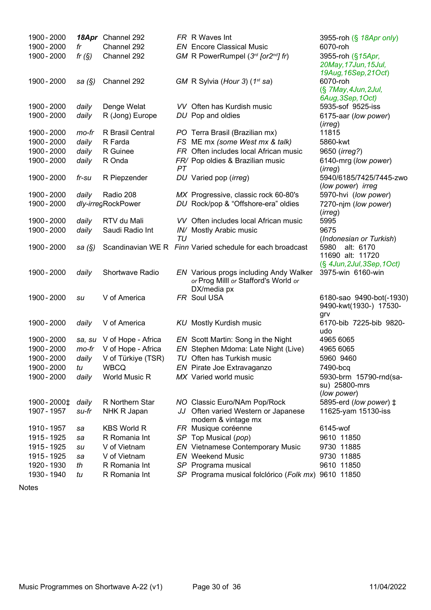| 1900 - 2000  |           | 18Apr Channel 292         |    | FR R Waves Int                                            | 3955-roh (§ 18Apr only)                                  |
|--------------|-----------|---------------------------|----|-----------------------------------------------------------|----------------------------------------------------------|
| 1900 - 2000  | fr        | Channel 292               |    | <b>EN</b> Encore Classical Music                          | 6070-roh                                                 |
| 1900 - 2000  | fr $(S)$  | Channel 292               |    | GM R PowerRumpel $(3rd$ [or2 <sup>nd</sup> ] fr)          | 3955-roh (§15Apr,<br>20May, 17Jun, 15Jul,                |
| 1900 - 2000  | sa $(\S)$ | Channel 292               |    | GM R Sylvia (Hour 3) (1st sa)                             | 19Aug, 16Sep, 21Oct)<br>6070-roh<br>(§ 7May, 4Jun, 2Jul, |
|              |           |                           |    |                                                           | 6Aug, 3Sep, 1Oct)                                        |
| 1900 - 2000  | daily     | Denge Welat               |    | VV Often has Kurdish music                                | 5935-sof 9525-iss                                        |
| 1900 - 2000  | daily     | R (Jong) Europe           |    | DU Pop and oldies                                         | 6175-aar (low power)                                     |
| 1900 - 2000  | mo-fr     | R Brasil Central          |    | PO Terra Brasil (Brazilian mx)                            | (irreg)<br>11815                                         |
| 1900 - 2000  | daily     | R Farda                   |    | FS ME mx (some West mx & talk)                            | 5860-kwt                                                 |
| 1900 - 2000  | daily     | R Guinee                  |    | FR Often includes local African music                     | 9650 ( <i>irreg?</i> )                                   |
| 1900 - 2000  | daily     | R Onda                    |    | FR/ Pop oldies & Brazilian music                          | 6140-mrg (low power)                                     |
|              |           |                           | PT |                                                           | (irreg)                                                  |
| 1900 - 2000  | fr-su     | R Piepzender              |    | DU Varied pop (irreg)                                     | 5940/6185/7425/7445-zwo                                  |
|              |           |                           |    |                                                           | (low power) irreg                                        |
| 1900 - 2000  | daily     | Radio 208                 |    | MX Progressive, classic rock 60-80's                      | 5970-hvi (low power)                                     |
| 1900 - 2000  |           | dly-irregRockPower        |    | DU Rock/pop & "Offshore-era" oldies                       | 7270-njm (low power)                                     |
| 1900 - 2000  | daily     | RTV du Mali               |    | VV Often includes local African music                     | (irreg)<br>5995                                          |
| 1900 - 2000  | daily     | Saudi Radio Int           |    | IN/ Mostly Arabic music                                   | 9675                                                     |
|              |           |                           | ΤU |                                                           | (Indonesian or Turkish)                                  |
| 1900 - 2000  | sa $(\S)$ |                           |    | Scandinavian WE R Finn Varied schedule for each broadcast | alt: 6170<br>5980                                        |
|              |           |                           |    |                                                           | 11690 alt: 11720                                         |
|              |           |                           |    |                                                           | $(\S$ 4Jun, 2Jul, 3Sep, 1Oct)                            |
| 1900 - 2000  | daily     | Shortwave Radio           |    | <b>EN</b> Various progs including Andy Walker             | 3975-win 6160-win                                        |
|              |           |                           |    | or Prog Milll or Stafford's World or                      |                                                          |
| 1900 - 2000  | su        | V of America              |    | DX/media px<br>FR Soul USA                                | 6180-sao 9490-bot(-1930)                                 |
|              |           |                           |    |                                                           | 9490-kwt(1930-) 17530-                                   |
|              |           |                           |    |                                                           | grv                                                      |
| 1900 - 2000  | daily     | V of America              |    | <b>KU</b> Mostly Kurdish music                            | 6170-bib 7225-bib 9820-                                  |
|              |           |                           |    |                                                           | udo                                                      |
| 1900 - 2000  |           | sa, su V of Hope - Africa |    | EN Scott Martin: Song in the Night                        | 4965 6065                                                |
| 1900 - 2000  |           | mo-fr V of Hope - Africa  |    | EN Stephen Mdoma: Late Night (Live)                       | 4965 6065                                                |
| 1900 - 2000  | daily     | V of Türkiye (TSR)        |    | TU Often has Turkish music                                | 5960 9460                                                |
| 1900 - 2000  | tu        | <b>WBCQ</b>               |    | EN Pirate Joe Extravaganzo                                | 7490-bcq                                                 |
| 1900 - 2000  | daily     | World Music R             |    | MX Varied world music                                     | 5930-brm 15790-rnd(sa-                                   |
|              |           |                           |    |                                                           | su) 25800-mrs<br>(low power)                             |
| 1900 - 2000‡ | daily     | R Northern Star           |    | NO Classic Euro/NAm Pop/Rock                              | 5895-erd (low power) ‡                                   |
| 1907 - 1957  | su-fr     | NHK R Japan               |    | JJ Often varied Western or Japanese                       | 11625-yam 15130-iss                                      |
|              |           |                           |    | modern & vintage mx                                       |                                                          |
| 1910 - 1957  | sa        | <b>KBS World R</b>        |    | FR Musique coréenne                                       | 6145-wof                                                 |
| 1915 - 1925  | sa        | R Romania Int             |    | SP Top Musical (pop)                                      | 9610 11850                                               |
| 1915 - 1925  | su        | V of Vietnam              |    | <b>EN</b> Vietnamese Contemporary Music                   | 9730 11885                                               |
| 1915 - 1925  | sa        | V of Vietnam              |    | <b>EN</b> Weekend Music                                   | 9730 11885                                               |
| 1920 - 1930  | th        | R Romania Int             |    | SP Programa musical                                       | 9610 11850                                               |
| 1930 - 1940  | tu        | R Romania Int             |    | SP Programa musical folclórico (Folk mx) 9610 11850       |                                                          |

```
Notes
```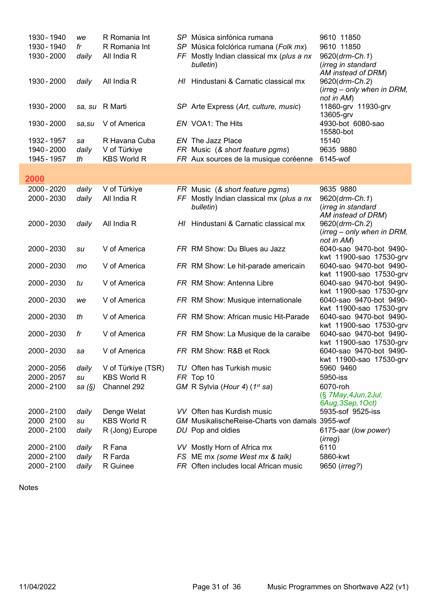| 1930 - 1940<br>R Romania Int<br>9610 11850<br>Música folclórica rumana (Folk mx)<br>fr<br>SP<br>1930 - 2000<br>All India R<br>FF Mostly Indian classical mx (plus a nx<br>9620(drm-Ch.1)<br>daily<br>(irreg in standard<br>bulletin)<br>AM instead of DRM)<br>1930 - 2000<br>All India R<br>Hindustani & Carnatic classical mx<br>9620(drm-Ch.2)<br>daily<br>HI.<br>(irreg – only when in DRM,<br>not in AM)<br>1930 - 2000<br>sa, su R Marti<br>SP Arte Express (Art, culture, music)<br>11860-grv 11930-grv<br>13605-grv |  |
|----------------------------------------------------------------------------------------------------------------------------------------------------------------------------------------------------------------------------------------------------------------------------------------------------------------------------------------------------------------------------------------------------------------------------------------------------------------------------------------------------------------------------|--|
|                                                                                                                                                                                                                                                                                                                                                                                                                                                                                                                            |  |
|                                                                                                                                                                                                                                                                                                                                                                                                                                                                                                                            |  |
|                                                                                                                                                                                                                                                                                                                                                                                                                                                                                                                            |  |
|                                                                                                                                                                                                                                                                                                                                                                                                                                                                                                                            |  |
|                                                                                                                                                                                                                                                                                                                                                                                                                                                                                                                            |  |
|                                                                                                                                                                                                                                                                                                                                                                                                                                                                                                                            |  |
|                                                                                                                                                                                                                                                                                                                                                                                                                                                                                                                            |  |
|                                                                                                                                                                                                                                                                                                                                                                                                                                                                                                                            |  |
| 4930-bot 6080-sao<br>1930 - 2000<br>EN VOA1: The Hits<br>V of America<br>sa, su                                                                                                                                                                                                                                                                                                                                                                                                                                            |  |
| 15580-bot                                                                                                                                                                                                                                                                                                                                                                                                                                                                                                                  |  |
| 1932 - 1957<br>15140<br>R Havana Cuba<br>EN The Jazz Place<br>sa                                                                                                                                                                                                                                                                                                                                                                                                                                                           |  |
| 1940 - 2000<br>V of Türkiye<br>9635 9880<br>daily<br>FR Music (& short feature pgms)                                                                                                                                                                                                                                                                                                                                                                                                                                       |  |
| <b>KBS World R</b><br>6145-wof<br>1945 - 1957<br>FR Aux sources de la musique coréenne<br>th                                                                                                                                                                                                                                                                                                                                                                                                                               |  |
|                                                                                                                                                                                                                                                                                                                                                                                                                                                                                                                            |  |
| 2000                                                                                                                                                                                                                                                                                                                                                                                                                                                                                                                       |  |
| 2000 - 2020<br>V of Türkiye<br>9635 9880<br>daily<br>FR Music (& short feature pgms)                                                                                                                                                                                                                                                                                                                                                                                                                                       |  |
| 2000 - 2030<br>All India R<br>FF Mostly Indian classical mx (plus a nx<br>9620(drm-Ch.1)<br>daily                                                                                                                                                                                                                                                                                                                                                                                                                          |  |
| bulletin)<br>(irreg in standard                                                                                                                                                                                                                                                                                                                                                                                                                                                                                            |  |
| AM instead of DRM)                                                                                                                                                                                                                                                                                                                                                                                                                                                                                                         |  |
| 2000 - 2030<br>All India R<br>Hindustani & Carnatic classical mx<br>9620(drm-Ch.2)<br>daily<br>HI.                                                                                                                                                                                                                                                                                                                                                                                                                         |  |
| (irreg - only when in DRM,                                                                                                                                                                                                                                                                                                                                                                                                                                                                                                 |  |
| not in AM)<br>2000 - 2030<br>V of America<br>FR RM Show: Du Blues au Jazz<br>6040-sao 9470-bot 9490-<br>su                                                                                                                                                                                                                                                                                                                                                                                                                 |  |
| kwt 11900-sao 17530-grv                                                                                                                                                                                                                                                                                                                                                                                                                                                                                                    |  |
| 2000 - 2030<br>6040-sao 9470-bot 9490-<br>V of America<br>FR RM Show: Le hit-parade americain<br>mo                                                                                                                                                                                                                                                                                                                                                                                                                        |  |
| kwt 11900-sao 17530-grv                                                                                                                                                                                                                                                                                                                                                                                                                                                                                                    |  |
| 2000 - 2030<br>V of America<br>FR RM Show: Antenna Libre<br>6040-sao 9470-bot 9490-<br>tu                                                                                                                                                                                                                                                                                                                                                                                                                                  |  |
| kwt 11900-sao 17530-grv                                                                                                                                                                                                                                                                                                                                                                                                                                                                                                    |  |
| 2000 - 2030<br>V of America<br>FR RM Show: Musique internationale<br>6040-sao 9470-bot 9490-<br>we                                                                                                                                                                                                                                                                                                                                                                                                                         |  |
| kwt 11900-sao 17530-grv<br>2000 - 2030<br>V of America<br>FR RM Show: African music Hit-Parade<br>6040-sao 9470-bot 9490-<br>th                                                                                                                                                                                                                                                                                                                                                                                            |  |
| kwt 11900-sao 17530-grv                                                                                                                                                                                                                                                                                                                                                                                                                                                                                                    |  |
| 2000 - 2030<br>V of America<br>6040-sao 9470-bot 9490-<br>FR RM Show: La Musique de la caraibe<br>fr                                                                                                                                                                                                                                                                                                                                                                                                                       |  |
| kwt 11900-sao 17530-grv                                                                                                                                                                                                                                                                                                                                                                                                                                                                                                    |  |
| 2000 - 2030<br>FR RM Show: R&B et Rock<br>V of America<br>6040-sao 9470-bot 9490-<br>sa                                                                                                                                                                                                                                                                                                                                                                                                                                    |  |
| kwt 11900-sao 17530-grv                                                                                                                                                                                                                                                                                                                                                                                                                                                                                                    |  |
| 2000 - 2056<br>V of Türkiye (TSR)<br>TU Often has Turkish music<br>5960 9460<br>daily                                                                                                                                                                                                                                                                                                                                                                                                                                      |  |
| 2000 - 2057<br><b>KBS World R</b><br>5950-iss<br>FR Top 10<br>su                                                                                                                                                                                                                                                                                                                                                                                                                                                           |  |
| 2000 - 2100<br>Channel 292<br>GM R Sylvia (Hour 4) (1st sa)<br>6070-roh<br>sa $(\S)$                                                                                                                                                                                                                                                                                                                                                                                                                                       |  |
| (§ 7May, 4Jun, 2Jul,<br>6Aug, 3Sep, 1Oct)                                                                                                                                                                                                                                                                                                                                                                                                                                                                                  |  |
| 2000 - 2100<br>Denge Welat<br>VV Often has Kurdish music<br>5935-sof 9525-iss<br>daily                                                                                                                                                                                                                                                                                                                                                                                                                                     |  |
| 2000 2100<br><b>KBS World R</b><br>GM MusikalischeReise-Charts von damals 3955-wof<br>su                                                                                                                                                                                                                                                                                                                                                                                                                                   |  |
| 2000 - 2100<br>daily<br>R (Jong) Europe<br>DU Pop and oldies<br>6175-aar (low power)                                                                                                                                                                                                                                                                                                                                                                                                                                       |  |
| (irreg)                                                                                                                                                                                                                                                                                                                                                                                                                                                                                                                    |  |
| 2000 - 2100<br>6110<br>R Fana<br>VV Mostly Horn of Africa mx<br>daily                                                                                                                                                                                                                                                                                                                                                                                                                                                      |  |
| 2000 - 2100<br>R Farda<br>FS ME mx (some West mx & talk)<br>5860-kwt<br>daily                                                                                                                                                                                                                                                                                                                                                                                                                                              |  |
| 2000 - 2100<br>R Guinee<br>FR Often includes local African music<br>9650 ( <i>irreg?</i> )<br>daily                                                                                                                                                                                                                                                                                                                                                                                                                        |  |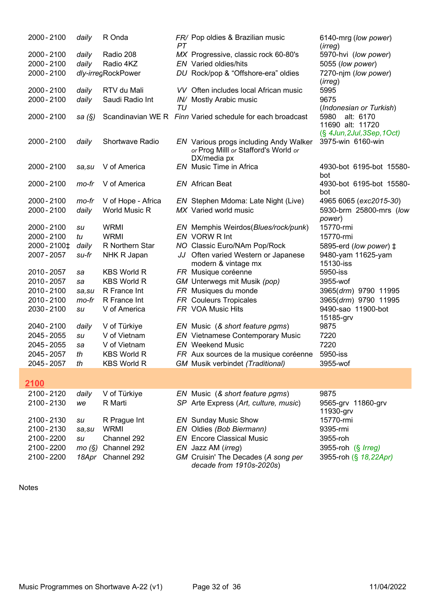| 2000 - 2100   | daily     | R Onda             | PT | FR/ Pop oldies & Brazilian music                                | 6140-mrg (low power)<br>(irreg)                   |
|---------------|-----------|--------------------|----|-----------------------------------------------------------------|---------------------------------------------------|
| 2000 - 2100   | daily     | Radio 208          |    | MX Progressive, classic rock 60-80's                            | 5970-hvi (low power)                              |
| 2000 - 2100   | daily     | Radio 4KZ          |    | <b>EN</b> Varied oldies/hits                                    | 5055 (low power)                                  |
| 2000 - 2100   |           | dly-irregRockPower |    | DU Rock/pop & "Offshore-era" oldies                             | 7270-njm (low power)<br>(irreg)                   |
| 2000 - 2100   | daily     | RTV du Mali        |    | VV Often includes local African music                           | 5995                                              |
| 2000 - 2100   | daily     | Saudi Radio Int    |    | IN/ Mostly Arabic music                                         | 9675                                              |
|               |           |                    | TU |                                                                 | (Indonesian or Turkish)                           |
| 2000 - 2100   | sa $(\S)$ |                    |    | Scandinavian WE R Finn Varied schedule for each broadcast       | alt: 6170<br>5980                                 |
|               |           |                    |    |                                                                 | 11690 alt: 11720<br>$(\S$ 4Jun, 2Jul, 3Sep, 1Oct) |
| 2000 - 2100   | daily     | Shortwave Radio    |    | <b>EN</b> Various progs including Andy Walker                   | 3975-win 6160-win                                 |
|               |           |                    |    | or Prog Milll or Stafford's World or                            |                                                   |
|               |           |                    |    | DX/media px                                                     |                                                   |
| 2000 - 2100   | sa, su    | V of America       |    | EN Music Time in Africa                                         | 4930-bot 6195-bot 15580-                          |
|               |           |                    |    |                                                                 | bot                                               |
| 2000 - 2100   | mo-fr     | V of America       |    | <b>EN</b> African Beat                                          | 4930-bot 6195-bot 15580-<br>bot                   |
| 2000 - 2100   | mo-fr     | V of Hope - Africa |    | EN Stephen Mdoma: Late Night (Live)                             | 4965 6065 (exc2015-30)                            |
| 2000 - 2100   | daily     | World Music R      |    | MX Varied world music                                           | 5930-brm 25800-mrs (low                           |
|               |           |                    |    |                                                                 | power)                                            |
| 2000 - 2100   | su        | <b>WRMI</b>        |    | EN Memphis Weirdos (Blues/rock/punk)                            | 15770-rmi                                         |
| 2000 - 2100   | tu        | <b>WRMI</b>        |    | EN VORW R Int                                                   | 15770-rmi                                         |
| 2000 - 2100 ± | daily     | R Northern Star    |    | NO Classic Euro/NAm Pop/Rock                                    | 5895-erd (low power) ‡                            |
| 2007 - 2057   | su-fr     | NHK R Japan        |    | JJ Often varied Western or Japanese                             | 9480-yam 11625-yam                                |
| 2010 - 2057   | sa        | <b>KBS World R</b> |    | modern & vintage mx<br>FR Musique coréenne                      | 15130-iss<br>5950-iss                             |
| 2010 - 2057   | sa        | <b>KBS World R</b> |    | GM Unterwegs mit Musik (pop)                                    | 3955-wof                                          |
| 2010 - 2100   | sa, su    | R France Int       |    | FR Musiques du monde                                            | 3965(drm) 9790 11995                              |
| 2010 - 2100   | mo-fr     | R France Int       |    | FR Couleurs Tropicales                                          | 3965(drm) 9790 11995                              |
| 2030 - 2100   | su        | V of America       |    | FR VOA Music Hits                                               | 9490-sao 11900-bot                                |
|               |           |                    |    |                                                                 | 15185-grv                                         |
| 2040 - 2100   | daily     | V of Türkiye       |    | EN Music (& short feature pgms)                                 | 9875                                              |
| 2045 - 2055   | su        | V of Vietnam       |    | <b>EN</b> Vietnamese Contemporary Music                         | 7220                                              |
| 2045 - 2055   | sa        | V of Vietnam       |    | <b>EN</b> Weekend Music                                         | 7220                                              |
| 2045 - 2057   | th        | <b>KBS World R</b> |    | FR Aux sources de la musique coréenne                           | 5950-iss                                          |
| 2045 - 2057   | th        | <b>KBS World R</b> |    | <b>GM</b> Musik verbindet (Traditional)                         | 3955-wof                                          |
| <u> 2100</u>  |           |                    |    |                                                                 |                                                   |
| 2100 - 2120   | daily     | V of Türkiye       |    | EN Music (& short feature pgms)                                 | 9875                                              |
| 2100 - 2130   | we        | R Marti            |    | SP Arte Express (Art, culture, music)                           | 9565-grv 11860-grv                                |
|               |           |                    |    |                                                                 | 11930-grv                                         |
| 2100 - 2130   | su        | R Prague Int       |    | <b>EN</b> Sunday Music Show                                     | 15770-rmi                                         |
| 2100 - 2130   | sa, su    | <b>WRMI</b>        |    | EN Oldies (Bob Biermann)                                        | 9395-rmi                                          |
| 2100 - 2200   | su        | Channel 292        |    | <b>EN</b> Encore Classical Music                                | 3955-roh                                          |
| 2100 - 2200   | mo(S)     | Channel 292        |    | EN Jazz AM (irreg)                                              | 3955-roh (§ Irreg)                                |
| 2100 - 2200   | 18Apr     | Channel 292        |    | GM Cruisin' The Decades (A song per<br>decade from 1910s-2020s) | 3955-roh (§ 18,22Apr)                             |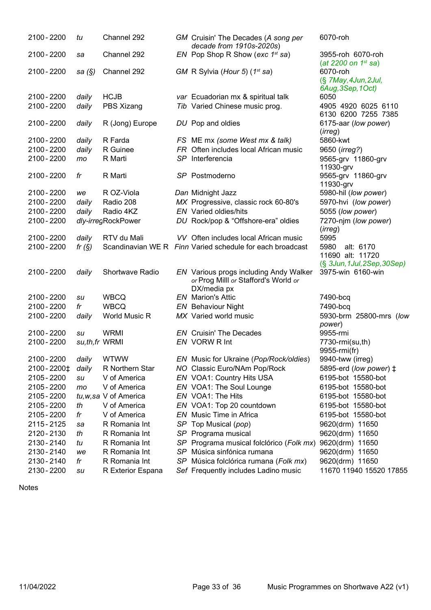| 2100 - 2200                | tu             | Channel 292            | GM Cruisin' The Decades (A song per<br>decade from 1910s-2020s)      | 6070-roh                                         |
|----------------------------|----------------|------------------------|----------------------------------------------------------------------|--------------------------------------------------|
| 2100 - 2200                | sa             | Channel 292            | EN Pop Shop R Show (exc $1^{st}$ sa)                                 | 3955-roh 6070-roh<br>(at 2200 on $1^{st}$ sa)    |
| 2100 - 2200                | sa (§)         | Channel 292            | GM R Sylvia (Hour 5) (1 <sup>st</sup> sa)                            | 6070-roh<br>(§ 7May, 4Jun, 2Jul,                 |
| 2100 - 2200                |                | <b>HCJB</b>            |                                                                      | 6Aug, 3Sep, 1Oct)<br>6050                        |
| 2100 - 2200                | daily<br>daily | PBS Xizang             | var Ecuadorian mx & spiritual talk<br>Tib Varied Chinese music prog. | 4905 4920 6025 6110                              |
|                            |                |                        |                                                                      | 6130 6200 7255 7385                              |
| 2100 - 2200                | daily          | R (Jong) Europe        | DU Pop and oldies                                                    | 6175-aar (low power)                             |
|                            |                |                        |                                                                      | (irreg)                                          |
| 2100 - 2200                | daily          | R Farda                | FS ME mx (some West mx & talk)                                       | 5860-kwt                                         |
| 2100 - 2200                | daily          | R Guinee               | FR Often includes local African music                                | 9650 ( <i>irreg?</i> )                           |
| 2100 - 2200                | mo             | R Marti                | SP Interferencia                                                     | 9565-grv 11860-grv                               |
|                            |                |                        |                                                                      | 11930-grv                                        |
| 2100 - 2200                | fr             | R Marti                | SP Postmoderno                                                       | 9565-grv 11860-grv                               |
|                            |                |                        |                                                                      | 11930-grv                                        |
| 2100 - 2200                | we             | R OZ-Viola             | Dan Midnight Jazz                                                    | 5980-hil (low power)                             |
| 2100 - 2200                | daily          | Radio 208              | MX Progressive, classic rock 60-80's                                 | 5970-hvi (low power)                             |
| 2100 - 2200                | daily          | Radio 4KZ              | <b>EN</b> Varied oldies/hits                                         | 5055 (low power)                                 |
| 2100 - 2200                |                | dly-irregRockPower     | DU Rock/pop & "Offshore-era" oldies                                  | 7270-njm (low power)<br>(irreg)                  |
| 2100 - 2200                | daily          | RTV du Mali            | VV Often includes local African music                                | 5995                                             |
| 2100 - 2200                | fr $(S)$       |                        | Scandinavian WE R Finn Varied schedule for each broadcast            | 5980<br>alt: 6170                                |
|                            |                |                        |                                                                      | 11690 alt: 11720                                 |
| 2100 - 2200                | daily          | Shortwave Radio        | EN Various progs including Andy Walker                               | (§ 3Jun, 1Jul, 2Sep, 30Sep)<br>3975-win 6160-win |
|                            |                |                        | or Prog Milll or Stafford's World or                                 |                                                  |
|                            |                |                        | DX/media px                                                          |                                                  |
| 2100 - 2200                | su             | <b>WBCQ</b>            | <b>EN</b> Marion's Attic                                             | 7490-bcq                                         |
| 2100 - 2200                | fr             | <b>WBCQ</b>            | <b>EN</b> Behaviour Night                                            | 7490-bcq                                         |
| 2100 - 2200                | daily          | World Music R          | MX Varied world music                                                | 5930-brm 25800-mrs (low                          |
|                            |                |                        |                                                                      | power)                                           |
| 2100 - 2200                | su             | <b>WRMI</b>            | <b>EN</b> Cruisin' The Decades                                       | 9955-rmi                                         |
| 2100 - 2200                | su,th,fr WRMI  |                        | EN VORW R Int                                                        | 7730-rmi(su,th)                                  |
|                            |                |                        |                                                                      | 9955-rmi(fr)                                     |
| 2100 - 2200                | daily          | <b>WTWW</b>            | EN Music for Ukraine (Pop/Rock/oldies)                               | 9940-tww (irreg)                                 |
| 2100 - 2200‡               | daily          | R Northern Star        | NO Classic Euro/NAm Pop/Rock                                         | 5895-erd (low power) ‡                           |
| 2105 - 2200                | su             | V of America           | EN VOA1: Country Hits USA                                            | 6195-bot 15580-bot                               |
| 2105 - 2200                | mo             | V of America           | EN VOA1: The Soul Lounge                                             | 6195-bot 15580-bot                               |
| 2105 - 2200                |                | tu, w, sa V of America | EN VOA1: The Hits                                                    | 6195-bot 15580-bot                               |
| 2105 - 2200                | th             | V of America           | EN VOA1: Top 20 countdown                                            | 6195-bot 15580-bot                               |
| 2105 - 2200                | fr             | V of America           | EN Music Time in Africa                                              | 6195-bot 15580-bot                               |
| 2115 - 2125                | sa             | R Romania Int          | SP Top Musical (pop)                                                 | 9620(drm) 11650                                  |
| 2120 - 2130                | th             | R Romania Int          | SP Programa musical                                                  | 9620(drm) 11650                                  |
| 2130 - 2140                | tu             | R Romania Int          | SP Programa musical folclórico (Folk mx)                             | 9620(drm) 11650                                  |
| 2130 - 2140                | we             | R Romania Int          | SP Música sinfónica rumana                                           | 9620(drm) 11650                                  |
| 2130 - 2140<br>2130 - 2200 | fr             | R Romania Int          | SP Música folclórica rumana (Folk mx)                                | 9620(drm) 11650<br>11670 11940 15520 17855       |
|                            | su             | R Exterior Espana      | Sef Frequently includes Ladino music                                 |                                                  |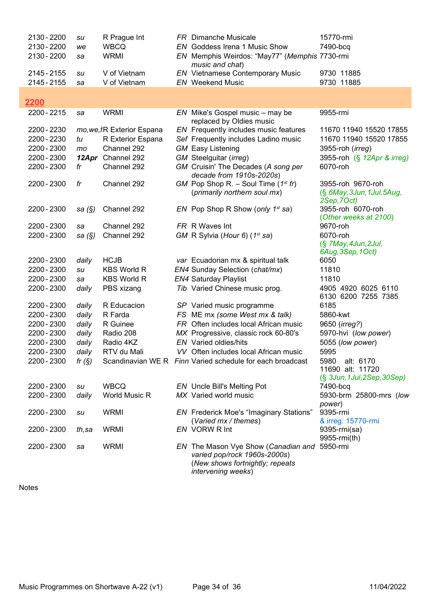| 2130 - 2200 | su        | R Prague Int               | <b>FR</b> Dimanche Musicale                                                                                                  | 15770-rmi                                                      |
|-------------|-----------|----------------------------|------------------------------------------------------------------------------------------------------------------------------|----------------------------------------------------------------|
| 2130 - 2200 | we        | <b>WBCQ</b>                | EN Goddess Irena 1 Music Show                                                                                                | 7490-bcq                                                       |
| 2130 - 2200 | sa        | <b>WRMI</b>                | EN Memphis Weirdos: "May77" (Memphis 7730-rmi<br>music and chat)                                                             |                                                                |
| 2145 - 2155 | su        | V of Vietnam               | <b>EN</b> Vietnamese Contemporary Music                                                                                      | 9730 11885                                                     |
| 2145 - 2155 | sa        | V of Vietnam               | <b>EN</b> Weekend Music                                                                                                      | 9730 11885                                                     |
|             |           |                            |                                                                                                                              |                                                                |
| 2200        |           |                            |                                                                                                                              |                                                                |
| 2200 - 2215 | sa        | <b>WRMI</b>                | $EN$ Mike's Gospel music – may be<br>replaced by Oldies music                                                                | 9955-rmi                                                       |
| 2200 - 2230 |           | mo, we, fR Exterior Espana | EN Frequently includes music features                                                                                        | 11670 11940 15520 17855                                        |
| 2200 - 2230 | tu        | R Exterior Espana          | Sef Frequently includes Ladino music                                                                                         | 11670 11940 15520 17855                                        |
| 2200 - 2300 | mo        | Channel 292                | <b>GM</b> Easy Listening                                                                                                     | 3955-roh (irreg)                                               |
| 2200 - 2300 |           | 12Apr Channel 292          | GM Steelguitar (irreg)                                                                                                       | 3955-roh (§ 12Apr & irreg)                                     |
| 2200 - 2300 | fr        | Channel 292                | GM Cruisin' The Decades (A song per<br>decade from 1910s-2020s)                                                              | 6070-roh                                                       |
| 2200 - 2300 | fr        | Channel 292                | GM Pop Shop R. – Soul Time $(1^{st}$ fr)<br>(primarily northern soul mx)                                                     | 3955-roh 9670-roh<br>(§ 6May, 3Jun, 1Jul, 5Aug,<br>2Sep, 7Oct) |
| 2200 - 2300 | sa $(S)$  | Channel 292                | EN Pop Shop R Show (only $1^{st}$ sa)                                                                                        | 3955-roh 6070-roh<br>(Other weeks at 2100)                     |
| 2200 - 2300 | sa        | Channel 292                | FR R Waves Int                                                                                                               | 9670-roh                                                       |
| 2200 - 2300 | sa $(\S)$ | Channel 292                | GM R Sylvia (Hour 6) (1st sa)                                                                                                | 6070-roh                                                       |
|             |           |                            |                                                                                                                              | (§ 7May, 4Jun, 2Jul,<br>6Aug, 3Sep, 1Oct)                      |
| 2200 - 2300 | daily     | <b>HCJB</b>                | var Ecuadorian mx & spiritual talk                                                                                           | 6050                                                           |
| 2200 - 2300 | su        | <b>KBS World R</b>         | EN4 Sunday Selection (chat/mx)                                                                                               | 11810                                                          |
| 2200 - 2300 | sa        | <b>KBS World R</b>         | <b>EN4 Saturday Playlist</b>                                                                                                 | 11810                                                          |
| 2200 - 2300 | daily     | PBS xizang                 | Tib Varied Chinese music prog.                                                                                               | 4905 4920 6025 6110                                            |
|             |           |                            |                                                                                                                              | 6130 6200 7255 7385                                            |
| 2200 - 2300 | daily     | R Educacion                | SP Varied music programme                                                                                                    | 6185                                                           |
| 2200 - 2300 | daily     | R Farda                    | FS ME mx (some West mx & talk)                                                                                               | 5860-kwt                                                       |
| 2200 - 2300 | daily     | R Guinee                   | FR Often includes local African music                                                                                        | 9650 ( <i>irreg?</i> )                                         |
| 2200 - 2300 | daily     | Radio 208                  | MX Progressive, classic rock 60-80's                                                                                         | 5970-hvi (low power)                                           |
| 2200 - 2300 | daily     | Radio 4KZ                  | <b>EN</b> Varied oldies/hits                                                                                                 | 5055 (low power)                                               |
| 2200 - 2300 | daily     | RTV du Mali                | VV Often includes local African music                                                                                        | 5995                                                           |
| 2200 - 2300 | fr $(S)$  |                            | Scandinavian WE R Finn Varied schedule for each broadcast                                                                    | 5980<br>alt: 6170                                              |
|             |           |                            |                                                                                                                              | 11690 alt: 11720                                               |
|             |           |                            |                                                                                                                              | (§ 3Jun, 1Jul, 2Sep, 30Sep)                                    |
| 2200 - 2300 | su        | <b>WBCQ</b>                | EN Uncle Bill's Melting Pot                                                                                                  | 7490-bcq                                                       |
| 2200 - 2300 | daily     | World Music R              | MX Varied world music                                                                                                        | 5930-brm 25800-mrs (low                                        |
| 2200 - 2300 | su        | <b>WRMI</b>                | <b>EN</b> Frederick Moe's "Imaginary Stations"                                                                               | power)<br>9395-rmi                                             |
| 2200 - 2300 | th,sa     | <b>WRMI</b>                | (Varied mx / themes)<br>EN VORW R Int                                                                                        | & irreg: 15770-rmi<br>9395-rmi(sa)                             |
| 2200 - 2300 | sa        | <b>WRMI</b>                | EN The Mason Vye Show (Canadian and<br>varied pop/rock 1960s-2000s)<br>(New shows fortnightly; repeats<br>intervening weeks) | 9955-rmi(th)<br>5950-rmi                                       |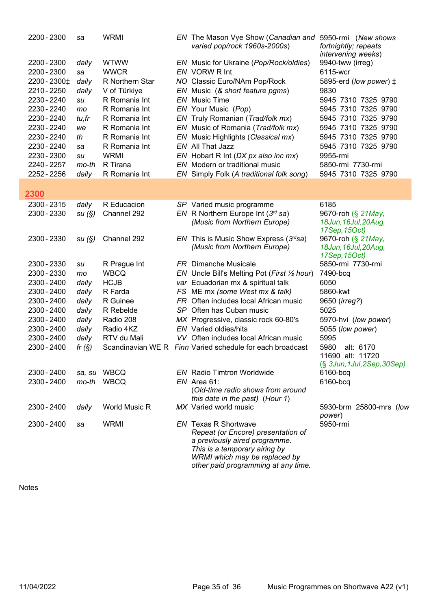| 2200 - 2300                | sa             | <b>WRMI</b>                 | EN The Mason Vye Show (Canadian and<br>varied pop/rock 1960s-2000s)     | 5950-rmi (New shows<br>fortnightly; repeats<br>intervening weeks) |
|----------------------------|----------------|-----------------------------|-------------------------------------------------------------------------|-------------------------------------------------------------------|
| 2200 - 2300                | daily          | <b>WTWW</b>                 | EN Music for Ukraine (Pop/Rock/oldies)                                  | 9940-tww (irreg)                                                  |
| 2200 - 2300                | sa             | <b>WWCR</b>                 | EN VORW R Int                                                           | 6115-wcr                                                          |
| 2200 - 2300‡               | daily          | R Northern Star             | NO Classic Euro/NAm Pop/Rock                                            | 5895-erd (low power) $\ddagger$                                   |
| 2210 - 2250                | daily          | V of Türkiye                | EN Music (& short feature pgms)                                         | 9830                                                              |
| 2230 - 2240                | su             | R Romania Int               | <b>EN</b> Music Time                                                    | 5945 7310 7325 9790                                               |
| 2230 - 2240                | mo             | R Romania Int               | EN Your Music (Pop)                                                     | 5945 7310 7325 9790                                               |
| 2230 - 2240                | tu,fr          | R Romania Int               | EN Truly Romanian (Trad/folk mx)                                        | 5945 7310 7325 9790                                               |
| 2230 - 2240                | we             | R Romania Int               | EN Music of Romania (Trad/folk mx)                                      | 5945 7310 7325 9790                                               |
| 2230 - 2240                | th             | R Romania Int               | EN Music Highlights (Classical mx)                                      | 5945 7310 7325 9790                                               |
| 2230 - 2240                | sa             | R Romania Int               | EN All That Jazz                                                        | 5945 7310 7325 9790                                               |
| 2230 - 2300                | su             | <b>WRMI</b>                 | EN Hobart R Int (DX px also inc mx)                                     | 9955-rmi                                                          |
| 2240 - 2257                | mo-th          | R Tirana                    | EN Modern or traditional music                                          | 5850-rmi 7730-rmi                                                 |
| 2252 - 2256                | daily          | R Romania Int               | EN Simply Folk (A traditional folk song)                                | 5945 7310 7325 9790                                               |
| 2300                       |                |                             |                                                                         |                                                                   |
| 2300 - 2315                | daily          | R Educacion                 | SP Varied music programme                                               | 6185                                                              |
| 2300 - 2330                | su(S)          | Channel 292                 | EN R Northern Europe Int $(3^{rd}$ sa)                                  | 9670-roh (§ 21May,                                                |
|                            |                |                             | (Music from Northern Europe)                                            | 18Jun, 16Jul, 20Aug,                                              |
|                            |                |                             |                                                                         | 17Sep, 15Oct)                                                     |
| 2300 - 2330                | su(S)          | Channel 292                 | EN This is Music Show Express $(3rdsa)$                                 | 9670-roh (§ 21May,                                                |
|                            |                |                             | (Music from Northern Europe)                                            | 18Jun, 16Jul, 20Aug,                                              |
|                            |                |                             |                                                                         | 17Sep, 15Oct)                                                     |
| 2300 - 2330<br>2300 - 2330 | su             | R Prague Int<br><b>WBCQ</b> | <b>FR</b> Dimanche Musicale                                             | 5850-rmi 7730-rmi                                                 |
| 2300 - 2400                | mo             |                             | EN Uncle Bill's Melting Pot (First 1/2 hour)                            | 7490-bcq<br>6050                                                  |
| 2300 - 2400                | daily          | <b>HCJB</b><br>R Farda      | var Ecuadorian mx & spiritual talk                                      | 5860-kwt                                                          |
| 2300 - 2400                | daily          | R Guinee                    | FS ME mx (some West mx & talk)<br>FR Often includes local African music |                                                                   |
| 2300 - 2400                | daily<br>daily | R Rebelde                   | SP Often has Cuban music                                                | 9650 ( <i>irreg?</i> )<br>5025                                    |
| 2300 - 2400                | daily          | Radio 208                   | MX Progressive, classic rock 60-80's                                    | 5970-hvi (low power)                                              |
| 2300 - 2400                | daily          | Radio 4KZ                   | <b>EN</b> Varied oldies/hits                                            | 5055 (low power)                                                  |
| 2300 - 2400                | daily          | RTV du Mali                 | VV Often includes local African music                                   | 5995                                                              |
| 2300 - 2400                | fr $(S)$       |                             | Scandinavian WE R Finn Varied schedule for each broadcast               | 5980<br>alt: 6170                                                 |
|                            |                |                             |                                                                         | 11690 alt: 11720                                                  |
|                            |                |                             |                                                                         | $(S$ 3Jun, 1Jul, 2Sep, 30Sep)                                     |
| 2300 - 2400                | sa, su         | WBCQ                        | <b>EN</b> Radio Timtron Worldwide                                       | 6160-bcq                                                          |
| 2300 - 2400                | mo-th          | <b>WBCQ</b>                 | $EN$ Area 61:                                                           | 6160-bcq                                                          |
|                            |                |                             | (Old-time radio shows from around                                       |                                                                   |
|                            |                |                             | this date in the past) (Hour 1)                                         |                                                                   |
| 2300 - 2400                | daily          | World Music R               | MX Varied world music                                                   | 5930-brm 25800-mrs (low                                           |
| 2300 - 2400                |                | <b>WRMI</b>                 | <b>EN</b> Texas R Shortwave                                             | power)<br>5950-rmi                                                |
|                            | sa             |                             | Repeat (or Encore) presentation of                                      |                                                                   |
|                            |                |                             | a previously aired programme.                                           |                                                                   |
|                            |                |                             | This is a temporary airing by                                           |                                                                   |
|                            |                |                             | WRMI which may be replaced by                                           |                                                                   |
|                            |                |                             | other paid programming at any time.                                     |                                                                   |